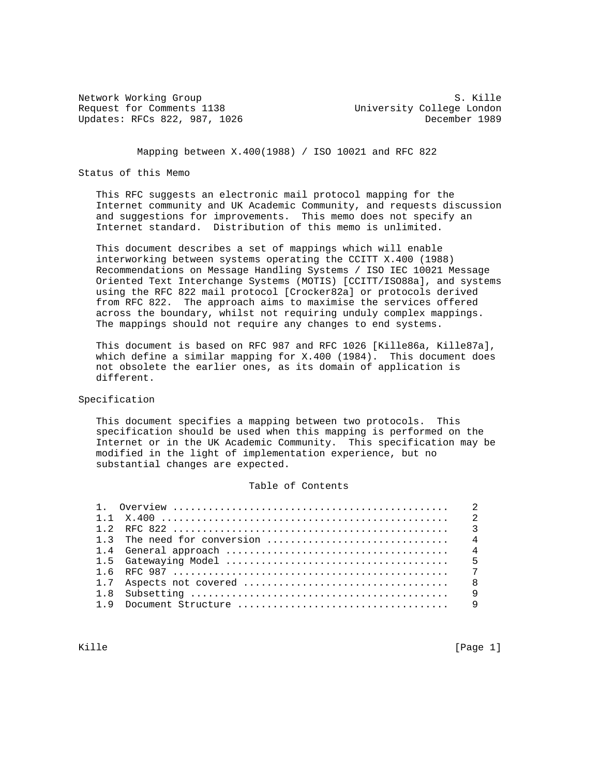Network Working Group S. Kille Request for Comments 1138 University College London Updates: RFCs 822, 987, 1026 **December 1989** 

Mapping between X.400(1988) / ISO 10021 and RFC 822

# Status of this Memo

 This RFC suggests an electronic mail protocol mapping for the Internet community and UK Academic Community, and requests discussion and suggestions for improvements. This memo does not specify an Internet standard. Distribution of this memo is unlimited.

 This document describes a set of mappings which will enable interworking between systems operating the CCITT X.400 (1988) Recommendations on Message Handling Systems / ISO IEC 10021 Message Oriented Text Interchange Systems (MOTIS) [CCITT/ISO88a], and systems using the RFC 822 mail protocol [Crocker82a] or protocols derived from RFC 822. The approach aims to maximise the services offered across the boundary, whilst not requiring unduly complex mappings. The mappings should not require any changes to end systems.

 This document is based on RFC 987 and RFC 1026 [Kille86a, Kille87a], which define a similar mapping for X.400 (1984). This document does not obsolete the earlier ones, as its domain of application is different.

# Specification

 This document specifies a mapping between two protocols. This specification should be used when this mapping is performed on the Internet or in the UK Academic Community. This specification may be modified in the light of implementation experience, but no substantial changes are expected.

#### Table of Contents

|         | 2 |
|---------|---|
| $1 \t2$ |   |
|         |   |
|         | 4 |
|         |   |
|         |   |
|         |   |
|         | a |
| 19      |   |
|         |   |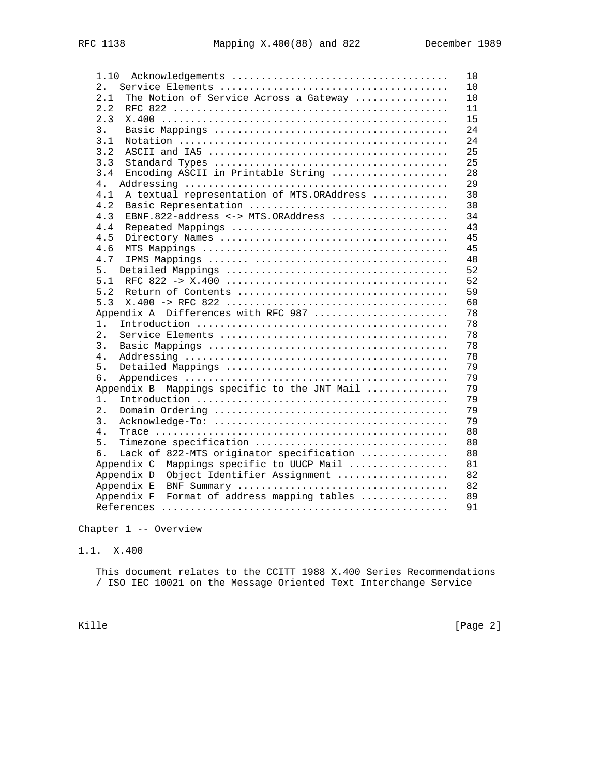| 1.10                                             | 10 |
|--------------------------------------------------|----|
| 2.                                               | 10 |
| The Notion of Service Across a Gateway<br>2.1    | 10 |
| 2.2                                              | 11 |
| 2.3                                              | 15 |
| 3.                                               | 24 |
| 3.1                                              | 24 |
| 3.2                                              | 25 |
| 3.3                                              | 25 |
| 3.4<br>Encoding ASCII in Printable String        | 28 |
| 4.                                               | 29 |
| A textual representation of MTS.ORAddress<br>4.1 | 30 |
| 4.2<br>Basic Representation                      | 30 |
| EBNF.822-address <-> MTS.ORAddress<br>4.3        | 34 |
| 4.4                                              | 43 |
| 4.5                                              | 45 |
| 4.6                                              | 45 |
| 4.7                                              | 48 |
| 5.                                               | 52 |
| 5.1                                              | 52 |
| 5.2                                              | 59 |
| 5.3                                              | 60 |
| Appendix A Differences with RFC 987              | 78 |
| 1.                                               | 78 |
| 2.                                               | 78 |
| 3.                                               | 78 |
| 4.                                               | 78 |
| 5.                                               | 79 |
| б.                                               | 79 |
| Appendix B Mappings specific to the JNT Mail     | 79 |
| $1$ .                                            | 79 |
| 2.                                               | 79 |
| 3.                                               | 79 |
| 4.                                               | 80 |
| 5.<br>Timezone specification                     | 80 |
| Lack of 822-MTS originator specification<br>б.   | 80 |
| Appendix C<br>Mappings specific to UUCP Mail     | 81 |
| Object Identifier Assignment<br>Appendix D       | 82 |
| Appendix E                                       | 82 |
| Appendix F<br>Format of address mapping tables   | 89 |
|                                                  | 91 |

Chapter 1 -- Overview

1.1. X.400

 This document relates to the CCITT 1988 X.400 Series Recommendations / ISO IEC 10021 on the Message Oriented Text Interchange Service

Kille [Page 2]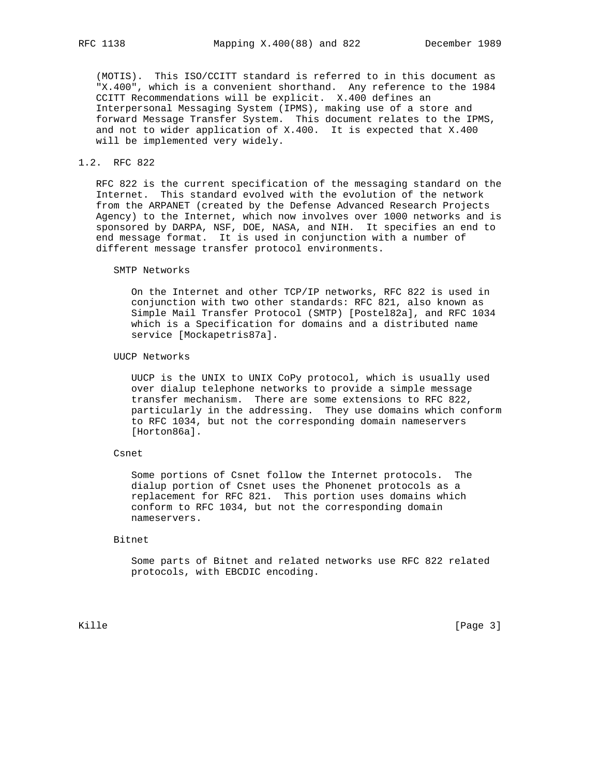(MOTIS). This ISO/CCITT standard is referred to in this document as "X.400", which is a convenient shorthand. Any reference to the 1984 CCITT Recommendations will be explicit. X.400 defines an Interpersonal Messaging System (IPMS), making use of a store and forward Message Transfer System. This document relates to the IPMS, and not to wider application of X.400. It is expected that X.400 will be implemented very widely.

# 1.2. RFC 822

 RFC 822 is the current specification of the messaging standard on the Internet. This standard evolved with the evolution of the network from the ARPANET (created by the Defense Advanced Research Projects Agency) to the Internet, which now involves over 1000 networks and is sponsored by DARPA, NSF, DOE, NASA, and NIH. It specifies an end to end message format. It is used in conjunction with a number of different message transfer protocol environments.

#### SMTP Networks

 On the Internet and other TCP/IP networks, RFC 822 is used in conjunction with two other standards: RFC 821, also known as Simple Mail Transfer Protocol (SMTP) [Postel82a], and RFC 1034 which is a Specification for domains and a distributed name service [Mockapetris87a].

#### UUCP Networks

 UUCP is the UNIX to UNIX CoPy protocol, which is usually used over dialup telephone networks to provide a simple message transfer mechanism. There are some extensions to RFC 822, particularly in the addressing. They use domains which conform to RFC 1034, but not the corresponding domain nameservers [Horton86a].

# Csnet

 Some portions of Csnet follow the Internet protocols. The dialup portion of Csnet uses the Phonenet protocols as a replacement for RFC 821. This portion uses domains which conform to RFC 1034, but not the corresponding domain nameservers.

#### Bitnet

 Some parts of Bitnet and related networks use RFC 822 related protocols, with EBCDIC encoding.

Kille [Page 3]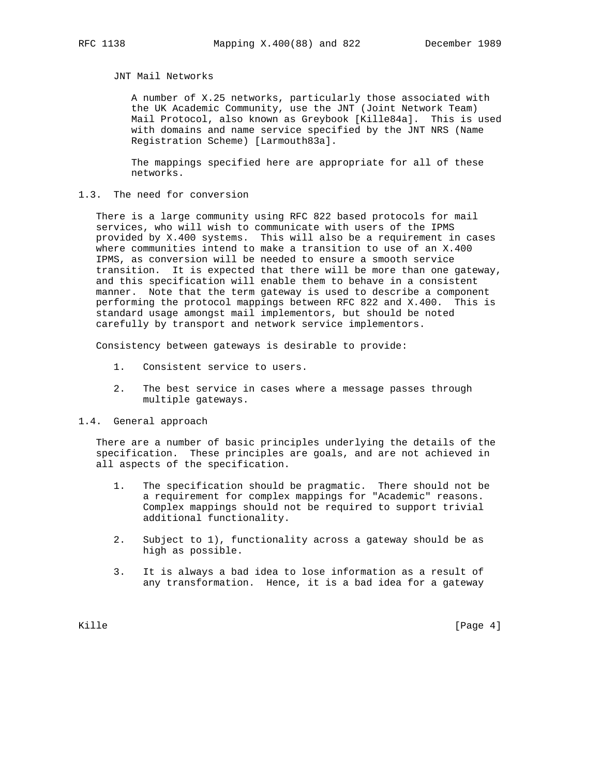# JNT Mail Networks

 A number of X.25 networks, particularly those associated with the UK Academic Community, use the JNT (Joint Network Team) Mail Protocol, also known as Greybook [Kille84a]. This is used with domains and name service specified by the JNT NRS (Name Registration Scheme) [Larmouth83a].

 The mappings specified here are appropriate for all of these networks.

# 1.3. The need for conversion

 There is a large community using RFC 822 based protocols for mail services, who will wish to communicate with users of the IPMS provided by X.400 systems. This will also be a requirement in cases where communities intend to make a transition to use of an X.400 IPMS, as conversion will be needed to ensure a smooth service transition. It is expected that there will be more than one gateway, and this specification will enable them to behave in a consistent manner. Note that the term gateway is used to describe a component performing the protocol mappings between RFC 822 and X.400. This is standard usage amongst mail implementors, but should be noted carefully by transport and network service implementors.

Consistency between gateways is desirable to provide:

- 1. Consistent service to users.
- 2. The best service in cases where a message passes through multiple gateways.
- 1.4. General approach

 There are a number of basic principles underlying the details of the specification. These principles are goals, and are not achieved in all aspects of the specification.

- 1. The specification should be pragmatic. There should not be a requirement for complex mappings for "Academic" reasons. Complex mappings should not be required to support trivial additional functionality.
- 2. Subject to 1), functionality across a gateway should be as high as possible.
- 3. It is always a bad idea to lose information as a result of any transformation. Hence, it is a bad idea for a gateway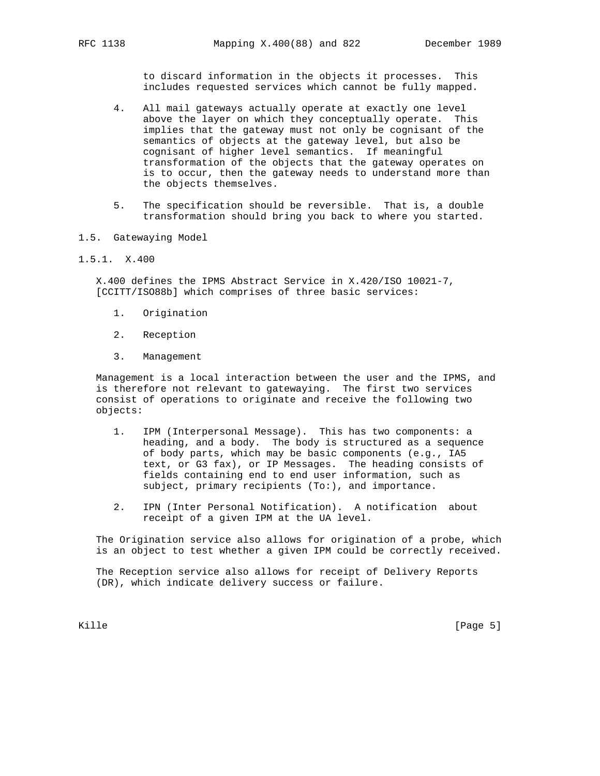to discard information in the objects it processes. This includes requested services which cannot be fully mapped.

- 4. All mail gateways actually operate at exactly one level above the layer on which they conceptually operate. This implies that the gateway must not only be cognisant of the semantics of objects at the gateway level, but also be cognisant of higher level semantics. If meaningful transformation of the objects that the gateway operates on is to occur, then the gateway needs to understand more than the objects themselves.
- 5. The specification should be reversible. That is, a double transformation should bring you back to where you started.
- 1.5. Gatewaying Model
- 1.5.1. X.400

 X.400 defines the IPMS Abstract Service in X.420/ISO 10021-7, [CCITT/ISO88b] which comprises of three basic services:

- 1. Origination
- 2. Reception
- 3. Management

 Management is a local interaction between the user and the IPMS, and is therefore not relevant to gatewaying. The first two services consist of operations to originate and receive the following two objects:

- 1. IPM (Interpersonal Message). This has two components: a heading, and a body. The body is structured as a sequence of body parts, which may be basic components (e.g., IA5 text, or G3 fax), or IP Messages. The heading consists of fields containing end to end user information, such as subject, primary recipients (To:), and importance.
- 2. IPN (Inter Personal Notification). A notification about receipt of a given IPM at the UA level.

 The Origination service also allows for origination of a probe, which is an object to test whether a given IPM could be correctly received.

 The Reception service also allows for receipt of Delivery Reports (DR), which indicate delivery success or failure.

Kille [Page 5]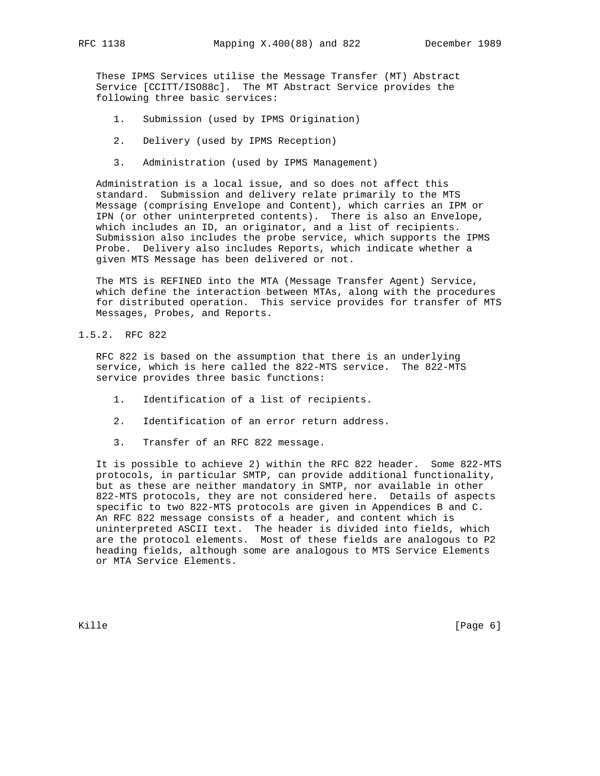These IPMS Services utilise the Message Transfer (MT) Abstract Service [CCITT/ISO88c]. The MT Abstract Service provides the following three basic services:

- 1. Submission (used by IPMS Origination)
- 2. Delivery (used by IPMS Reception)
- 3. Administration (used by IPMS Management)

 Administration is a local issue, and so does not affect this standard. Submission and delivery relate primarily to the MTS Message (comprising Envelope and Content), which carries an IPM or IPN (or other uninterpreted contents). There is also an Envelope, which includes an ID, an originator, and a list of recipients. Submission also includes the probe service, which supports the IPMS Probe. Delivery also includes Reports, which indicate whether a given MTS Message has been delivered or not.

 The MTS is REFINED into the MTA (Message Transfer Agent) Service, which define the interaction between MTAs, along with the procedures for distributed operation. This service provides for transfer of MTS Messages, Probes, and Reports.

1.5.2. RFC 822

 RFC 822 is based on the assumption that there is an underlying service, which is here called the 822-MTS service. The 822-MTS service provides three basic functions:

- 1. Identification of a list of recipients.
- 2. Identification of an error return address.
- 3. Transfer of an RFC 822 message.

 It is possible to achieve 2) within the RFC 822 header. Some 822-MTS protocols, in particular SMTP, can provide additional functionality, but as these are neither mandatory in SMTP, nor available in other 822-MTS protocols, they are not considered here. Details of aspects specific to two 822-MTS protocols are given in Appendices B and C. An RFC 822 message consists of a header, and content which is uninterpreted ASCII text. The header is divided into fields, which are the protocol elements. Most of these fields are analogous to P2 heading fields, although some are analogous to MTS Service Elements or MTA Service Elements.

Kille [Page 6]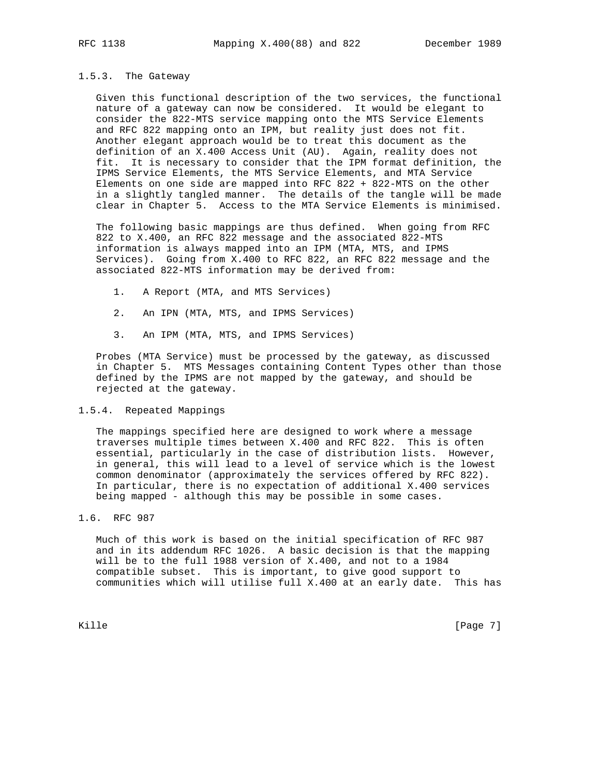#### 1.5.3. The Gateway

 Given this functional description of the two services, the functional nature of a gateway can now be considered. It would be elegant to consider the 822-MTS service mapping onto the MTS Service Elements and RFC 822 mapping onto an IPM, but reality just does not fit. Another elegant approach would be to treat this document as the definition of an X.400 Access Unit (AU). Again, reality does not fit. It is necessary to consider that the IPM format definition, the IPMS Service Elements, the MTS Service Elements, and MTA Service Elements on one side are mapped into RFC 822 + 822-MTS on the other in a slightly tangled manner. The details of the tangle will be made clear in Chapter 5. Access to the MTA Service Elements is minimised.

 The following basic mappings are thus defined. When going from RFC 822 to X.400, an RFC 822 message and the associated 822-MTS information is always mapped into an IPM (MTA, MTS, and IPMS Services). Going from X.400 to RFC 822, an RFC 822 message and the associated 822-MTS information may be derived from:

- 1. A Report (MTA, and MTS Services)
- 2. An IPN (MTA, MTS, and IPMS Services)
- 3. An IPM (MTA, MTS, and IPMS Services)

 Probes (MTA Service) must be processed by the gateway, as discussed in Chapter 5. MTS Messages containing Content Types other than those defined by the IPMS are not mapped by the gateway, and should be rejected at the gateway.

#### 1.5.4. Repeated Mappings

 The mappings specified here are designed to work where a message traverses multiple times between X.400 and RFC 822. This is often essential, particularly in the case of distribution lists. However, in general, this will lead to a level of service which is the lowest common denominator (approximately the services offered by RFC 822). In particular, there is no expectation of additional X.400 services being mapped - although this may be possible in some cases.

# 1.6. RFC 987

 Much of this work is based on the initial specification of RFC 987 and in its addendum RFC 1026. A basic decision is that the mapping will be to the full 1988 version of X.400, and not to a 1984 compatible subset. This is important, to give good support to communities which will utilise full X.400 at an early date. This has

Kille [Page 7]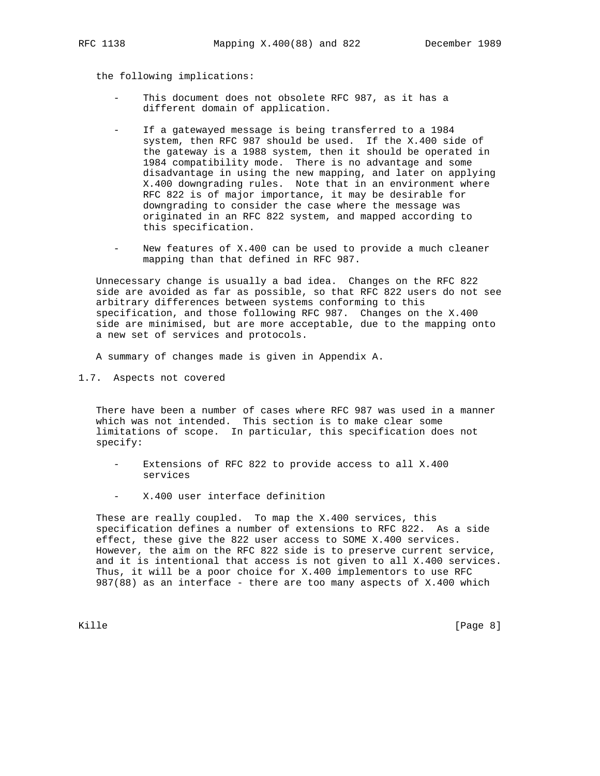the following implications:

- This document does not obsolete RFC 987, as it has a different domain of application.
- If a gatewayed message is being transferred to a 1984 system, then RFC 987 should be used. If the X.400 side of the gateway is a 1988 system, then it should be operated in 1984 compatibility mode. There is no advantage and some disadvantage in using the new mapping, and later on applying X.400 downgrading rules. Note that in an environment where RFC 822 is of major importance, it may be desirable for downgrading to consider the case where the message was originated in an RFC 822 system, and mapped according to this specification.
- New features of X.400 can be used to provide a much cleaner mapping than that defined in RFC 987.

 Unnecessary change is usually a bad idea. Changes on the RFC 822 side are avoided as far as possible, so that RFC 822 users do not see arbitrary differences between systems conforming to this specification, and those following RFC 987. Changes on the X.400 side are minimised, but are more acceptable, due to the mapping onto a new set of services and protocols.

A summary of changes made is given in Appendix A.

1.7. Aspects not covered

 There have been a number of cases where RFC 987 was used in a manner which was not intended. This section is to make clear some limitations of scope. In particular, this specification does not specify:

- Extensions of RFC 822 to provide access to all X.400 services
- X.400 user interface definition

 These are really coupled. To map the X.400 services, this specification defines a number of extensions to RFC 822. As a side effect, these give the 822 user access to SOME X.400 services. However, the aim on the RFC 822 side is to preserve current service, and it is intentional that access is not given to all X.400 services. Thus, it will be a poor choice for X.400 implementors to use RFC 987(88) as an interface - there are too many aspects of X.400 which

Kille [Page 8]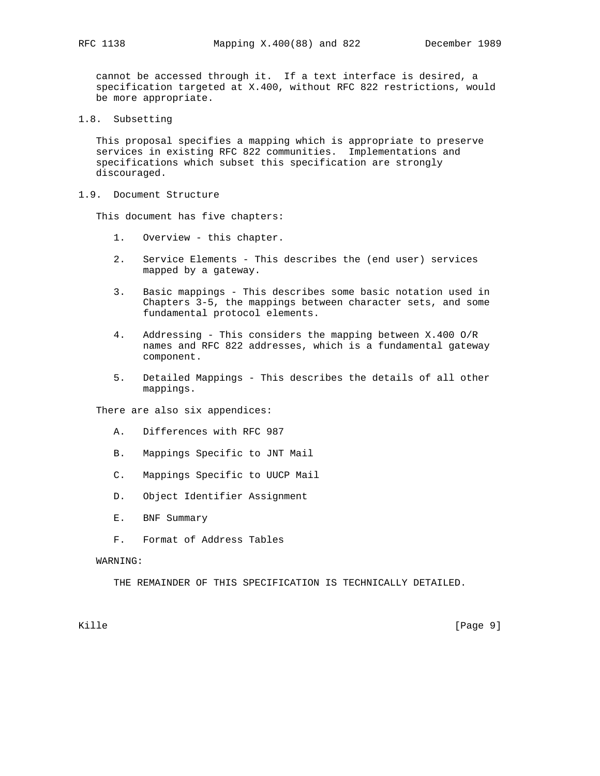cannot be accessed through it. If a text interface is desired, a specification targeted at X.400, without RFC 822 restrictions, would be more appropriate.

1.8. Subsetting

 This proposal specifies a mapping which is appropriate to preserve services in existing RFC 822 communities. Implementations and specifications which subset this specification are strongly discouraged.

1.9. Document Structure

This document has five chapters:

- 1. Overview this chapter.
- 2. Service Elements This describes the (end user) services mapped by a gateway.
- 3. Basic mappings This describes some basic notation used in Chapters 3-5, the mappings between character sets, and some fundamental protocol elements.
- 4. Addressing This considers the mapping between X.400 O/R names and RFC 822 addresses, which is a fundamental gateway component.
- 5. Detailed Mappings This describes the details of all other mappings.

There are also six appendices:

- A. Differences with RFC 987
- B. Mappings Specific to JNT Mail
- C. Mappings Specific to UUCP Mail
- D. Object Identifier Assignment
- E. BNF Summary
- F. Format of Address Tables

#### WARNING:

THE REMAINDER OF THIS SPECIFICATION IS TECHNICALLY DETAILED.

Kille [Page 9] [Page 9]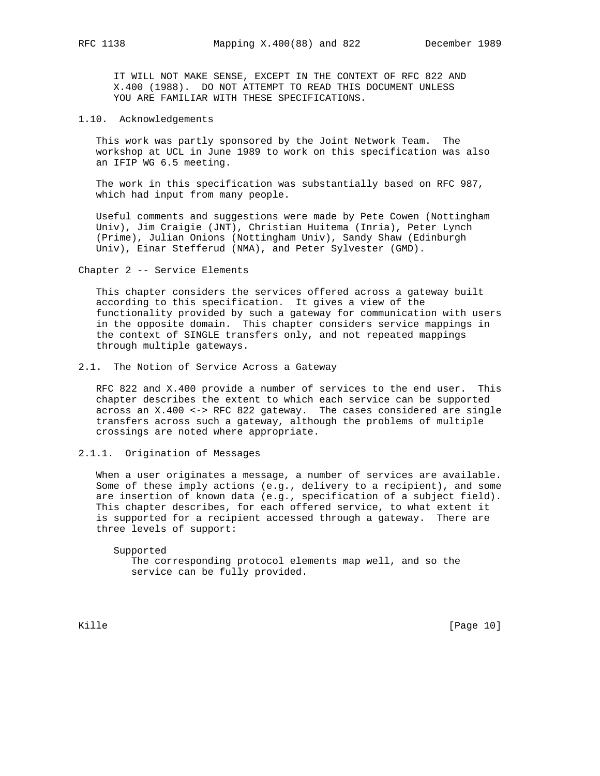IT WILL NOT MAKE SENSE, EXCEPT IN THE CONTEXT OF RFC 822 AND X.400 (1988). DO NOT ATTEMPT TO READ THIS DOCUMENT UNLESS YOU ARE FAMILIAR WITH THESE SPECIFICATIONS.

#### 1.10. Acknowledgements

 This work was partly sponsored by the Joint Network Team. The workshop at UCL in June 1989 to work on this specification was also an IFIP WG 6.5 meeting.

 The work in this specification was substantially based on RFC 987, which had input from many people.

 Useful comments and suggestions were made by Pete Cowen (Nottingham Univ), Jim Craigie (JNT), Christian Huitema (Inria), Peter Lynch (Prime), Julian Onions (Nottingham Univ), Sandy Shaw (Edinburgh Univ), Einar Stefferud (NMA), and Peter Sylvester (GMD).

Chapter 2 -- Service Elements

 This chapter considers the services offered across a gateway built according to this specification. It gives a view of the functionality provided by such a gateway for communication with users in the opposite domain. This chapter considers service mappings in the context of SINGLE transfers only, and not repeated mappings through multiple gateways.

#### 2.1. The Notion of Service Across a Gateway

 RFC 822 and X.400 provide a number of services to the end user. This chapter describes the extent to which each service can be supported across an X.400 <-> RFC 822 gateway. The cases considered are single transfers across such a gateway, although the problems of multiple crossings are noted where appropriate.

2.1.1. Origination of Messages

 When a user originates a message, a number of services are available. Some of these imply actions (e.g., delivery to a recipient), and some are insertion of known data (e.g., specification of a subject field). This chapter describes, for each offered service, to what extent it is supported for a recipient accessed through a gateway. There are three levels of support:

 Supported The corresponding protocol elements map well, and so the service can be fully provided.

Kille [Page 10]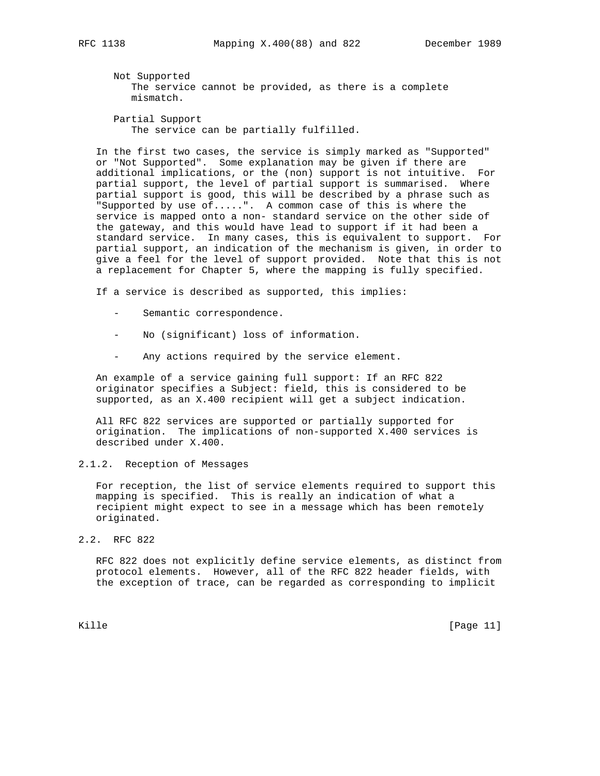Not Supported The service cannot be provided, as there is a complete mismatch.

 Partial Support The service can be partially fulfilled.

 In the first two cases, the service is simply marked as "Supported" or "Not Supported". Some explanation may be given if there are additional implications, or the (non) support is not intuitive. For partial support, the level of partial support is summarised. Where partial support is good, this will be described by a phrase such as "Supported by use of.....". A common case of this is where the service is mapped onto a non- standard service on the other side of the gateway, and this would have lead to support if it had been a standard service. In many cases, this is equivalent to support. For partial support, an indication of the mechanism is given, in order to give a feel for the level of support provided. Note that this is not a replacement for Chapter 5, where the mapping is fully specified.

If a service is described as supported, this implies:

- Semantic correspondence.
- No (significant) loss of information.
- Any actions required by the service element.

 An example of a service gaining full support: If an RFC 822 originator specifies a Subject: field, this is considered to be supported, as an X.400 recipient will get a subject indication.

 All RFC 822 services are supported or partially supported for origination. The implications of non-supported X.400 services is described under X.400.

2.1.2. Reception of Messages

 For reception, the list of service elements required to support this mapping is specified. This is really an indication of what a recipient might expect to see in a message which has been remotely originated.

2.2. RFC 822

 RFC 822 does not explicitly define service elements, as distinct from protocol elements. However, all of the RFC 822 header fields, with the exception of trace, can be regarded as corresponding to implicit

Kille [Page 11]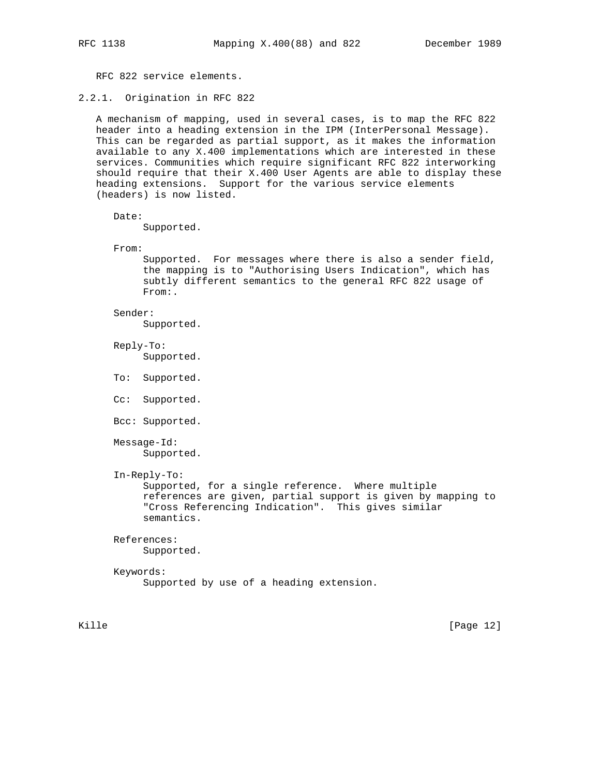RFC 822 service elements.

2.2.1. Origination in RFC 822

 A mechanism of mapping, used in several cases, is to map the RFC 822 header into a heading extension in the IPM (InterPersonal Message). This can be regarded as partial support, as it makes the information available to any X.400 implementations which are interested in these services. Communities which require significant RFC 822 interworking should require that their X.400 User Agents are able to display these heading extensions. Support for the various service elements (headers) is now listed.

Date:

Supported.

From:

 Supported. For messages where there is also a sender field, the mapping is to "Authorising Users Indication", which has subtly different semantics to the general RFC 822 usage of From:.

Sender:

Supported.

 Reply-To: Supported.

- To: Supported.
- Cc: Supported.
- Bcc: Supported.

 Message-Id: Supported.

In-Reply-To:

 Supported, for a single reference. Where multiple references are given, partial support is given by mapping to "Cross Referencing Indication". This gives similar semantics.

#### References:

Supported.

# Keywords: Supported by use of a heading extension.

Kille [Page 12]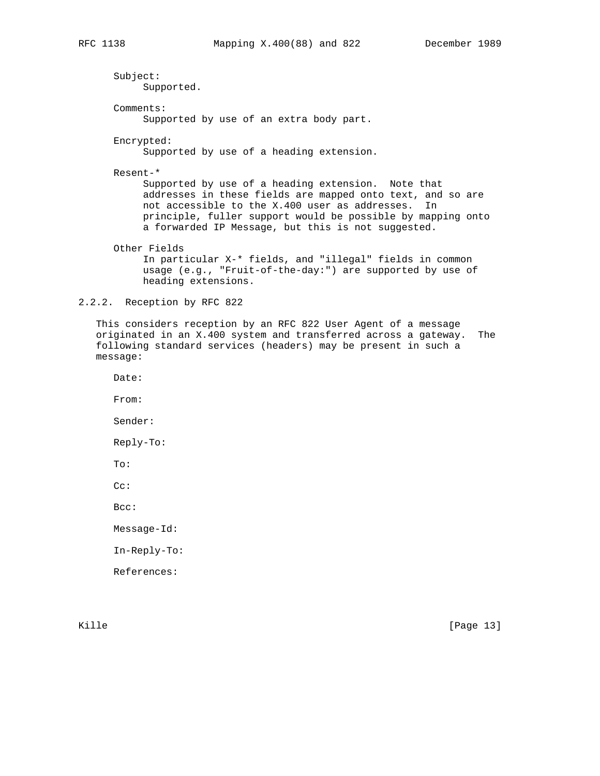Subject: Supported. Comments: Supported by use of an extra body part. Encrypted: Supported by use of a heading extension. Resent-\* Supported by use of a heading extension. Note that addresses in these fields are mapped onto text, and so are not accessible to the X.400 user as addresses. In principle, fuller support would be possible by mapping onto a forwarded IP Message, but this is not suggested. Other Fields In particular X-\* fields, and "illegal" fields in common usage (e.g., "Fruit-of-the-day:") are supported by use of heading extensions.

2.2.2. Reception by RFC 822

 This considers reception by an RFC 822 User Agent of a message originated in an X.400 system and transferred across a gateway. The following standard services (headers) may be present in such a message:

Date:

From:

Sender:

Reply-To:

To:

Cc:

Bcc:

Message-Id:

In-Reply-To:

References:

Kille [Page 13]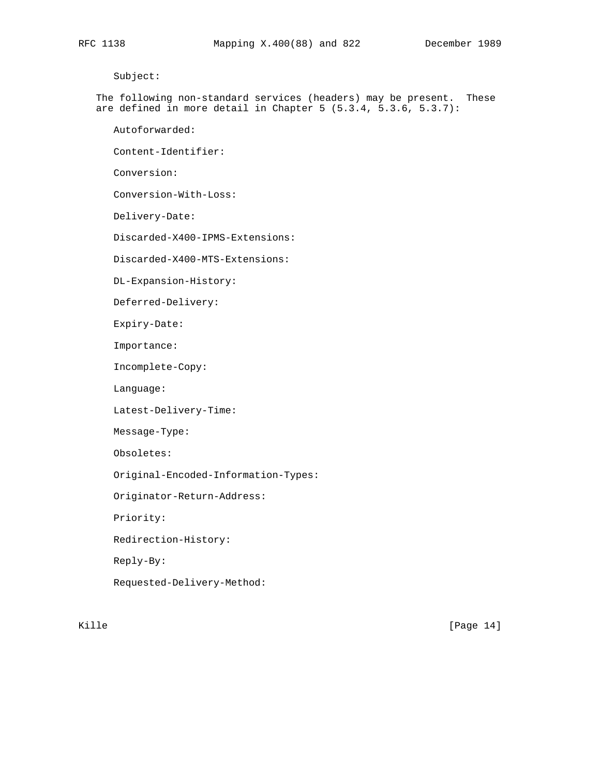Subject:

 The following non-standard services (headers) may be present. These are defined in more detail in Chapter 5 (5.3.4, 5.3.6, 5.3.7):

Autoforwarded:

Content-Identifier:

Conversion:

Conversion-With-Loss:

Delivery-Date:

Discarded-X400-IPMS-Extensions:

Discarded-X400-MTS-Extensions:

DL-Expansion-History:

Deferred-Delivery:

Expiry-Date:

Importance:

Incomplete-Copy:

Language:

Latest-Delivery-Time:

Message-Type:

Obsoletes:

Original-Encoded-Information-Types:

Originator-Return-Address:

Priority:

Redirection-History:

Reply-By:

Requested-Delivery-Method:

Kille [Page 14]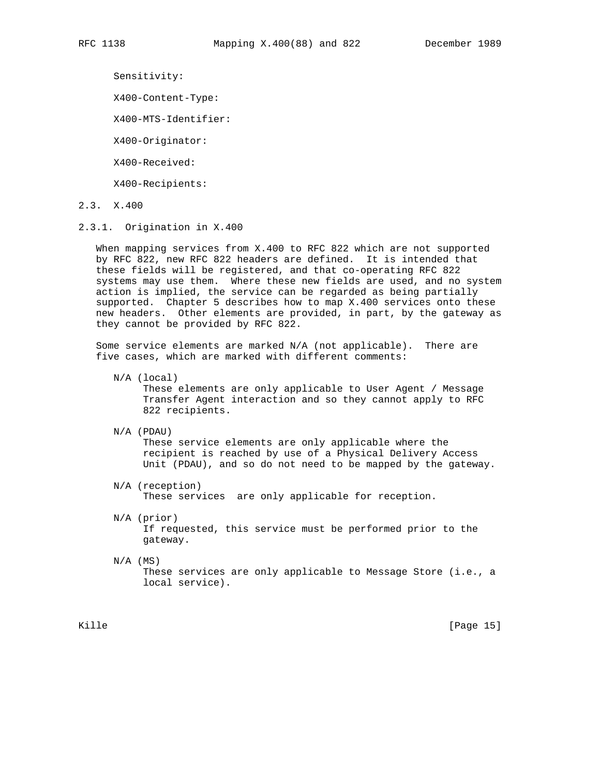Sensitivity:

X400-Content-Type:

X400-MTS-Identifier:

X400-Originator:

X400-Received:

X400-Recipients:

- 2.3. X.400
- 2.3.1. Origination in X.400

 When mapping services from X.400 to RFC 822 which are not supported by RFC 822, new RFC 822 headers are defined. It is intended that these fields will be registered, and that co-operating RFC 822 systems may use them. Where these new fields are used, and no system action is implied, the service can be regarded as being partially supported. Chapter 5 describes how to map X.400 services onto these new headers. Other elements are provided, in part, by the gateway as they cannot be provided by RFC 822.

 Some service elements are marked N/A (not applicable). There are five cases, which are marked with different comments:

N/A (local)

 These elements are only applicable to User Agent / Message Transfer Agent interaction and so they cannot apply to RFC 822 recipients.

N/A (PDAU)

 These service elements are only applicable where the recipient is reached by use of a Physical Delivery Access Unit (PDAU), and so do not need to be mapped by the gateway.

- N/A (reception) These services are only applicable for reception.
- N/A (prior) If requested, this service must be performed prior to the gateway.
- $N/A$  (MS)

 These services are only applicable to Message Store (i.e., a local service).

Kille [Page 15]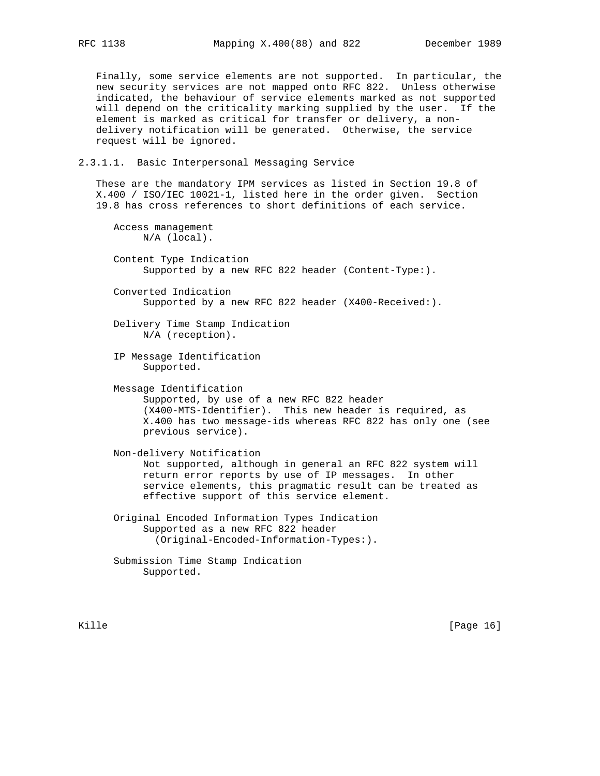Finally, some service elements are not supported. In particular, the new security services are not mapped onto RFC 822. Unless otherwise indicated, the behaviour of service elements marked as not supported will depend on the criticality marking supplied by the user. If the element is marked as critical for transfer or delivery, a non delivery notification will be generated. Otherwise, the service request will be ignored.

# 2.3.1.1. Basic Interpersonal Messaging Service

 These are the mandatory IPM services as listed in Section 19.8 of X.400 / ISO/IEC 10021-1, listed here in the order given. Section 19.8 has cross references to short definitions of each service.

 Access management N/A (local). Content Type Indication Supported by a new RFC 822 header (Content-Type:). Converted Indication Supported by a new RFC 822 header (X400-Received:). Delivery Time Stamp Indication N/A (reception). IP Message Identification Supported. Message Identification Supported, by use of a new RFC 822 header (X400-MTS-Identifier). This new header is required, as X.400 has two message-ids whereas RFC 822 has only one (see previous service). Non-delivery Notification Not supported, although in general an RFC 822 system will return error reports by use of IP messages. In other service elements, this pragmatic result can be treated as effective support of this service element. Original Encoded Information Types Indication Supported as a new RFC 822 header (Original-Encoded-Information-Types:). Submission Time Stamp Indication

Supported.

Kille [Page 16]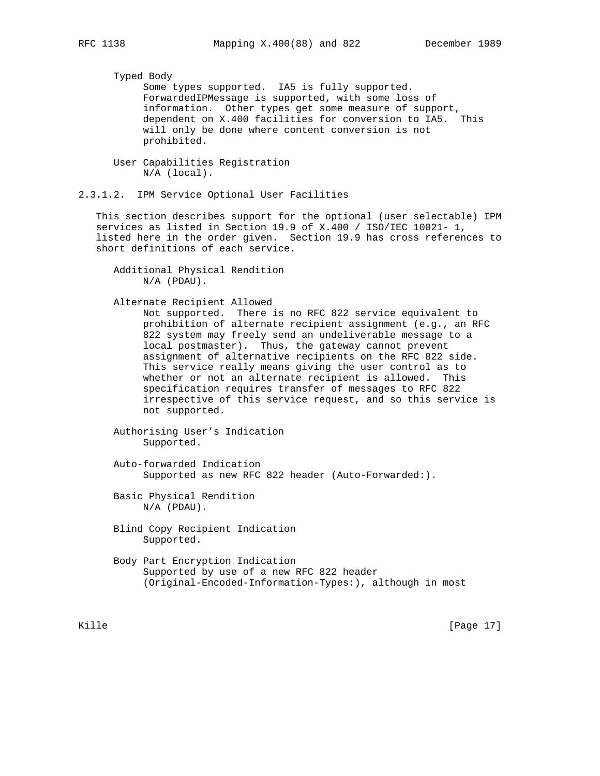Typed Body

 Some types supported. IA5 is fully supported. ForwardedIPMessage is supported, with some loss of information. Other types get some measure of support, dependent on X.400 facilities for conversion to IA5. This will only be done where content conversion is not prohibited.

 User Capabilities Registration N/A (local).

2.3.1.2. IPM Service Optional User Facilities

 This section describes support for the optional (user selectable) IPM services as listed in Section 19.9 of X.400 / ISO/IEC 10021- 1, listed here in the order given. Section 19.9 has cross references to short definitions of each service.

 Additional Physical Rendition N/A (PDAU).

Alternate Recipient Allowed

 Not supported. There is no RFC 822 service equivalent to prohibition of alternate recipient assignment (e.g., an RFC 822 system may freely send an undeliverable message to a local postmaster). Thus, the gateway cannot prevent assignment of alternative recipients on the RFC 822 side. This service really means giving the user control as to whether or not an alternate recipient is allowed. This specification requires transfer of messages to RFC 822 irrespective of this service request, and so this service is not supported.

 Authorising User's Indication Supported.

 Auto-forwarded Indication Supported as new RFC 822 header (Auto-Forwarded:).

 Basic Physical Rendition N/A (PDAU).

 Blind Copy Recipient Indication Supported.

 Body Part Encryption Indication Supported by use of a new RFC 822 header (Original-Encoded-Information-Types:), although in most

Kille [Page 17]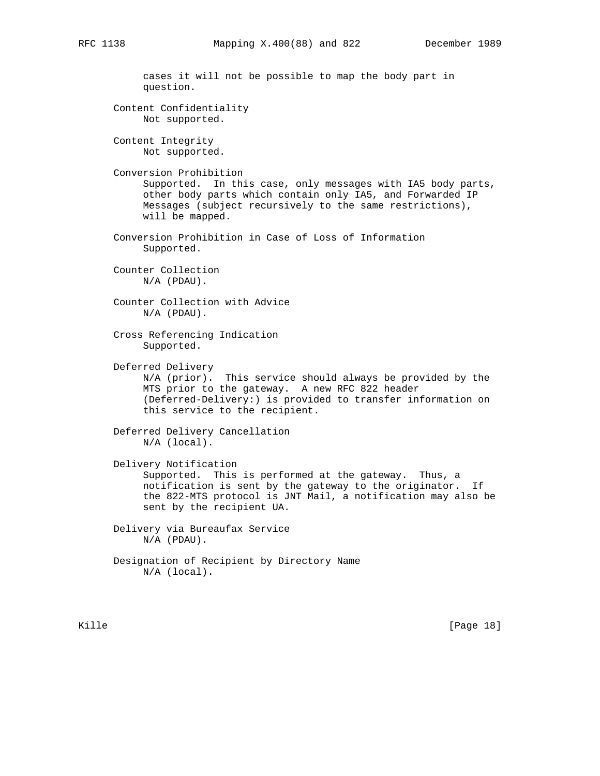cases it will not be possible to map the body part in question. Content Confidentiality Not supported. Content Integrity Not supported. Conversion Prohibition Supported. In this case, only messages with IA5 body parts, other body parts which contain only IA5, and Forwarded IP Messages (subject recursively to the same restrictions), will be mapped. Conversion Prohibition in Case of Loss of Information Supported. Counter Collection N/A (PDAU). Counter Collection with Advice N/A (PDAU). Cross Referencing Indication Supported. Deferred Delivery N/A (prior). This service should always be provided by the MTS prior to the gateway. A new RFC 822 header (Deferred-Delivery:) is provided to transfer information on this service to the recipient. Deferred Delivery Cancellation N/A (local). Delivery Notification Supported. This is performed at the gateway. Thus, a notification is sent by the gateway to the originator. If the 822-MTS protocol is JNT Mail, a notification may also be sent by the recipient UA. Delivery via Bureaufax Service N/A (PDAU). Designation of Recipient by Directory Name N/A (local).

Kille [Page 18]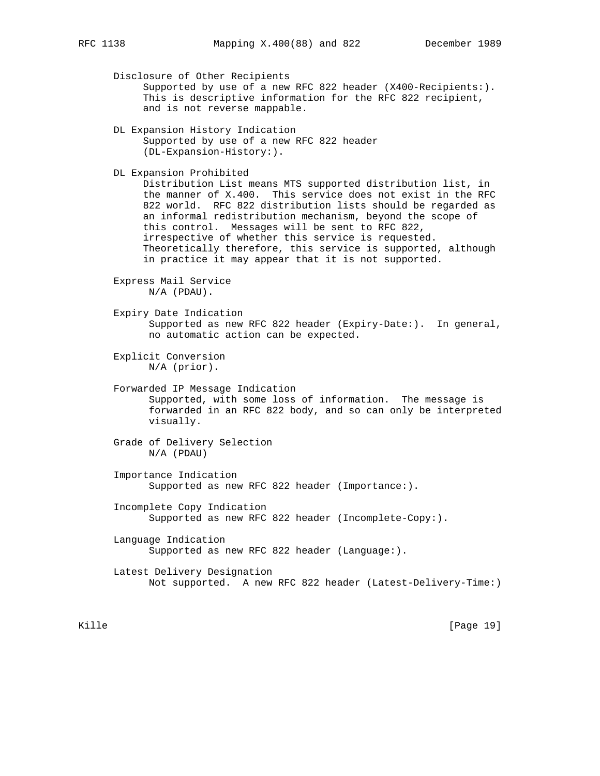Disclosure of Other Recipients Supported by use of a new RFC 822 header (X400-Recipients:). This is descriptive information for the RFC 822 recipient, and is not reverse mappable. DL Expansion History Indication Supported by use of a new RFC 822 header (DL-Expansion-History:). DL Expansion Prohibited Distribution List means MTS supported distribution list, in the manner of X.400. This service does not exist in the RFC 822 world. RFC 822 distribution lists should be regarded as an informal redistribution mechanism, beyond the scope of this control. Messages will be sent to RFC 822, irrespective of whether this service is requested. Theoretically therefore, this service is supported, although in practice it may appear that it is not supported. Express Mail Service N/A (PDAU). Expiry Date Indication Supported as new RFC 822 header (Expiry-Date:). In general, no automatic action can be expected. Explicit Conversion N/A (prior). Forwarded IP Message Indication Supported, with some loss of information. The message is forwarded in an RFC 822 body, and so can only be interpreted visually. Grade of Delivery Selection N/A (PDAU) Importance Indication Supported as new RFC 822 header (Importance:). Incomplete Copy Indication Supported as new RFC 822 header (Incomplete-Copy:). Language Indication Supported as new RFC 822 header (Language:). Latest Delivery Designation Not supported. A new RFC 822 header (Latest-Delivery-Time:)

Kille [Page 19]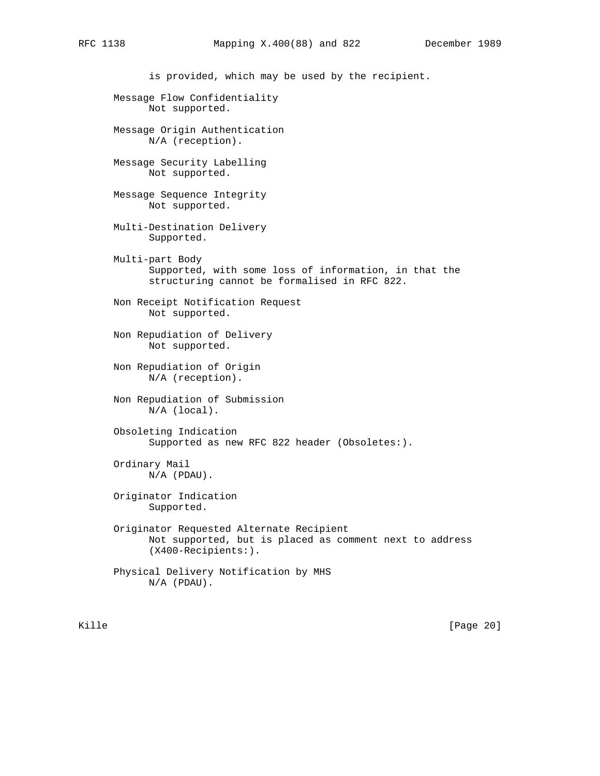is provided, which may be used by the recipient. Message Flow Confidentiality Not supported. Message Origin Authentication N/A (reception). Message Security Labelling Not supported. Message Sequence Integrity Not supported. Multi-Destination Delivery Supported. Multi-part Body Supported, with some loss of information, in that the structuring cannot be formalised in RFC 822. Non Receipt Notification Request Not supported. Non Repudiation of Delivery Not supported. Non Repudiation of Origin N/A (reception). Non Repudiation of Submission N/A (local). Obsoleting Indication Supported as new RFC 822 header (Obsoletes:). Ordinary Mail N/A (PDAU). Originator Indication Supported. Originator Requested Alternate Recipient Not supported, but is placed as comment next to address (X400-Recipients:). Physical Delivery Notification by MHS N/A (PDAU).

Kille [Page 20]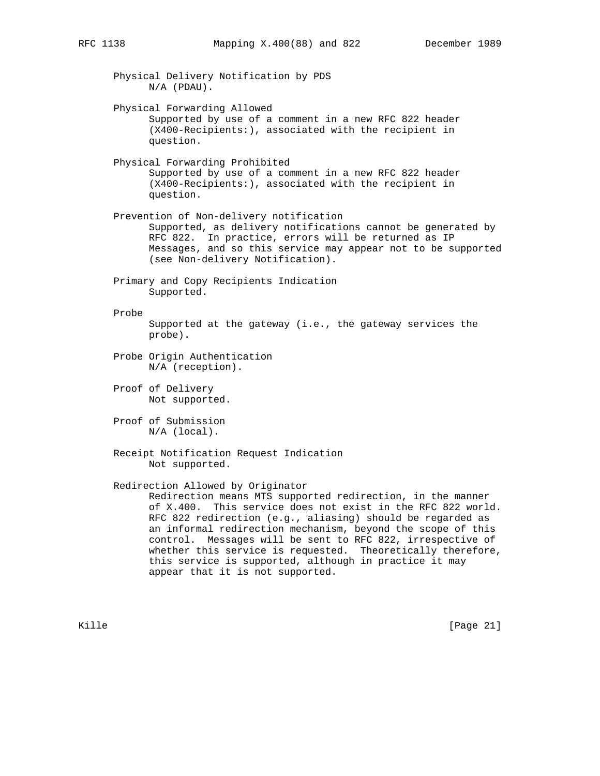Physical Delivery Notification by PDS N/A (PDAU). Physical Forwarding Allowed Supported by use of a comment in a new RFC 822 header (X400-Recipients:), associated with the recipient in question. Physical Forwarding Prohibited Supported by use of a comment in a new RFC 822 header (X400-Recipients:), associated with the recipient in question. Prevention of Non-delivery notification Supported, as delivery notifications cannot be generated by RFC 822. In practice, errors will be returned as IP Messages, and so this service may appear not to be supported (see Non-delivery Notification). Primary and Copy Recipients Indication Supported. Probe Supported at the gateway (i.e., the gateway services the probe). Probe Origin Authentication N/A (reception). Proof of Delivery Not supported. Proof of Submission N/A (local). Receipt Notification Request Indication Not supported. Redirection Allowed by Originator Redirection means MTS supported redirection, in the manner of X.400. This service does not exist in the RFC 822 world. RFC 822 redirection (e.g., aliasing) should be regarded as an informal redirection mechanism, beyond the scope of this control. Messages will be sent to RFC 822, irrespective of whether this service is requested. Theoretically therefore, this service is supported, although in practice it may appear that it is not supported.

Kille [Page 21]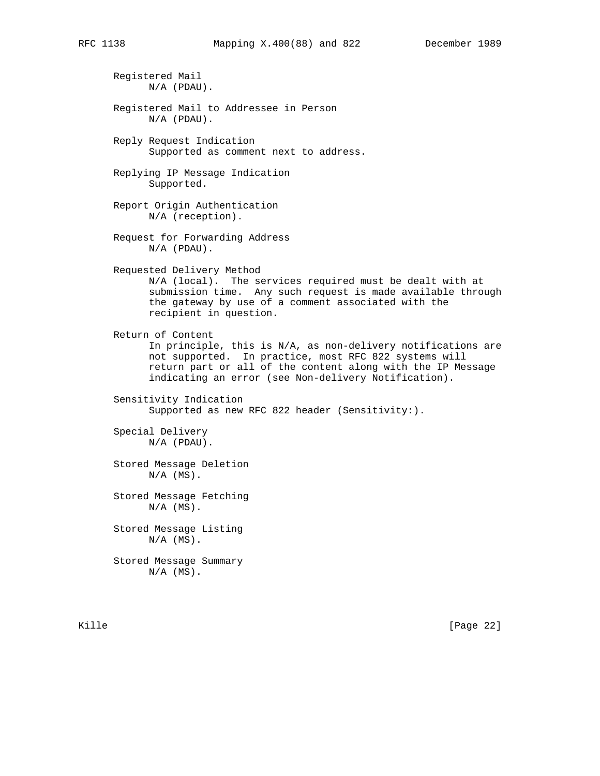Registered Mail N/A (PDAU). Registered Mail to Addressee in Person N/A (PDAU). Reply Request Indication Supported as comment next to address. Replying IP Message Indication Supported. Report Origin Authentication N/A (reception). Request for Forwarding Address N/A (PDAU). Requested Delivery Method N/A (local). The services required must be dealt with at submission time. Any such request is made available through the gateway by use of a comment associated with the recipient in question. Return of Content In principle, this is N/A, as non-delivery notifications are not supported. In practice, most RFC 822 systems will return part or all of the content along with the IP Message indicating an error (see Non-delivery Notification). Sensitivity Indication Supported as new RFC 822 header (Sensitivity:). Special Delivery N/A (PDAU). Stored Message Deletion  $N/A$   $(MS)$ . Stored Message Fetching  $N/A$   $(MS)$ . Stored Message Listing  $N/A$   $(MS)$ . Stored Message Summary  $N/A$   $(MS)$ .

Kille [Page 22]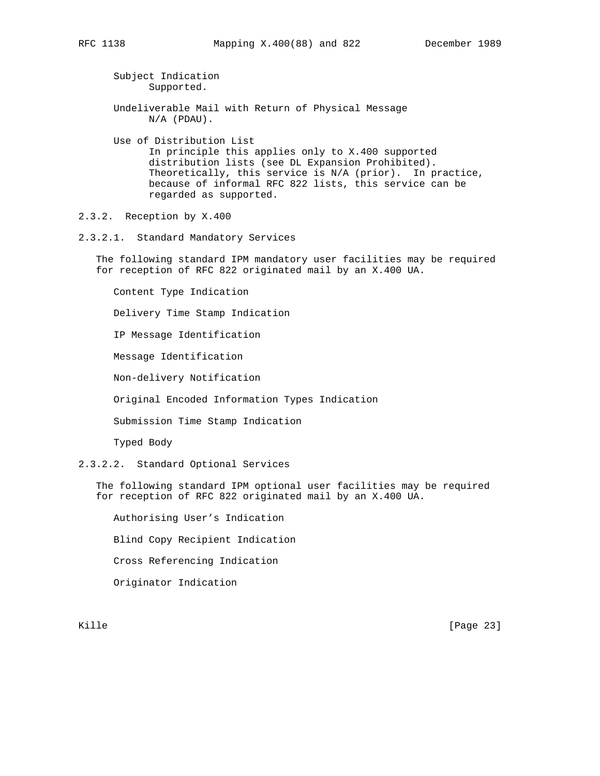Subject Indication Supported.

- Undeliverable Mail with Return of Physical Message N/A (PDAU).
- Use of Distribution List In principle this applies only to X.400 supported distribution lists (see DL Expansion Prohibited). Theoretically, this service is N/A (prior). In practice, because of informal RFC 822 lists, this service can be regarded as supported.
- 2.3.2. Reception by X.400
- 2.3.2.1. Standard Mandatory Services

 The following standard IPM mandatory user facilities may be required for reception of RFC 822 originated mail by an X.400 UA.

Content Type Indication

Delivery Time Stamp Indication

IP Message Identification

Message Identification

Non-delivery Notification

Original Encoded Information Types Indication

Submission Time Stamp Indication

Typed Body

2.3.2.2. Standard Optional Services

 The following standard IPM optional user facilities may be required for reception of RFC 822 originated mail by an X.400 UA.

 Authorising User's Indication Blind Copy Recipient Indication Cross Referencing Indication Originator Indication

Kille [Page 23]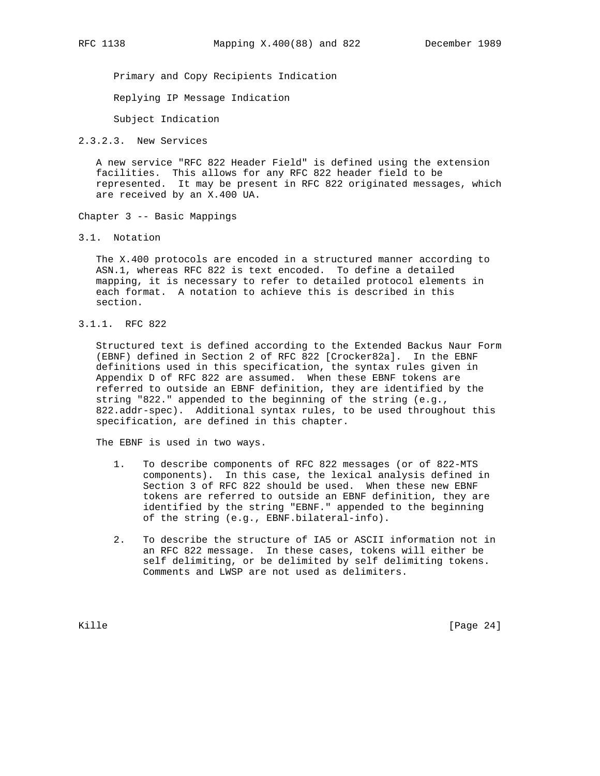Primary and Copy Recipients Indication

Replying IP Message Indication

Subject Indication

2.3.2.3. New Services

 A new service "RFC 822 Header Field" is defined using the extension facilities. This allows for any RFC 822 header field to be represented. It may be present in RFC 822 originated messages, which are received by an X.400 UA.

Chapter 3 -- Basic Mappings

3.1. Notation

 The X.400 protocols are encoded in a structured manner according to ASN.1, whereas RFC 822 is text encoded. To define a detailed mapping, it is necessary to refer to detailed protocol elements in each format. A notation to achieve this is described in this section.

3.1.1. RFC 822

 Structured text is defined according to the Extended Backus Naur Form (EBNF) defined in Section 2 of RFC 822 [Crocker82a]. In the EBNF definitions used in this specification, the syntax rules given in Appendix D of RFC 822 are assumed. When these EBNF tokens are referred to outside an EBNF definition, they are identified by the string "822." appended to the beginning of the string (e.g., 822.addr-spec). Additional syntax rules, to be used throughout this specification, are defined in this chapter.

The EBNF is used in two ways.

- 1. To describe components of RFC 822 messages (or of 822-MTS components). In this case, the lexical analysis defined in Section 3 of RFC 822 should be used. When these new EBNF tokens are referred to outside an EBNF definition, they are identified by the string "EBNF." appended to the beginning of the string (e.g., EBNF.bilateral-info).
- 2. To describe the structure of IA5 or ASCII information not in an RFC 822 message. In these cases, tokens will either be self delimiting, or be delimited by self delimiting tokens. Comments and LWSP are not used as delimiters.

Kille [Page 24]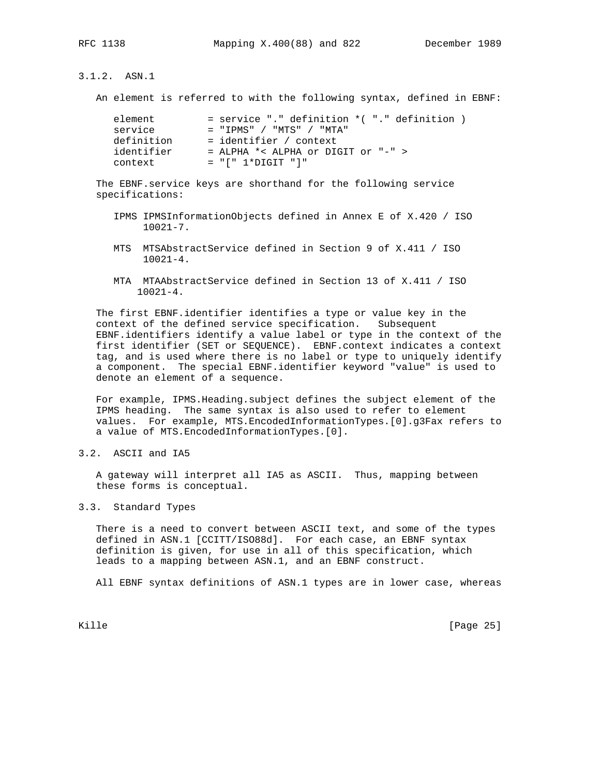3.1.2. ASN.1

An element is referred to with the following syntax, defined in EBNF:

| element    | $=$ service "." definition $*($ "." definition $)$ |
|------------|----------------------------------------------------|
| service    | $=$ "TPMS" / "MTS" / "MTA"                         |
| definition | = identifier / context                             |
| identifier | $=$ ALPHA *< ALPHA or DIGIT or "-" >               |
| context    | $= "[' 1*DiffIT "']"$                              |

 The EBNF.service keys are shorthand for the following service specifications:

- IPMS IPMSInformationObjects defined in Annex E of X.420 / ISO 10021-7.
- MTS MTSAbstractService defined in Section 9 of X.411 / ISO 10021-4.
- MTA MTAAbstractService defined in Section 13 of X.411 / ISO 10021-4.

 The first EBNF.identifier identifies a type or value key in the context of the defined service specification. Subsequent EBNF.identifiers identify a value label or type in the context of the first identifier (SET or SEQUENCE). EBNF.context indicates a context tag, and is used where there is no label or type to uniquely identify a component. The special EBNF.identifier keyword "value" is used to denote an element of a sequence.

 For example, IPMS.Heading.subject defines the subject element of the IPMS heading. The same syntax is also used to refer to element values. For example, MTS.EncodedInformationTypes.[0].g3Fax refers to a value of MTS.EncodedInformationTypes.[0].

3.2. ASCII and IA5

 A gateway will interpret all IA5 as ASCII. Thus, mapping between these forms is conceptual.

# 3.3. Standard Types

 There is a need to convert between ASCII text, and some of the types defined in ASN.1 [CCITT/ISO88d]. For each case, an EBNF syntax definition is given, for use in all of this specification, which leads to a mapping between ASN.1, and an EBNF construct.

All EBNF syntax definitions of ASN.1 types are in lower case, whereas

Kille [Page 25]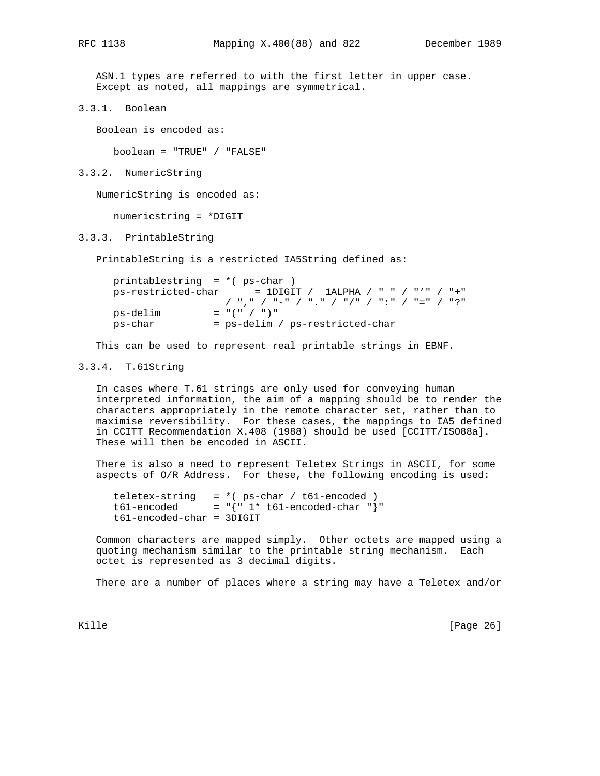ASN.1 types are referred to with the first letter in upper case. Except as noted, all mappings are symmetrical.

3.3.1. Boolean

Boolean is encoded as:

boolean = "TRUE" / "FALSE"

3.3.2. NumericString

NumericString is encoded as:

numericstring = \*DIGIT

3.3.3. PrintableString

PrintableString is a restricted IA5String defined as:

| printablestring = $*($ ps-char) |                                                         |
|---------------------------------|---------------------------------------------------------|
|                                 | $ps-restricted-char = IDIGIT / 1ALPHA / " " / "" / "+"$ |
|                                 | - / "," / "-" / "," / "/" / ":" / "=" / "?"             |
| ps-delim                        | $=$ "(" / ")"                                           |
| ps-char                         | = ps-delim / ps-restricted-char                         |
|                                 |                                                         |

This can be used to represent real printable strings in EBNF.

# 3.3.4. T.61String

 In cases where T.61 strings are only used for conveying human interpreted information, the aim of a mapping should be to render the characters appropriately in the remote character set, rather than to maximise reversibility. For these cases, the mappings to IA5 defined in CCITT Recommendation X.408 (1988) should be used [CCITT/ISO88a]. These will then be encoded in ASCII.

 There is also a need to represent Teletex Strings in ASCII, for some aspects of O/R Address. For these, the following encoding is used:

 teletex-string = \*( ps-char / t61-encoded ) t61-encoded =  $\sqrt{" 1* t61-}$ encoded-char "} t61-encoded-char = 3DIGIT

 Common characters are mapped simply. Other octets are mapped using a quoting mechanism similar to the printable string mechanism. Each octet is represented as 3 decimal digits.

There are a number of places where a string may have a Teletex and/or

Kille [Page 26]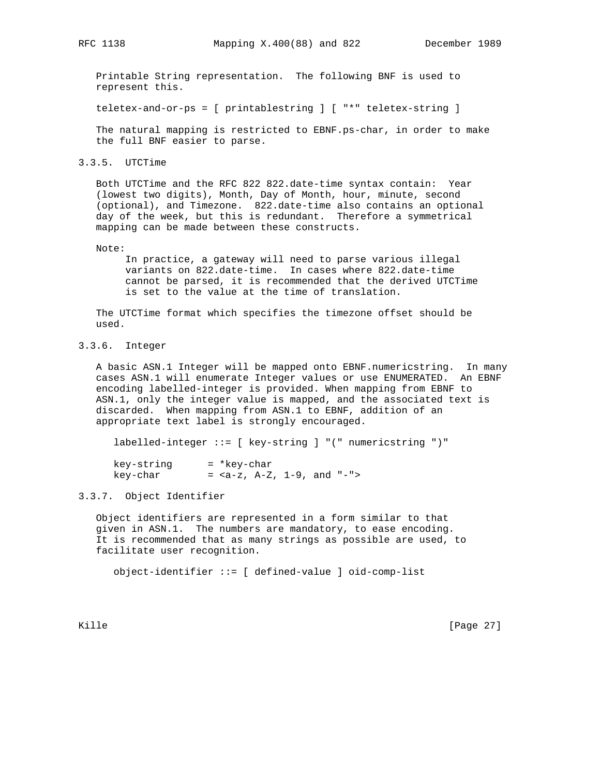Printable String representation. The following BNF is used to represent this.

teletex-and-or-ps = [ printablestring ] [ "\*" teletex-string ]

 The natural mapping is restricted to EBNF.ps-char, in order to make the full BNF easier to parse.

3.3.5. UTCTime

 Both UTCTime and the RFC 822 822.date-time syntax contain: Year (lowest two digits), Month, Day of Month, hour, minute, second (optional), and Timezone. 822.date-time also contains an optional day of the week, but this is redundant. Therefore a symmetrical mapping can be made between these constructs.

Note:

 In practice, a gateway will need to parse various illegal variants on 822.date-time. In cases where 822.date-time cannot be parsed, it is recommended that the derived UTCTime is set to the value at the time of translation.

 The UTCTime format which specifies the timezone offset should be used.

# 3.3.6. Integer

 A basic ASN.1 Integer will be mapped onto EBNF.numericstring. In many cases ASN.1 will enumerate Integer values or use ENUMERATED. An EBNF encoding labelled-integer is provided. When mapping from EBNF to ASN.1, only the integer value is mapped, and the associated text is discarded. When mapping from ASN.1 to EBNF, addition of an appropriate text label is strongly encouraged.

labelled-integer ::= [ key-string ] "(" numericstring ")"

| key-string | = *key-char              |  |  |
|------------|--------------------------|--|--|
| key-char   | = $, A-Z, 1-9, and "-">$ |  |  |

#### 3.3.7. Object Identifier

 Object identifiers are represented in a form similar to that given in ASN.1. The numbers are mandatory, to ease encoding. It is recommended that as many strings as possible are used, to facilitate user recognition.

object-identifier ::= [ defined-value ] oid-comp-list

Kille [Page 27]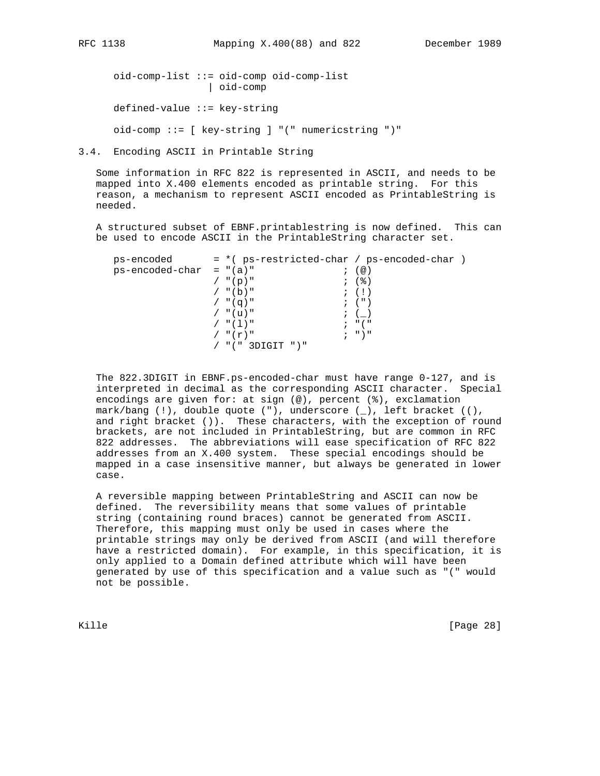oid-comp-list ::= oid-comp oid-comp-list | oid-comp defined-value ::= key-string oid-comp ::= [ key-string ] "(" numericstring ")"

3.4. Encoding ASCII in Printable String

 Some information in RFC 822 is represented in ASCII, and needs to be mapped into X.400 elements encoded as printable string. For this reason, a mechanism to represent ASCII encoded as PrintableString is needed.

 A structured subset of EBNF.printablestring is now defined. This can be used to encode ASCII in the PrintableString character set.

| ps-encoded                | = *( ps-restricted-char / ps-encoded-char ) |                                 |
|---------------------------|---------------------------------------------|---------------------------------|
| $ps-encoded-char = "(a)"$ |                                             | ; $\left( \circledcirc \right)$ |
|                           | $/$ "(p)"                                   | ; (%)                           |
|                           | $/$ "(b)"                                   | $\mathfrak{z}$ (!)              |
|                           | $/$ "(q)"                                   | $\left($ $\right)$              |
|                           | / "(u)"                                     | $\; ; \; \; (\; \; )$           |
|                           | $/$ " $(1)$ "                               | ; "("                           |
|                           | $/$ " $(r)$ "                               | $; "$ $"$                       |
|                           | $/$ "(" 3DIGIT ")"                          |                                 |

 The 822.3DIGIT in EBNF.ps-encoded-char must have range 0-127, and is interpreted in decimal as the corresponding ASCII character. Special encodings are given for: at sign (@), percent (%), exclamation mark/bang (!), double quote ("), underscore (\_), left bracket ((), and right bracket ()). These characters, with the exception of round brackets, are not included in PrintableString, but are common in RFC 822 addresses. The abbreviations will ease specification of RFC 822 addresses from an X.400 system. These special encodings should be mapped in a case insensitive manner, but always be generated in lower case.

 A reversible mapping between PrintableString and ASCII can now be defined. The reversibility means that some values of printable string (containing round braces) cannot be generated from ASCII. Therefore, this mapping must only be used in cases where the printable strings may only be derived from ASCII (and will therefore have a restricted domain). For example, in this specification, it is only applied to a Domain defined attribute which will have been generated by use of this specification and a value such as "(" would not be possible.

Kille [Page 28]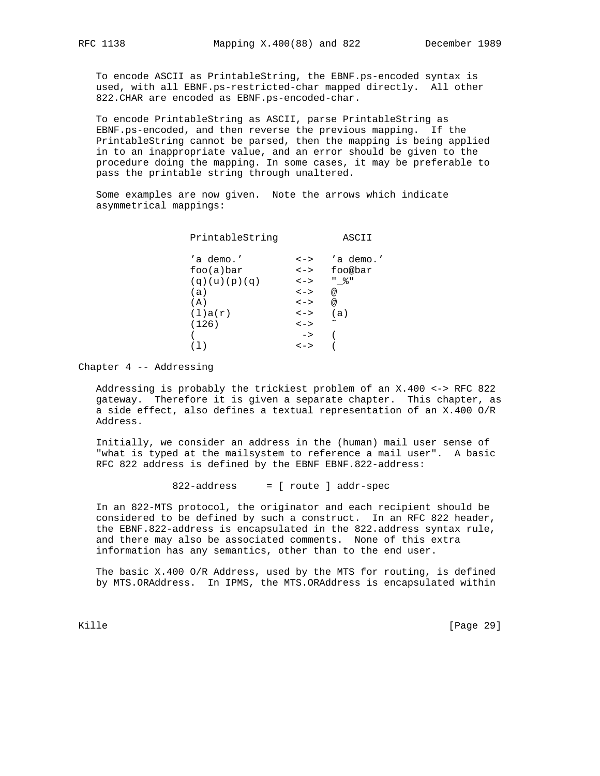To encode ASCII as PrintableString, the EBNF.ps-encoded syntax is used, with all EBNF.ps-restricted-char mapped directly. All other 822.CHAR are encoded as EBNF.ps-encoded-char.

 To encode PrintableString as ASCII, parse PrintableString as EBNF.ps-encoded, and then reverse the previous mapping. If the PrintableString cannot be parsed, then the mapping is being applied in to an inappropriate value, and an error should be given to the procedure doing the mapping. In some cases, it may be preferable to pass the printable string through unaltered.

 Some examples are now given. Note the arrows which indicate asymmetrical mappings:

| PrintableString |               | ASCII                 |
|-----------------|---------------|-----------------------|
| 'a demo.'       | $\lt$ $ >$    | 'a demo.'             |
| foo(a)bar       | $\lt$ $\gt$   | foo@bar               |
| (q)(u)(p)(q)    | $\lt$ $ >$    | " 응 "                 |
| (a)             | $\lt$ - $>$   | @                     |
| (A)             | $\lt$ $ >$    | @                     |
| (1)a(r)         | $\lt$ $ >$    | (a)                   |
| (126)           | $\lt$ $ >$    | $\tilde{\phantom{a}}$ |
|                 | $\rightarrow$ |                       |
|                 | $\lt$ $ >$    |                       |
|                 |               |                       |

Chapter 4 -- Addressing

 Addressing is probably the trickiest problem of an X.400 <-> RFC 822 gateway. Therefore it is given a separate chapter. This chapter, as a side effect, also defines a textual representation of an X.400 O/R Address.

 Initially, we consider an address in the (human) mail user sense of "what is typed at the mailsystem to reference a mail user". A basic RFC 822 address is defined by the EBNF EBNF.822-address:

822-address = [ route ] addr-spec

 In an 822-MTS protocol, the originator and each recipient should be considered to be defined by such a construct. In an RFC 822 header, the EBNF.822-address is encapsulated in the 822.address syntax rule, and there may also be associated comments. None of this extra information has any semantics, other than to the end user.

 The basic X.400 O/R Address, used by the MTS for routing, is defined by MTS.ORAddress. In IPMS, the MTS.ORAddress is encapsulated within

Kille [Page 29]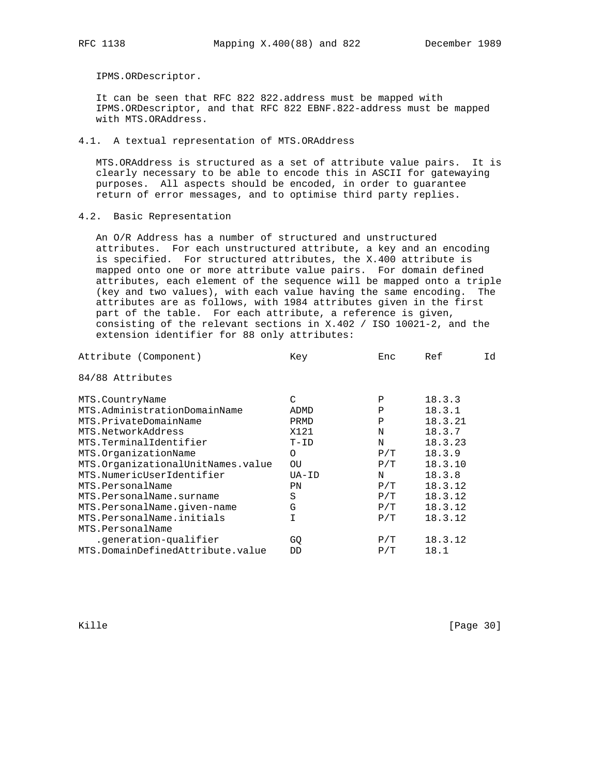IPMS.ORDescriptor.

 It can be seen that RFC 822 822.address must be mapped with IPMS.ORDescriptor, and that RFC 822 EBNF.822-address must be mapped with MTS.ORAddress.

# 4.1. A textual representation of MTS.ORAddress

 MTS.ORAddress is structured as a set of attribute value pairs. It is clearly necessary to be able to encode this in ASCII for gatewaying purposes. All aspects should be encoded, in order to guarantee return of error messages, and to optimise third party replies.

# 4.2. Basic Representation

 An O/R Address has a number of structured and unstructured attributes. For each unstructured attribute, a key and an encoding is specified. For structured attributes, the X.400 attribute is mapped onto one or more attribute value pairs. For domain defined attributes, each element of the sequence will be mapped onto a triple (key and two values), with each value having the same encoding. The attributes are as follows, with 1984 attributes given in the first part of the table. For each attribute, a reference is given, consisting of the relevant sections in X.402 / ISO 10021-2, and the extension identifier for 88 only attributes:

| Attribute (Component)             | Key      | Enc | Ref     | Id |
|-----------------------------------|----------|-----|---------|----|
| 84/88 Attributes                  |          |     |         |    |
| MTS.CountryName                   | C        | Ρ   | 18.3.3  |    |
| MTS.AdministrationDomainName      | ADMD     | Ρ   | 18.3.1  |    |
| MTS.PrivateDomainName             | PRMD     | Ρ   | 18.3.21 |    |
| MTS.NetworkAddress                | X121     | N   | 18.3.7  |    |
| MTS.TerminalIdentifier            | $T-ID$   | N   | 18.3.23 |    |
| MTS.OrganizationName              | $\Omega$ | P/T | 18.3.9  |    |
| MTS.OrganizationalUnitNames.value | OU.      | P/T | 18.3.10 |    |
| MTS.NumericUserIdentifier         | UA-ID    | N   | 18.3.8  |    |
| MTS.PersonalName                  | PN       | P/T | 18.3.12 |    |
| MTS.PersonalName.surname          | S        | P/T | 18.3.12 |    |
| MTS.PersonalName.given-name       | G        | P/T | 18.3.12 |    |
| MTS.PersonalName.initials         | T.       | P/T | 18.3.12 |    |
| MTS.PersonalName                  |          |     |         |    |
| .generation-qualifier             | GQ       | P/T | 18.3.12 |    |
| MTS.DomainDefinedAttribute.value  | DD       | P/T | 18.1    |    |
|                                   |          |     |         |    |

Kille [Page 30]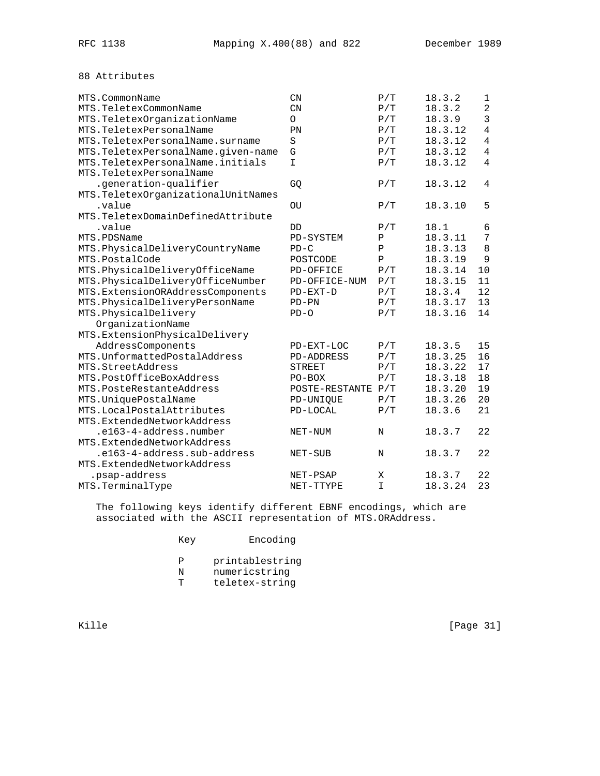# 88 Attributes

| MTS.CommonName                      | $\text{CN}$        | P/T          | 18.3.2  | 1              |
|-------------------------------------|--------------------|--------------|---------|----------------|
| MTS.TeletexCommonName               | $\mathbb{C}N$      | P/T          | 18.3.2  | $\overline{2}$ |
| MTS.TeletexOrganizationName         | $\circ$            | P/T          | 18.3.9  | 3              |
| MTS.TeletexPersonalName             | PN                 | P/T          | 18.3.12 | $\overline{4}$ |
| MTS. TeletexPersonalName. surname   | S                  | P/T          | 18.3.12 | 4              |
| MTS.TeletexPersonalName.given-name  | G                  | P/T          | 18.3.12 | $\overline{4}$ |
| MTS. TeletexPersonalName. initials  | I                  | P/T          | 18.3.12 | $\overline{4}$ |
| MTS.TeletexPersonalName             |                    |              |         |                |
| .generation-qualifier               | GQ                 | P/T          | 18.3.12 | $\overline{4}$ |
| MTS. TeletexOrganizationalUnitNames |                    |              |         |                |
| .value                              | OU                 | P/T          | 18.3.10 | 5              |
| MTS. TeletexDomainDefinedAttribute  |                    |              |         |                |
| .value                              | DD                 | P/T          | 18.1    | 6              |
| MTS.PDSName                         | PD-SYSTEM          | Ρ            | 18.3.11 | 7              |
| MTS.PhysicalDeliveryCountryName     | $PD-C$             | Ρ            | 18.3.13 | 8              |
| MTS.PostalCode                      | POSTCODE           | $\mathbf{P}$ | 18.3.19 | 9              |
| MTS.PhysicalDeliveryOfficeName      | PD-OFFICE          | P/T          | 18.3.14 | 10             |
| MTS.PhysicalDeliveryOfficeNumber    | PD-OFFICE-NUM      | P/T          | 18.3.15 | 11             |
| MTS. ExtensionORAddressComponents   | $PD-EXT-D$         | P/T          | 18.3.4  | 12             |
| MTS.PhysicalDeliveryPersonName      | $PD-PN$            | P/T          | 18.3.17 | 13             |
| MTS.PhysicalDelivery                | $PD-O$             | P/T          | 18.3.16 | 14             |
| OrganizationName                    |                    |              |         |                |
| MTS.ExtensionPhysicalDelivery       |                    |              |         |                |
| AddressComponents                   | PD-EXT-LOC         | P/T          | 18.3.5  | 15             |
| MTS. UnformattedPostalAddress       | <b>PD-ADDRESS</b>  | P/T          | 18.3.25 | 16             |
| MTS.StreetAddress                   | <b>STREET</b>      | P/T          | 18.3.22 | 17             |
| MTS.PostOfficeBoxAddress            | $PO-BOX$           | P/T          | 18.3.18 | 18             |
| MTS. PosteRestanteAddress           | POSTE-RESTANTE P/T |              | 18.3.20 | 19             |
| MTS.UniquePostalName                | PD-UNIQUE          | P/T          | 18.3.26 | 20             |
| MTS.LocalPostalAttributes           | PD-LOCAL           | P/T          | 18.3.6  | 21             |
| MTS.ExtendedNetworkAddress          |                    |              |         |                |
| .e163-4-address.number              | NET-NUM            | N            | 18.3.7  | 22             |
| MTS.ExtendedNetworkAddress          |                    |              |         |                |
| .el63-4-address.sub-address         | NET-SUB            | $_{\rm N}$   | 18.3.7  | 22             |
| MTS.ExtendedNetworkAddress          |                    |              |         |                |
| .psap-address                       | NET-PSAP           | X            | 18.3.7  | 22             |
| MTS.TerminalType                    | NET-TTYPE          | $\mathbf I$  | 18.3.24 | 23             |

 The following keys identify different EBNF encodings, which are associated with the ASCII representation of MTS.ORAddress.

| Key | Encoding |
|-----|----------|
|-----|----------|

- P printablestring<br>N numericstring
- N numericstring<br>T teletex-string
- teletex-string

Kille [Page 31]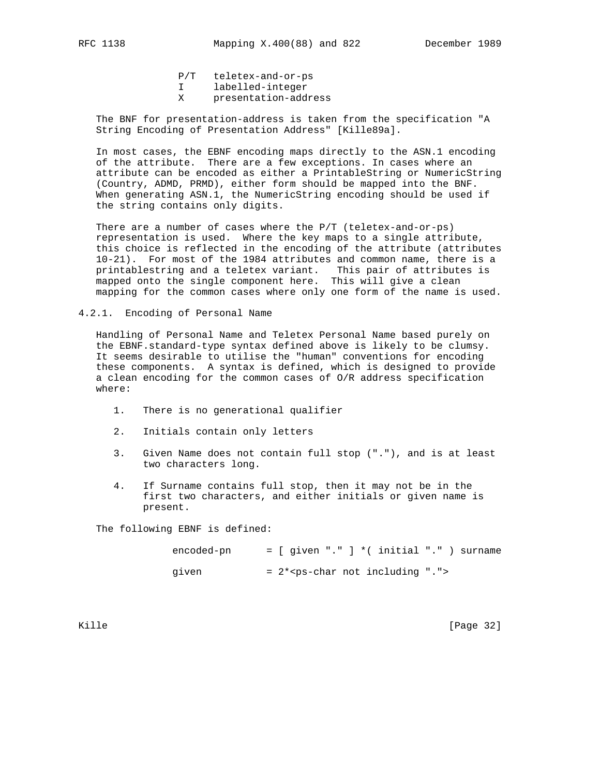P/T teletex-and-or-ps

- I labelled-integer
- X presentation-address

 The BNF for presentation-address is taken from the specification "A String Encoding of Presentation Address" [Kille89a].

 In most cases, the EBNF encoding maps directly to the ASN.1 encoding of the attribute. There are a few exceptions. In cases where an attribute can be encoded as either a PrintableString or NumericString (Country, ADMD, PRMD), either form should be mapped into the BNF. When generating ASN.1, the NumericString encoding should be used if the string contains only digits.

 There are a number of cases where the P/T (teletex-and-or-ps) representation is used. Where the key maps to a single attribute, this choice is reflected in the encoding of the attribute (attributes 10-21). For most of the 1984 attributes and common name, there is a printablestring and a teletex variant. This pair of attributes is mapped onto the single component here. This will give a clean mapping for the common cases where only one form of the name is used.

4.2.1. Encoding of Personal Name

 Handling of Personal Name and Teletex Personal Name based purely on the EBNF.standard-type syntax defined above is likely to be clumsy. It seems desirable to utilise the "human" conventions for encoding these components. A syntax is defined, which is designed to provide a clean encoding for the common cases of O/R address specification where:

- 1. There is no generational qualifier
- 2. Initials contain only letters
- 3. Given Name does not contain full stop ("."), and is at least two characters long.
- 4. If Surname contains full stop, then it may not be in the first two characters, and either initials or given name is present.

The following EBNF is defined:

| encoded-pn |  | $=$ [ given "." ] *( initial "." ) surname |  |  |  |  |
|------------|--|--------------------------------------------|--|--|--|--|
| given      |  | $= 2*ps-char not including ".$             |  |  |  |  |

Kille [Page 32]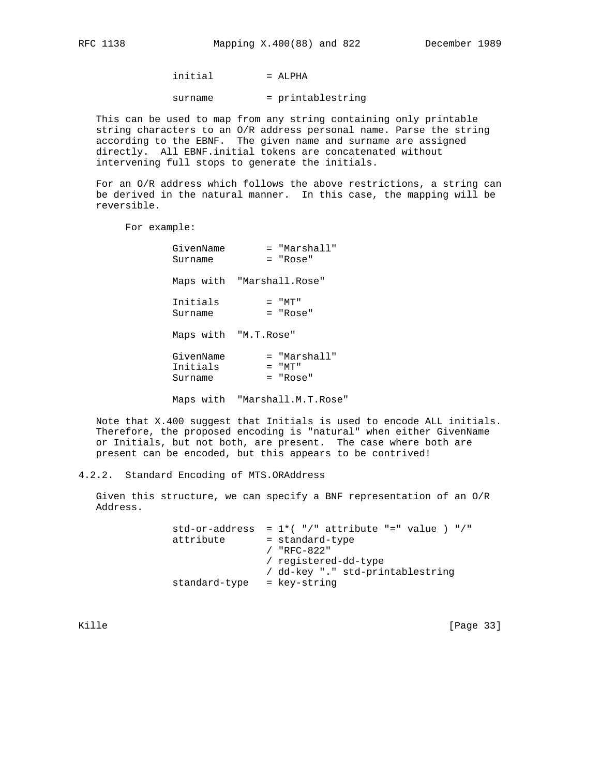$initial$  = ALPHA

surname = printablestring

 This can be used to map from any string containing only printable string characters to an O/R address personal name. Parse the string according to the EBNF. The given name and surname are assigned directly. All EBNF.initial tokens are concatenated without intervening full stops to generate the initials.

 For an O/R address which follows the above restrictions, a string can be derived in the natural manner. In this case, the mapping will be reversible.

For example:

| GivenName<br>Surname             | = "Marshall"<br>= "Rose"                   |
|----------------------------------|--------------------------------------------|
| Maps with "Marshall.Rose"        |                                            |
| Initials<br>Surname              | $=$ " $MT$ "<br>$=$ "Rose"                 |
| Maps with "M.T.Rose"             |                                            |
| GivenName<br>Initials<br>Surname | = "Marshall"<br>$=$ " $MT$ "<br>$=$ "Rose" |
|                                  | Maps with "Marshall.M.T.Rose"              |

 Note that X.400 suggest that Initials is used to encode ALL initials. Therefore, the proposed encoding is "natural" when either GivenName or Initials, but not both, are present. The case where both are present can be encoded, but this appears to be contrived!

4.2.2. Standard Encoding of MTS.ORAddress

 Given this structure, we can specify a BNF representation of an O/R Address.

> std-or-address =  $1*(-")$ " attribute "=" value ) "/" attribute = standard-type / "RFC-822" / registered-dd-type / dd-key "." std-printablestring standard-type = key-string

Kille [Page 33]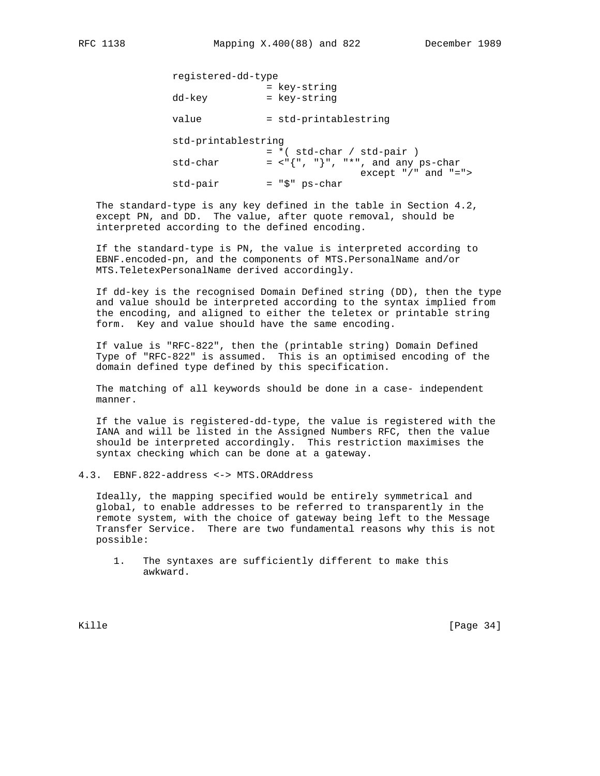| registered-dd-type  |                              |                                                               |
|---------------------|------------------------------|---------------------------------------------------------------|
| dd-key              | = key-string<br>= key-string |                                                               |
| value               | = std-printablestring        |                                                               |
| std-printablestring | $= *$ (std-char / std-pair)  |                                                               |
| std-char            |                              | $=$ <"{", "}", "*", and any ps-char<br>except $*/"$ and $"="$ |
| std-pair            | = "\$" ps-char               |                                                               |

 The standard-type is any key defined in the table in Section 4.2, except PN, and DD. The value, after quote removal, should be interpreted according to the defined encoding.

 If the standard-type is PN, the value is interpreted according to EBNF.encoded-pn, and the components of MTS.PersonalName and/or MTS.TeletexPersonalName derived accordingly.

 If dd-key is the recognised Domain Defined string (DD), then the type and value should be interpreted according to the syntax implied from the encoding, and aligned to either the teletex or printable string form. Key and value should have the same encoding.

 If value is "RFC-822", then the (printable string) Domain Defined Type of "RFC-822" is assumed. This is an optimised encoding of the domain defined type defined by this specification.

 The matching of all keywords should be done in a case- independent manner.

 If the value is registered-dd-type, the value is registered with the IANA and will be listed in the Assigned Numbers RFC, then the value should be interpreted accordingly. This restriction maximises the syntax checking which can be done at a gateway.

4.3. EBNF.822-address <-> MTS.ORAddress

 Ideally, the mapping specified would be entirely symmetrical and global, to enable addresses to be referred to transparently in the remote system, with the choice of gateway being left to the Message Transfer Service. There are two fundamental reasons why this is not possible:

 1. The syntaxes are sufficiently different to make this awkward.

Kille [Page 34]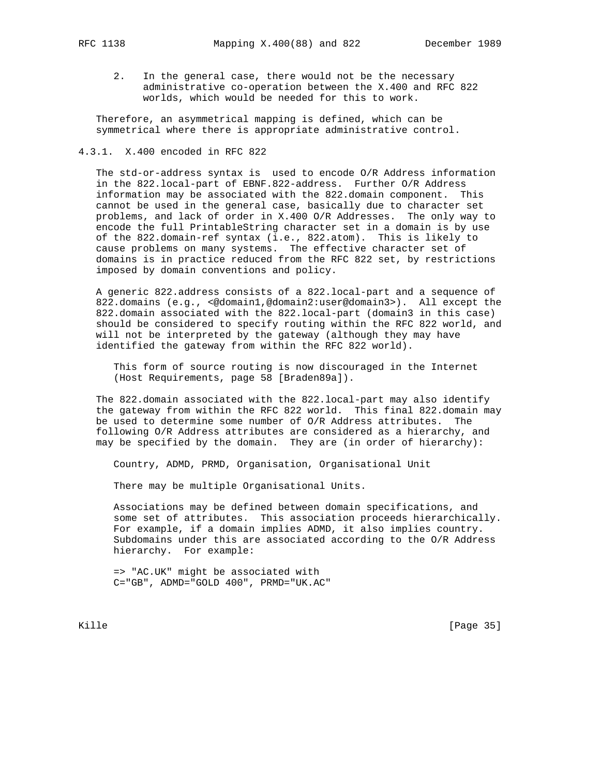2. In the general case, there would not be the necessary administrative co-operation between the X.400 and RFC 822 worlds, which would be needed for this to work.

 Therefore, an asymmetrical mapping is defined, which can be symmetrical where there is appropriate administrative control.

#### 4.3.1. X.400 encoded in RFC 822

 The std-or-address syntax is used to encode O/R Address information in the 822.local-part of EBNF.822-address. Further O/R Address information may be associated with the 822.domain component. This cannot be used in the general case, basically due to character set problems, and lack of order in X.400 O/R Addresses. The only way to encode the full PrintableString character set in a domain is by use of the 822.domain-ref syntax (i.e., 822.atom). This is likely to cause problems on many systems. The effective character set of domains is in practice reduced from the RFC 822 set, by restrictions imposed by domain conventions and policy.

 A generic 822.address consists of a 822.local-part and a sequence of 822.domains (e.g., <@domain1,@domain2:user@domain3>). All except the 822.domain associated with the 822.local-part (domain3 in this case) should be considered to specify routing within the RFC 822 world, and will not be interpreted by the gateway (although they may have identified the gateway from within the RFC 822 world).

 This form of source routing is now discouraged in the Internet (Host Requirements, page 58 [Braden89a]).

 The 822.domain associated with the 822.local-part may also identify the gateway from within the RFC 822 world. This final 822.domain may be used to determine some number of O/R Address attributes. The following O/R Address attributes are considered as a hierarchy, and may be specified by the domain. They are (in order of hierarchy):

Country, ADMD, PRMD, Organisation, Organisational Unit

There may be multiple Organisational Units.

 Associations may be defined between domain specifications, and some set of attributes. This association proceeds hierarchically. For example, if a domain implies ADMD, it also implies country. Subdomains under this are associated according to the O/R Address hierarchy. For example:

 => "AC.UK" might be associated with C="GB", ADMD="GOLD 400", PRMD="UK.AC"

Kille [Page 35]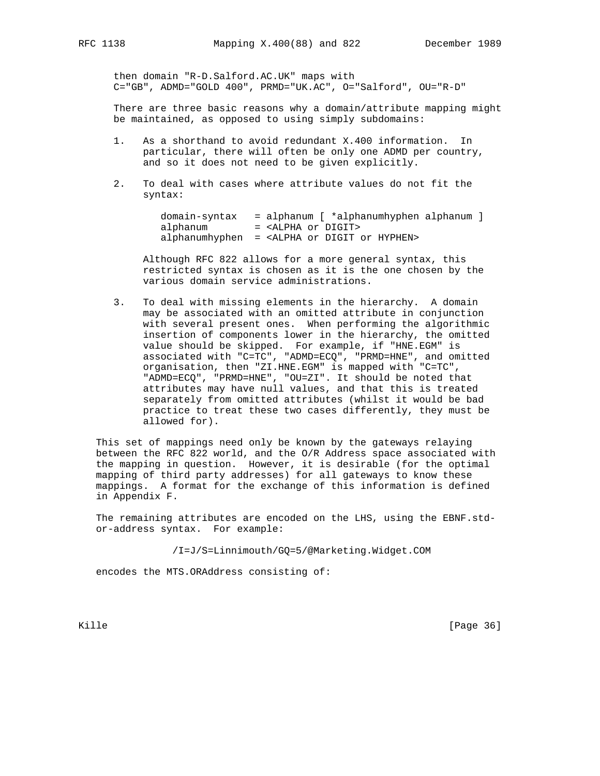then domain "R-D.Salford.AC.UK" maps with C="GB", ADMD="GOLD 400", PRMD="UK.AC", O="Salford", OU="R-D"

 There are three basic reasons why a domain/attribute mapping might be maintained, as opposed to using simply subdomains:

- 1. As a shorthand to avoid redundant X.400 information. In particular, there will often be only one ADMD per country, and so it does not need to be given explicitly.
- 2. To deal with cases where attribute values do not fit the syntax:

|          | $domain-syntax = alphanum$ $*alphanumhyphen alphanum$ ]   |
|----------|-----------------------------------------------------------|
| alphanum | = <alpha digit="" or=""></alpha>                          |
|          | alphanumhyphen = <alpha digit="" hyphen="" or=""></alpha> |

 Although RFC 822 allows for a more general syntax, this restricted syntax is chosen as it is the one chosen by the various domain service administrations.

 3. To deal with missing elements in the hierarchy. A domain may be associated with an omitted attribute in conjunction with several present ones. When performing the algorithmic insertion of components lower in the hierarchy, the omitted value should be skipped. For example, if "HNE.EGM" is associated with "C=TC", "ADMD=ECQ", "PRMD=HNE", and omitted organisation, then "ZI.HNE.EGM" is mapped with "C=TC", "ADMD=ECQ", "PRMD=HNE", "OU=ZI". It should be noted that attributes may have null values, and that this is treated separately from omitted attributes (whilst it would be bad practice to treat these two cases differently, they must be allowed for).

 This set of mappings need only be known by the gateways relaying between the RFC 822 world, and the O/R Address space associated with the mapping in question. However, it is desirable (for the optimal mapping of third party addresses) for all gateways to know these mappings. A format for the exchange of this information is defined in Appendix F.

 The remaining attributes are encoded on the LHS, using the EBNF.std or-address syntax. For example:

/I=J/S=Linnimouth/GQ=5/@Marketing.Widget.COM

encodes the MTS.ORAddress consisting of:

Kille [Page 36]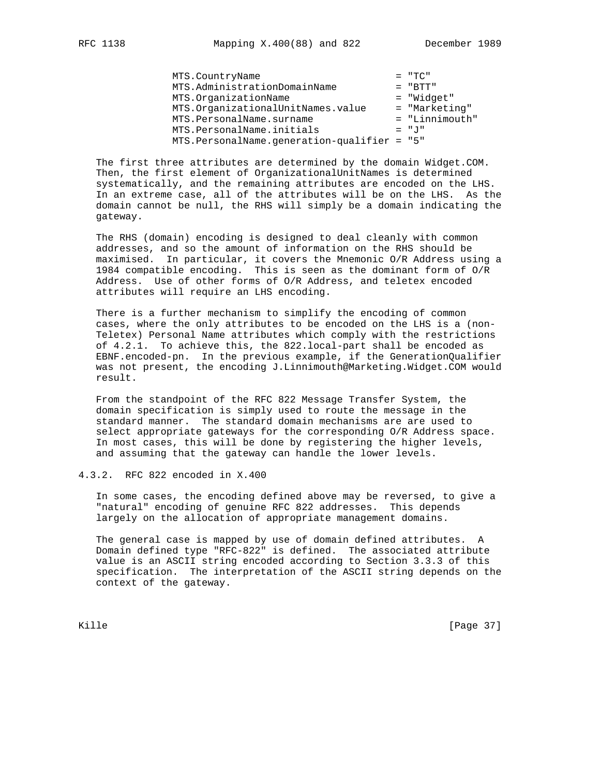MTS.CountryName<br>MTS.AdministrationDomainName = "BTT" MTS.AdministrationDomainName = "BTT"<br>MTS.OrganizationName = "Widget" MTS.OrganizationName MTS.OrganizationalUnitNames.value = "Marketing"<br>MTS.PersonalName.surname = "Linnimouth" MTS.PersonalName.surname =  $\blacksquare$  = "Linnimouth" MTS.PersonalName.initials  $= "J"$ MTS.PersonalName.generation-qualifier = "5"

 The first three attributes are determined by the domain Widget.COM. Then, the first element of OrganizationalUnitNames is determined systematically, and the remaining attributes are encoded on the LHS. In an extreme case, all of the attributes will be on the LHS. As the domain cannot be null, the RHS will simply be a domain indicating the gateway.

 The RHS (domain) encoding is designed to deal cleanly with common addresses, and so the amount of information on the RHS should be maximised. In particular, it covers the Mnemonic O/R Address using a 1984 compatible encoding. This is seen as the dominant form of O/R Address. Use of other forms of O/R Address, and teletex encoded attributes will require an LHS encoding.

 There is a further mechanism to simplify the encoding of common cases, where the only attributes to be encoded on the LHS is a (non- Teletex) Personal Name attributes which comply with the restrictions of 4.2.1. To achieve this, the 822.local-part shall be encoded as EBNF.encoded-pn. In the previous example, if the GenerationQualifier was not present, the encoding J.Linnimouth@Marketing.Widget.COM would result.

 From the standpoint of the RFC 822 Message Transfer System, the domain specification is simply used to route the message in the standard manner. The standard domain mechanisms are are used to select appropriate gateways for the corresponding O/R Address space. In most cases, this will be done by registering the higher levels, and assuming that the gateway can handle the lower levels.

### 4.3.2. RFC 822 encoded in X.400

 In some cases, the encoding defined above may be reversed, to give a "natural" encoding of genuine RFC 822 addresses. This depends largely on the allocation of appropriate management domains.

 The general case is mapped by use of domain defined attributes. A Domain defined type "RFC-822" is defined. The associated attribute value is an ASCII string encoded according to Section 3.3.3 of this specification. The interpretation of the ASCII string depends on the context of the gateway.

Kille [Page 37]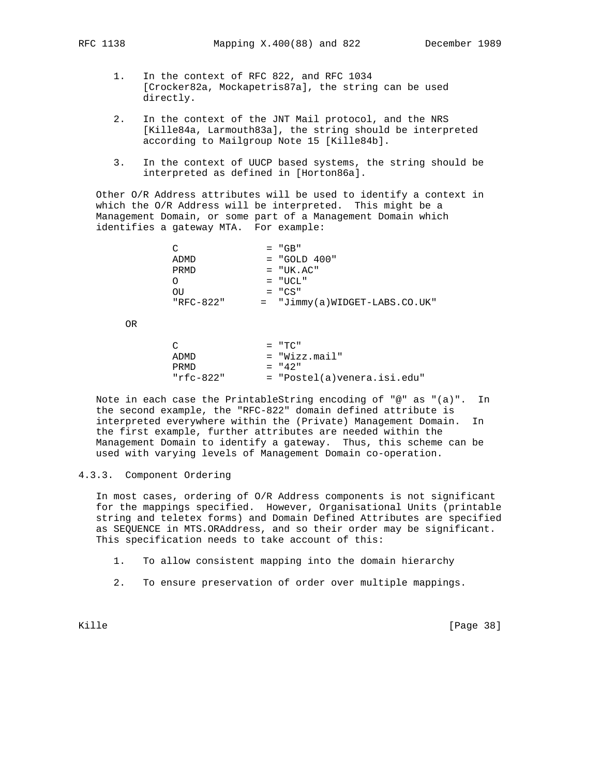- 1. In the context of RFC 822, and RFC 1034 [Crocker82a, Mockapetris87a], the string can be used directly.
- 2. In the context of the JNT Mail protocol, and the NRS [Kille84a, Larmouth83a], the string should be interpreted according to Mailgroup Note 15 [Kille84b].
- 3. In the context of UUCP based systems, the string should be interpreted as defined in [Horton86a].

 Other O/R Address attributes will be used to identify a context in which the O/R Address will be interpreted. This might be a Management Domain, or some part of a Management Domain which identifies a gateway MTA. For example:

| C         | $= "GB"$                        |
|-----------|---------------------------------|
| ADMD      | $=$ "GOLD 400"                  |
| PRMD      | $= "UK. AC"$                    |
|           | $= "UCL"$                       |
| OU        | $= "CS"$                        |
| "RFC-822" | $=$ "Jimmy(a)WIDGET-LABS.CO.UK" |
|           |                                 |

OR

| $\cap$    | $=$ "TC"                    |
|-----------|-----------------------------|
| ADMD      | = "Wizz.mail"               |
| PRMD      | $= 42$ "                    |
| "rfc-822" | = "Postel(a)venera.isi.edu" |

 Note in each case the PrintableString encoding of "@" as "(a)". In the second example, the "RFC-822" domain defined attribute is interpreted everywhere within the (Private) Management Domain. In the first example, further attributes are needed within the Management Domain to identify a gateway. Thus, this scheme can be used with varying levels of Management Domain co-operation.

## 4.3.3. Component Ordering

 In most cases, ordering of O/R Address components is not significant for the mappings specified. However, Organisational Units (printable string and teletex forms) and Domain Defined Attributes are specified as SEQUENCE in MTS.ORAddress, and so their order may be significant. This specification needs to take account of this:

1. To allow consistent mapping into the domain hierarchy

2. To ensure preservation of order over multiple mappings.

Kille [Page 38]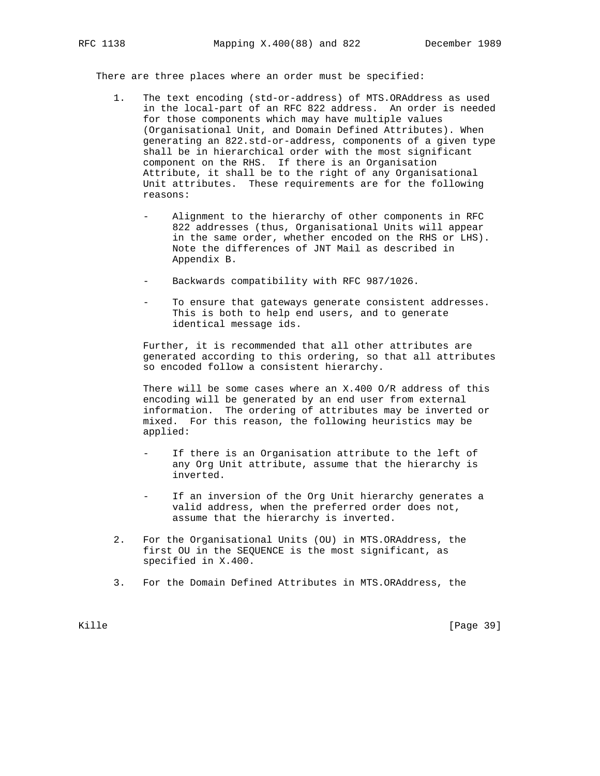There are three places where an order must be specified:

- 1. The text encoding (std-or-address) of MTS.ORAddress as used in the local-part of an RFC 822 address. An order is needed for those components which may have multiple values (Organisational Unit, and Domain Defined Attributes). When generating an 822.std-or-address, components of a given type shall be in hierarchical order with the most significant component on the RHS. If there is an Organisation Attribute, it shall be to the right of any Organisational Unit attributes. These requirements are for the following reasons:
	- Alignment to the hierarchy of other components in RFC 822 addresses (thus, Organisational Units will appear in the same order, whether encoded on the RHS or LHS). Note the differences of JNT Mail as described in Appendix B.
	- Backwards compatibility with RFC 987/1026.
	- To ensure that gateways generate consistent addresses. This is both to help end users, and to generate identical message ids.

 Further, it is recommended that all other attributes are generated according to this ordering, so that all attributes so encoded follow a consistent hierarchy.

 There will be some cases where an X.400 O/R address of this encoding will be generated by an end user from external information. The ordering of attributes may be inverted or mixed. For this reason, the following heuristics may be applied:

- If there is an Organisation attribute to the left of any Org Unit attribute, assume that the hierarchy is inverted.
- If an inversion of the Org Unit hierarchy generates a valid address, when the preferred order does not, assume that the hierarchy is inverted.
- 2. For the Organisational Units (OU) in MTS.ORAddress, the first OU in the SEQUENCE is the most significant, as specified in X.400.
- 3. For the Domain Defined Attributes in MTS.ORAddress, the

Kille [Page 39]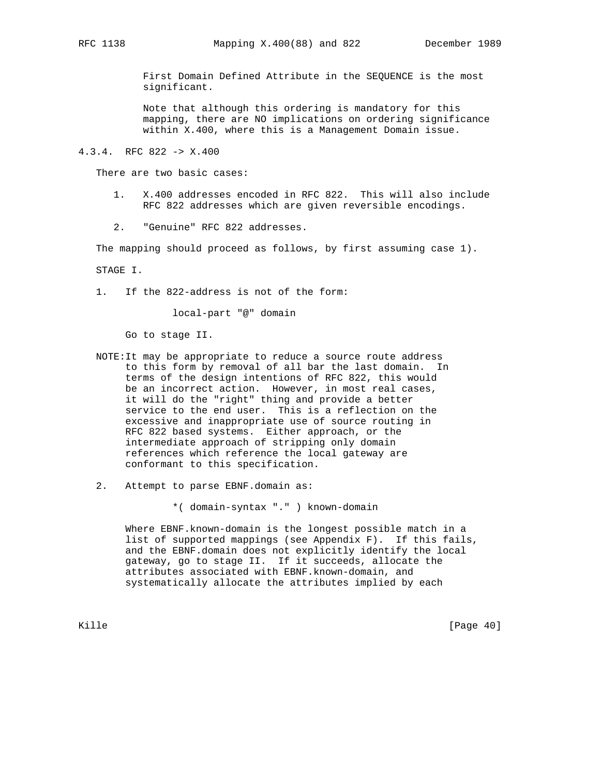First Domain Defined Attribute in the SEQUENCE is the most significant.

 Note that although this ordering is mandatory for this mapping, there are NO implications on ordering significance within X.400, where this is a Management Domain issue.

4.3.4. RFC 822 -> X.400

There are two basic cases:

- 1. X.400 addresses encoded in RFC 822. This will also include RFC 822 addresses which are given reversible encodings.
- 2. "Genuine" RFC 822 addresses.

The mapping should proceed as follows, by first assuming case 1).

STAGE I.

1. If the 822-address is not of the form:

local-part "@" domain

Go to stage II.

- NOTE:It may be appropriate to reduce a source route address to this form by removal of all bar the last domain. In terms of the design intentions of RFC 822, this would be an incorrect action. However, in most real cases, it will do the "right" thing and provide a better service to the end user. This is a reflection on the excessive and inappropriate use of source routing in RFC 822 based systems. Either approach, or the intermediate approach of stripping only domain references which reference the local gateway are conformant to this specification.
- 2. Attempt to parse EBNF.domain as:

\*( domain-syntax "." ) known-domain

 Where EBNF.known-domain is the longest possible match in a list of supported mappings (see Appendix F). If this fails, and the EBNF.domain does not explicitly identify the local gateway, go to stage II. If it succeeds, allocate the attributes associated with EBNF.known-domain, and systematically allocate the attributes implied by each

Kille [Page 40]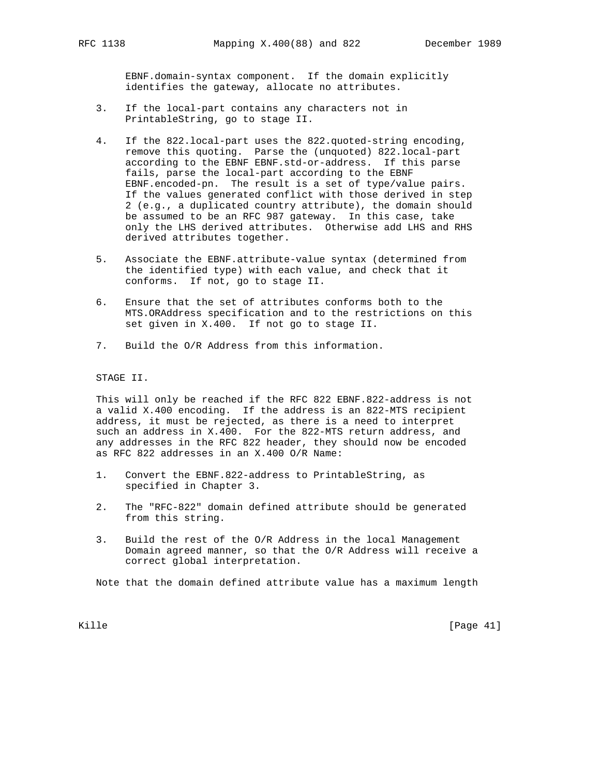EBNF.domain-syntax component. If the domain explicitly identifies the gateway, allocate no attributes.

- 3. If the local-part contains any characters not in PrintableString, go to stage II.
- 4. If the 822.local-part uses the 822.quoted-string encoding, remove this quoting. Parse the (unquoted) 822.local-part according to the EBNF EBNF.std-or-address. If this parse fails, parse the local-part according to the EBNF EBNF.encoded-pn. The result is a set of type/value pairs. If the values generated conflict with those derived in step 2 (e.g., a duplicated country attribute), the domain should be assumed to be an RFC 987 gateway. In this case, take only the LHS derived attributes. Otherwise add LHS and RHS derived attributes together.
- 5. Associate the EBNF.attribute-value syntax (determined from the identified type) with each value, and check that it conforms. If not, go to stage II.
- 6. Ensure that the set of attributes conforms both to the MTS.ORAddress specification and to the restrictions on this set given in X.400. If not go to stage II.
- 7. Build the O/R Address from this information.

STAGE II.

 This will only be reached if the RFC 822 EBNF.822-address is not a valid X.400 encoding. If the address is an 822-MTS recipient address, it must be rejected, as there is a need to interpret such an address in X.400. For the 822-MTS return address, and any addresses in the RFC 822 header, they should now be encoded as RFC 822 addresses in an X.400 O/R Name:

- 1. Convert the EBNF.822-address to PrintableString, as specified in Chapter 3.
- 2. The "RFC-822" domain defined attribute should be generated from this string.
- 3. Build the rest of the O/R Address in the local Management Domain agreed manner, so that the O/R Address will receive a correct global interpretation.

Note that the domain defined attribute value has a maximum length

Kille [Page 41]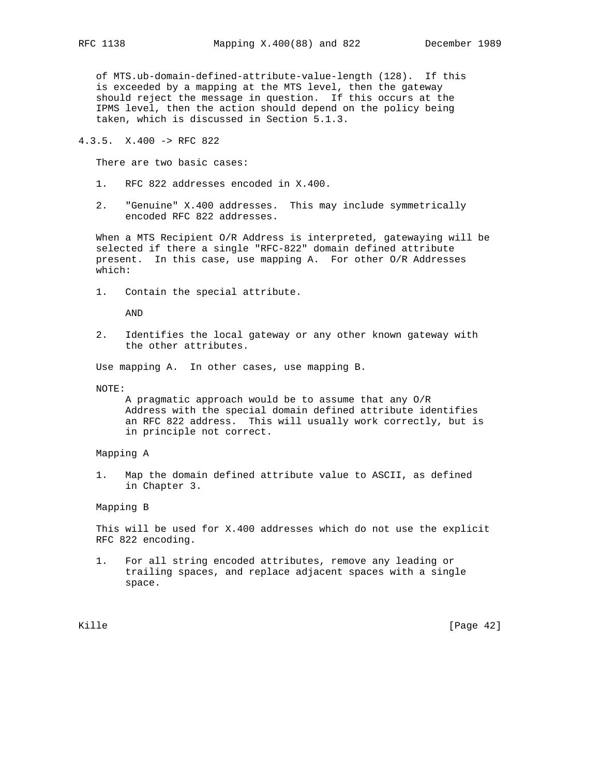of MTS.ub-domain-defined-attribute-value-length (128). If this is exceeded by a mapping at the MTS level, then the gateway should reject the message in question. If this occurs at the IPMS level, then the action should depend on the policy being taken, which is discussed in Section 5.1.3.

4.3.5. X.400 -> RFC 822

There are two basic cases:

- 1. RFC 822 addresses encoded in X.400.
- 2. "Genuine" X.400 addresses. This may include symmetrically encoded RFC 822 addresses.

 When a MTS Recipient O/R Address is interpreted, gatewaying will be selected if there a single "RFC-822" domain defined attribute present. In this case, use mapping A. For other O/R Addresses which:

1. Contain the special attribute.

AND

 2. Identifies the local gateway or any other known gateway with the other attributes.

Use mapping A. In other cases, use mapping B.

NOTE:

 A pragmatic approach would be to assume that any O/R Address with the special domain defined attribute identifies an RFC 822 address. This will usually work correctly, but is in principle not correct.

Mapping A

 1. Map the domain defined attribute value to ASCII, as defined in Chapter 3.

Mapping B

 This will be used for X.400 addresses which do not use the explicit RFC 822 encoding.

 1. For all string encoded attributes, remove any leading or trailing spaces, and replace adjacent spaces with a single space.

Kille [Page 42]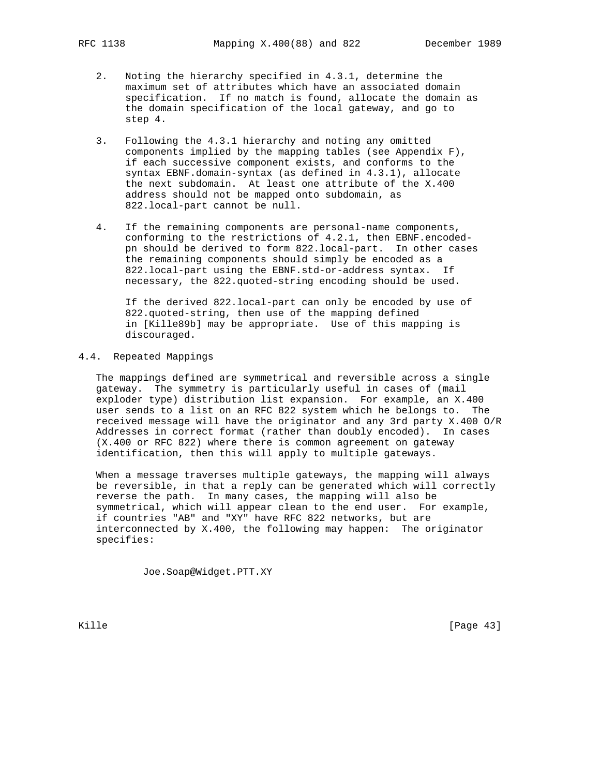- 2. Noting the hierarchy specified in 4.3.1, determine the maximum set of attributes which have an associated domain specification. If no match is found, allocate the domain as the domain specification of the local gateway, and go to step 4.
- 3. Following the 4.3.1 hierarchy and noting any omitted components implied by the mapping tables (see Appendix F), if each successive component exists, and conforms to the syntax EBNF.domain-syntax (as defined in 4.3.1), allocate the next subdomain. At least one attribute of the X.400 address should not be mapped onto subdomain, as 822.local-part cannot be null.
- 4. If the remaining components are personal-name components, conforming to the restrictions of 4.2.1, then EBNF.encoded pn should be derived to form 822.local-part. In other cases the remaining components should simply be encoded as a 822.local-part using the EBNF.std-or-address syntax. If necessary, the 822.quoted-string encoding should be used.

 If the derived 822.local-part can only be encoded by use of 822.quoted-string, then use of the mapping defined in [Kille89b] may be appropriate. Use of this mapping is discouraged.

# 4.4. Repeated Mappings

 The mappings defined are symmetrical and reversible across a single gateway. The symmetry is particularly useful in cases of (mail exploder type) distribution list expansion. For example, an X.400 user sends to a list on an RFC 822 system which he belongs to. The received message will have the originator and any 3rd party X.400 O/R Addresses in correct format (rather than doubly encoded). In cases (X.400 or RFC 822) where there is common agreement on gateway identification, then this will apply to multiple gateways.

 When a message traverses multiple gateways, the mapping will always be reversible, in that a reply can be generated which will correctly reverse the path. In many cases, the mapping will also be symmetrical, which will appear clean to the end user. For example, if countries "AB" and "XY" have RFC 822 networks, but are interconnected by X.400, the following may happen: The originator specifies:

Joe.Soap@Widget.PTT.XY

Kille [Page 43]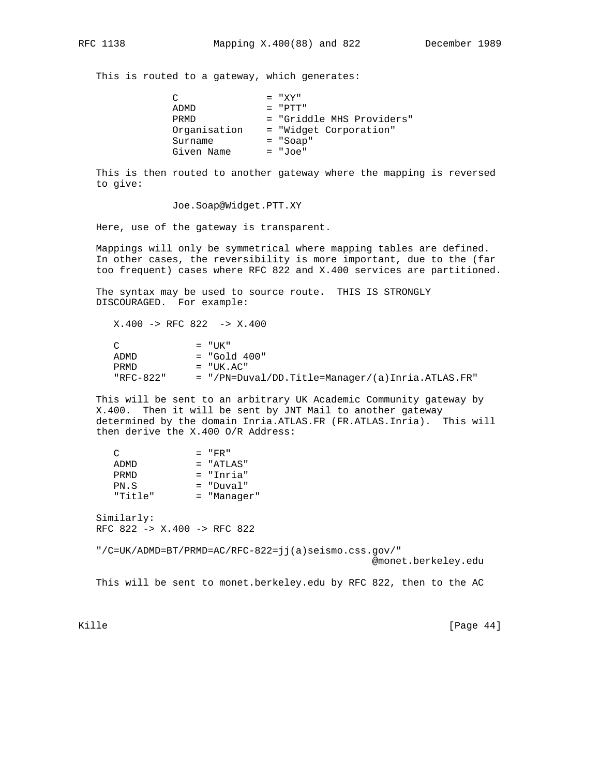This is routed to a gateway, which generates:

| $\cap$       | $= "XY"$                  |
|--------------|---------------------------|
| ADMD         | $=$ "PTT"                 |
| PRMD         | = "Griddle MHS Providers" |
| Organisation | = "Widget Corporation"    |
| Surname      | $= "Soap"$                |
| Given Name   | = "Joe"                   |

 This is then routed to another gateway where the mapping is reversed to give:

Joe.Soap@Widget.PTT.XY

Here, use of the gateway is transparent.

 Mappings will only be symmetrical where mapping tables are defined. In other cases, the reversibility is more important, due to the (far too frequent) cases where RFC 822 and X.400 services are partitioned.

 The syntax may be used to source route. THIS IS STRONGLY DISCOURAGED. For example:

 X.400 -> RFC 822 -> X.400  $C = "UK"$  ADMD = "Gold 400" PRMD = "UK.AC" "RFC-822" = "/PN=Duval/DD.Title=Manager/(a)Inria.ATLAS.FR"

 This will be sent to an arbitrary UK Academic Community gateway by X.400. Then it will be sent by JNT Mail to another gateway determined by the domain Inria.ATLAS.FR (FR.ATLAS.Inria). This will then derive the X.400 O/R Address:

| ◠       | $=$ "FR"      |
|---------|---------------|
| ADMD    | $=$ "ATIAS"   |
| PRMD    | = "Inria"     |
| PN.S    | $=$ "Duval"   |
| "Title" | $=$ "Manager" |

 Similarly: RFC 822 -> X.400 -> RFC 822

"/C=UK/ADMD=BT/PRMD=AC/RFC-822=jj(a)seismo.css.gov/"

@monet.berkeley.edu

This will be sent to monet.berkeley.edu by RFC 822, then to the AC

Kille [Page 44]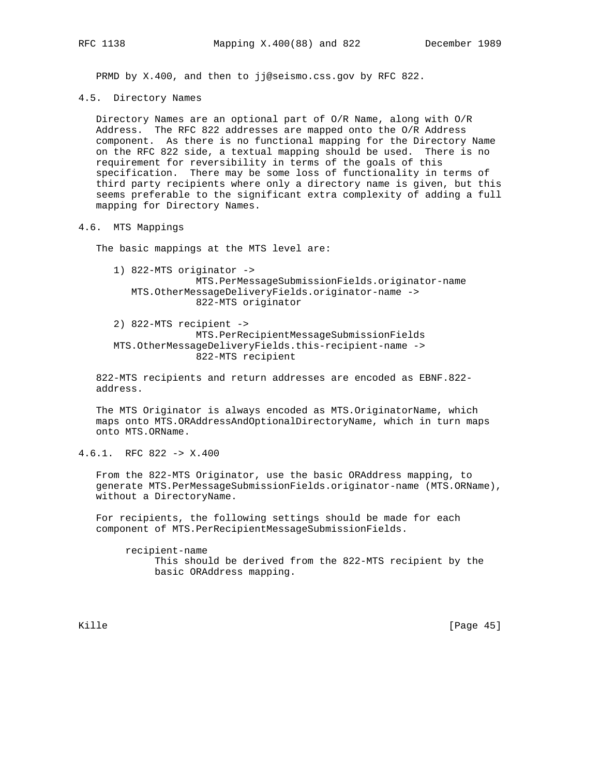PRMD by X.400, and then to jj@seismo.css.gov by RFC 822.

4.5. Directory Names

 Directory Names are an optional part of O/R Name, along with O/R Address. The RFC 822 addresses are mapped onto the O/R Address component. As there is no functional mapping for the Directory Name on the RFC 822 side, a textual mapping should be used. There is no requirement for reversibility in terms of the goals of this specification. There may be some loss of functionality in terms of third party recipients where only a directory name is given, but this seems preferable to the significant extra complexity of adding a full mapping for Directory Names.

4.6. MTS Mappings

The basic mappings at the MTS level are:

- 1) 822-MTS originator -> MTS.PerMessageSubmissionFields.originator-name MTS.OtherMessageDeliveryFields.originator-name -> 822-MTS originator
- 2) 822-MTS recipient -> MTS.PerRecipientMessageSubmissionFields MTS.OtherMessageDeliveryFields.this-recipient-name -> 822-MTS recipient

 822-MTS recipients and return addresses are encoded as EBNF.822 address.

 The MTS Originator is always encoded as MTS.OriginatorName, which maps onto MTS.ORAddressAndOptionalDirectoryName, which in turn maps onto MTS.ORName.

4.6.1. RFC 822 -> X.400

 From the 822-MTS Originator, use the basic ORAddress mapping, to generate MTS.PerMessageSubmissionFields.originator-name (MTS.ORName), without a DirectoryName.

 For recipients, the following settings should be made for each component of MTS.PerRecipientMessageSubmissionFields.

 recipient-name This should be derived from the 822-MTS recipient by the basic ORAddress mapping.

Kille [Page 45]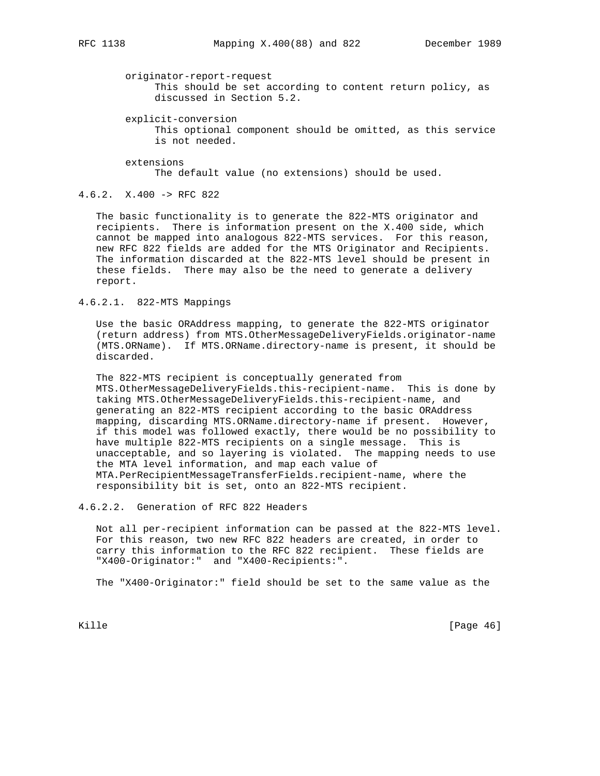originator-report-request

 This should be set according to content return policy, as discussed in Section 5.2.

explicit-conversion

 This optional component should be omitted, as this service is not needed.

 extensions The default value (no extensions) should be used.

4.6.2. X.400 -> RFC 822

 The basic functionality is to generate the 822-MTS originator and recipients. There is information present on the X.400 side, which cannot be mapped into analogous 822-MTS services. For this reason, new RFC 822 fields are added for the MTS Originator and Recipients. The information discarded at the 822-MTS level should be present in these fields. There may also be the need to generate a delivery report.

4.6.2.1. 822-MTS Mappings

 Use the basic ORAddress mapping, to generate the 822-MTS originator (return address) from MTS.OtherMessageDeliveryFields.originator-name (MTS.ORName). If MTS.ORName.directory-name is present, it should be discarded.

 The 822-MTS recipient is conceptually generated from MTS.OtherMessageDeliveryFields.this-recipient-name. This is done by taking MTS.OtherMessageDeliveryFields.this-recipient-name, and generating an 822-MTS recipient according to the basic ORAddress mapping, discarding MTS.ORName.directory-name if present. However, if this model was followed exactly, there would be no possibility to have multiple 822-MTS recipients on a single message. This is unacceptable, and so layering is violated. The mapping needs to use the MTA level information, and map each value of MTA.PerRecipientMessageTransferFields.recipient-name, where the responsibility bit is set, onto an 822-MTS recipient.

4.6.2.2. Generation of RFC 822 Headers

 Not all per-recipient information can be passed at the 822-MTS level. For this reason, two new RFC 822 headers are created, in order to carry this information to the RFC 822 recipient. These fields are "X400-Originator:" and "X400-Recipients:".

The "X400-Originator:" field should be set to the same value as the

Kille [Page 46]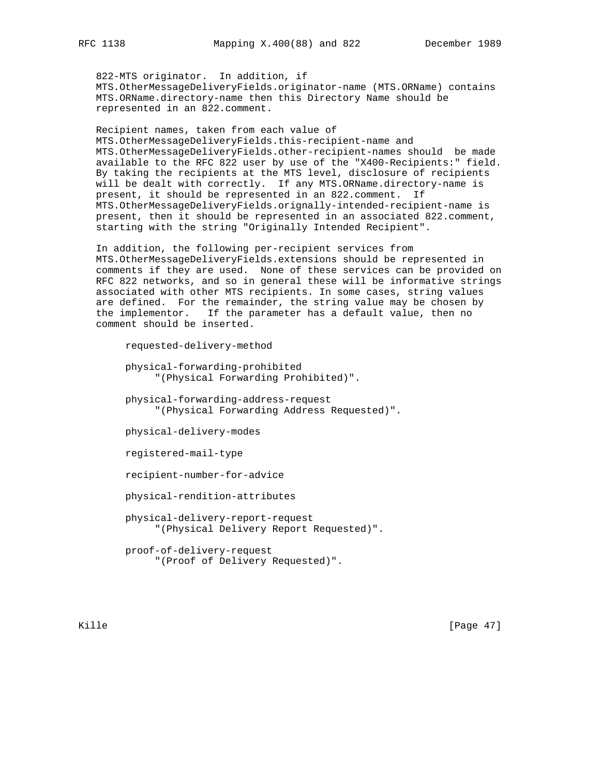822-MTS originator. In addition, if MTS.OtherMessageDeliveryFields.originator-name (MTS.ORName) contains MTS.ORName.directory-name then this Directory Name should be represented in an 822.comment.

 Recipient names, taken from each value of MTS.OtherMessageDeliveryFields.this-recipient-name and MTS.OtherMessageDeliveryFields.other-recipient-names should be made available to the RFC 822 user by use of the "X400-Recipients:" field. By taking the recipients at the MTS level, disclosure of recipients will be dealt with correctly. If any MTS.ORName.directory-name is present, it should be represented in an 822.comment. If MTS.OtherMessageDeliveryFields.orignally-intended-recipient-name is present, then it should be represented in an associated 822.comment, starting with the string "Originally Intended Recipient".

 In addition, the following per-recipient services from MTS.OtherMessageDeliveryFields.extensions should be represented in comments if they are used. None of these services can be provided on RFC 822 networks, and so in general these will be informative strings associated with other MTS recipients. In some cases, string values are defined. For the remainder, the string value may be chosen by the implementor. If the parameter has a default value, then no comment should be inserted.

```
 requested-delivery-method
physical-forwarding-prohibited
     "(Physical Forwarding Prohibited)".
physical-forwarding-address-request
     "(Physical Forwarding Address Requested)".
physical-delivery-modes
registered-mail-type
recipient-number-for-advice
physical-rendition-attributes
physical-delivery-report-request
     "(Physical Delivery Report Requested)".
proof-of-delivery-request
     "(Proof of Delivery Requested)".
```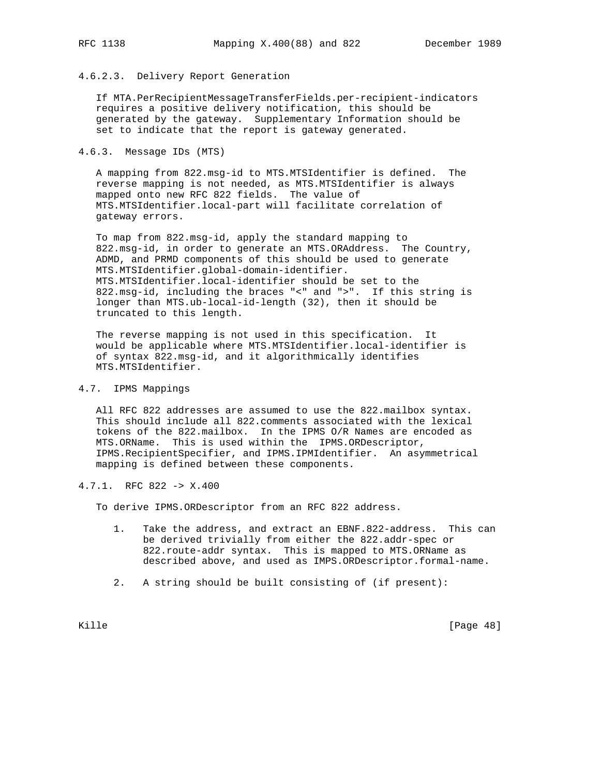# 4.6.2.3. Delivery Report Generation

 If MTA.PerRecipientMessageTransferFields.per-recipient-indicators requires a positive delivery notification, this should be generated by the gateway. Supplementary Information should be set to indicate that the report is gateway generated.

# 4.6.3. Message IDs (MTS)

 A mapping from 822.msg-id to MTS.MTSIdentifier is defined. The reverse mapping is not needed, as MTS.MTSIdentifier is always mapped onto new RFC 822 fields. The value of MTS.MTSIdentifier.local-part will facilitate correlation of gateway errors.

 To map from 822.msg-id, apply the standard mapping to 822.msg-id, in order to generate an MTS.ORAddress. The Country, ADMD, and PRMD components of this should be used to generate MTS.MTSIdentifier.global-domain-identifier. MTS.MTSIdentifier.local-identifier should be set to the 822.msg-id, including the braces "<" and ">". If this string is longer than MTS.ub-local-id-length (32), then it should be truncated to this length.

 The reverse mapping is not used in this specification. It would be applicable where MTS.MTSIdentifier.local-identifier is of syntax 822.msg-id, and it algorithmically identifies MTS.MTSIdentifier.

# 4.7. IPMS Mappings

 All RFC 822 addresses are assumed to use the 822.mailbox syntax. This should include all 822.comments associated with the lexical tokens of the 822.mailbox. In the IPMS O/R Names are encoded as MTS.ORName. This is used within the IPMS.ORDescriptor, IPMS.RecipientSpecifier, and IPMS.IPMIdentifier. An asymmetrical mapping is defined between these components.

# 4.7.1. RFC 822 -> X.400

To derive IPMS.ORDescriptor from an RFC 822 address.

- 1. Take the address, and extract an EBNF.822-address. This can be derived trivially from either the 822.addr-spec or 822.route-addr syntax. This is mapped to MTS.ORName as described above, and used as IMPS.ORDescriptor.formal-name.
- 2. A string should be built consisting of (if present):

Kille [Page 48]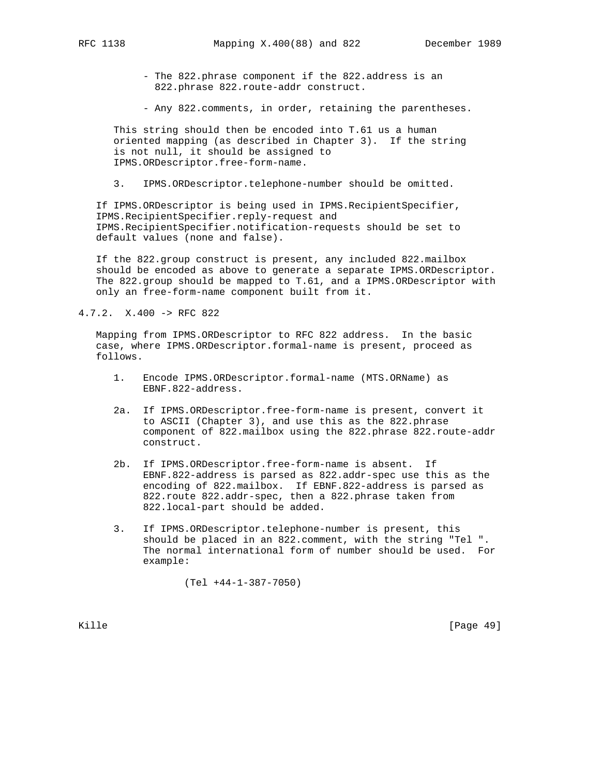- The 822.phrase component if the 822.address is an 822.phrase 822.route-addr construct.

- Any 822.comments, in order, retaining the parentheses.

 This string should then be encoded into T.61 us a human oriented mapping (as described in Chapter 3). If the string is not null, it should be assigned to IPMS.ORDescriptor.free-form-name.

3. IPMS.ORDescriptor.telephone-number should be omitted.

 If IPMS.ORDescriptor is being used in IPMS.RecipientSpecifier, IPMS.RecipientSpecifier.reply-request and IPMS.RecipientSpecifier.notification-requests should be set to default values (none and false).

 If the 822.group construct is present, any included 822.mailbox should be encoded as above to generate a separate IPMS.ORDescriptor. The 822.group should be mapped to T.61, and a IPMS.ORDescriptor with only an free-form-name component built from it.

4.7.2. X.400 -> RFC 822

 Mapping from IPMS.ORDescriptor to RFC 822 address. In the basic case, where IPMS.ORDescriptor.formal-name is present, proceed as follows.

- 1. Encode IPMS.ORDescriptor.formal-name (MTS.ORName) as EBNF.822-address.
- 2a. If IPMS.ORDescriptor.free-form-name is present, convert it to ASCII (Chapter 3), and use this as the 822.phrase component of 822.mailbox using the 822.phrase 822.route-addr construct.
- 2b. If IPMS.ORDescriptor.free-form-name is absent. If EBNF.822-address is parsed as 822.addr-spec use this as the encoding of 822.mailbox. If EBNF.822-address is parsed as 822.route 822.addr-spec, then a 822.phrase taken from 822.local-part should be added.
- 3. If IPMS.ORDescriptor.telephone-number is present, this should be placed in an 822.comment, with the string "Tel ". The normal international form of number should be used. For example:

(Tel +44-1-387-7050)

Kille [Page 49]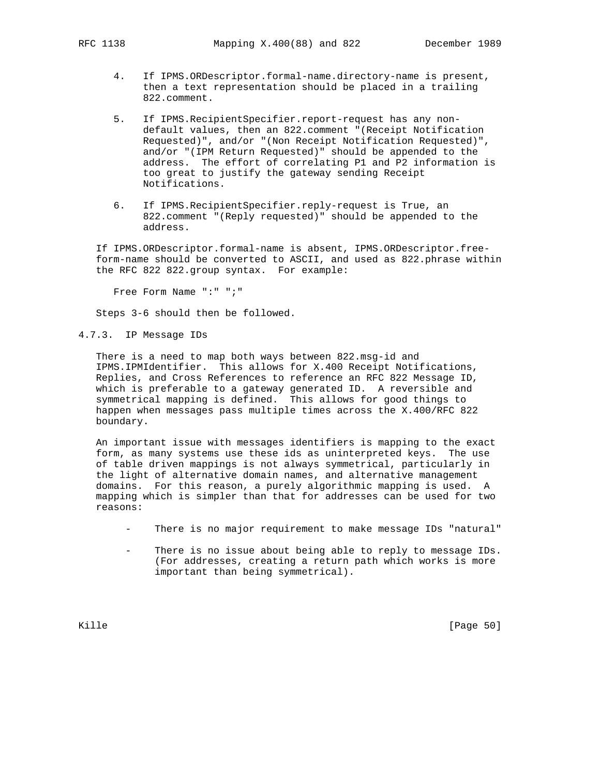- 4. If IPMS.ORDescriptor.formal-name.directory-name is present, then a text representation should be placed in a trailing 822.comment.
- 5. If IPMS.RecipientSpecifier.report-request has any non default values, then an 822.comment "(Receipt Notification Requested)", and/or "(Non Receipt Notification Requested)", and/or "(IPM Return Requested)" should be appended to the address. The effort of correlating P1 and P2 information is too great to justify the gateway sending Receipt Notifications.
- 6. If IPMS.RecipientSpecifier.reply-request is True, an 822.comment "(Reply requested)" should be appended to the address.

 If IPMS.ORDescriptor.formal-name is absent, IPMS.ORDescriptor.free form-name should be converted to ASCII, and used as 822.phrase within the RFC 822 822.group syntax. For example:

Free Form Name ":" ";"

Steps 3-6 should then be followed.

4.7.3. IP Message IDs

 There is a need to map both ways between 822.msg-id and IPMS.IPMIdentifier. This allows for X.400 Receipt Notifications, Replies, and Cross References to reference an RFC 822 Message ID, which is preferable to a gateway generated ID. A reversible and symmetrical mapping is defined. This allows for good things to happen when messages pass multiple times across the X.400/RFC 822 boundary.

 An important issue with messages identifiers is mapping to the exact form, as many systems use these ids as uninterpreted keys. The use of table driven mappings is not always symmetrical, particularly in the light of alternative domain names, and alternative management domains. For this reason, a purely algorithmic mapping is used. A mapping which is simpler than that for addresses can be used for two reasons:

- There is no major requirement to make message IDs "natural"
- There is no issue about being able to reply to message IDs. (For addresses, creating a return path which works is more important than being symmetrical).

Kille [Page 50]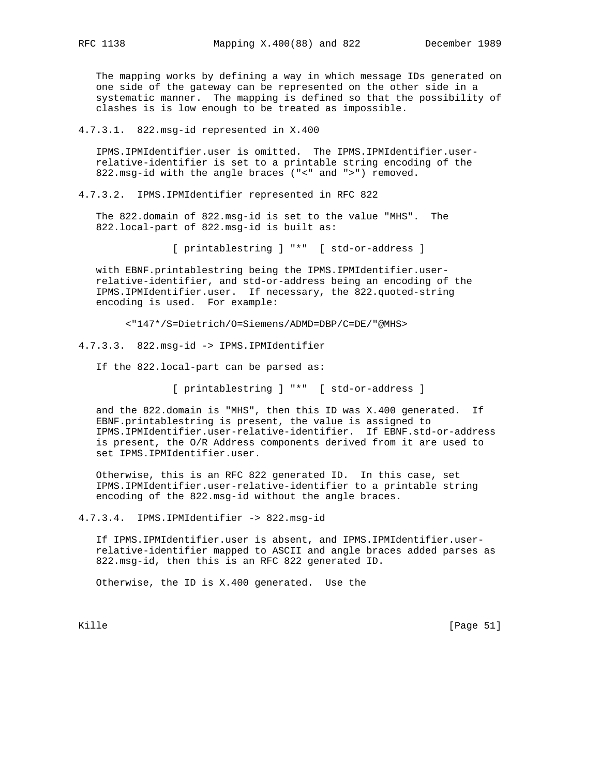The mapping works by defining a way in which message IDs generated on one side of the gateway can be represented on the other side in a systematic manner. The mapping is defined so that the possibility of clashes is is low enough to be treated as impossible.

4.7.3.1. 822.msg-id represented in X.400

 IPMS.IPMIdentifier.user is omitted. The IPMS.IPMIdentifier.user relative-identifier is set to a printable string encoding of the 822.msg-id with the angle braces ("<" and ">") removed.

4.7.3.2. IPMS.IPMIdentifier represented in RFC 822

 The 822.domain of 822.msg-id is set to the value "MHS". The 822.local-part of 822.msg-id is built as:

[ printablestring ] "\*" [ std-or-address ]

 with EBNF.printablestring being the IPMS.IPMIdentifier.user relative-identifier, and std-or-address being an encoding of the IPMS.IPMIdentifier.user. If necessary, the 822.quoted-string encoding is used. For example:

<"147\*/S=Dietrich/O=Siemens/ADMD=DBP/C=DE/"@MHS>

4.7.3.3. 822.msg-id -> IPMS.IPMIdentifier

If the 822.local-part can be parsed as:

[ printablestring ] "\*" [ std-or-address ]

 and the 822.domain is "MHS", then this ID was X.400 generated. If EBNF.printablestring is present, the value is assigned to IPMS.IPMIdentifier.user-relative-identifier. If EBNF.std-or-address is present, the O/R Address components derived from it are used to set IPMS.IPMIdentifier.user.

 Otherwise, this is an RFC 822 generated ID. In this case, set IPMS.IPMIdentifier.user-relative-identifier to a printable string encoding of the 822.msg-id without the angle braces.

4.7.3.4. IPMS.IPMIdentifier -> 822.msg-id

 If IPMS.IPMIdentifier.user is absent, and IPMS.IPMIdentifier.user relative-identifier mapped to ASCII and angle braces added parses as 822.msg-id, then this is an RFC 822 generated ID.

Otherwise, the ID is X.400 generated. Use the

Kille [Page 51]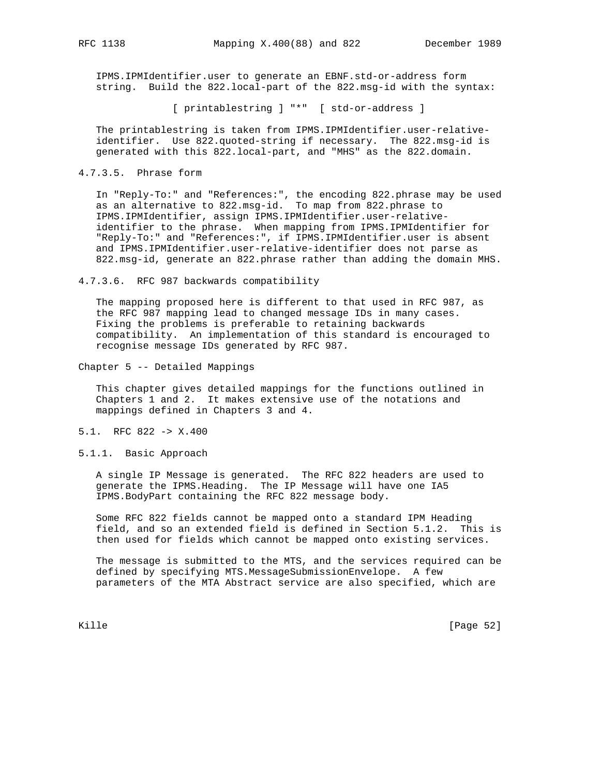IPMS.IPMIdentifier.user to generate an EBNF.std-or-address form string. Build the 822.local-part of the 822.msg-id with the syntax:

[ printablestring ] "\*" [ std-or-address ]

 The printablestring is taken from IPMS.IPMIdentifier.user-relative identifier. Use 822.quoted-string if necessary. The 822.msg-id is generated with this 822.local-part, and "MHS" as the 822.domain.

4.7.3.5. Phrase form

 In "Reply-To:" and "References:", the encoding 822.phrase may be used as an alternative to 822.msg-id. To map from 822.phrase to IPMS.IPMIdentifier, assign IPMS.IPMIdentifier.user-relative identifier to the phrase. When mapping from IPMS.IPMIdentifier for "Reply-To:" and "References:", if IPMS.IPMIdentifier.user is absent and IPMS.IPMIdentifier.user-relative-identifier does not parse as 822.msg-id, generate an 822.phrase rather than adding the domain MHS.

4.7.3.6. RFC 987 backwards compatibility

 The mapping proposed here is different to that used in RFC 987, as the RFC 987 mapping lead to changed message IDs in many cases. Fixing the problems is preferable to retaining backwards compatibility. An implementation of this standard is encouraged to recognise message IDs generated by RFC 987.

Chapter 5 -- Detailed Mappings

 This chapter gives detailed mappings for the functions outlined in Chapters 1 and 2. It makes extensive use of the notations and mappings defined in Chapters 3 and 4.

- 5.1. RFC 822 -> X.400
- 5.1.1. Basic Approach

 A single IP Message is generated. The RFC 822 headers are used to generate the IPMS.Heading. The IP Message will have one IA5 IPMS.BodyPart containing the RFC 822 message body.

 Some RFC 822 fields cannot be mapped onto a standard IPM Heading field, and so an extended field is defined in Section 5.1.2. This is then used for fields which cannot be mapped onto existing services.

 The message is submitted to the MTS, and the services required can be defined by specifying MTS.MessageSubmissionEnvelope. A few parameters of the MTA Abstract service are also specified, which are

Kille [Page 52]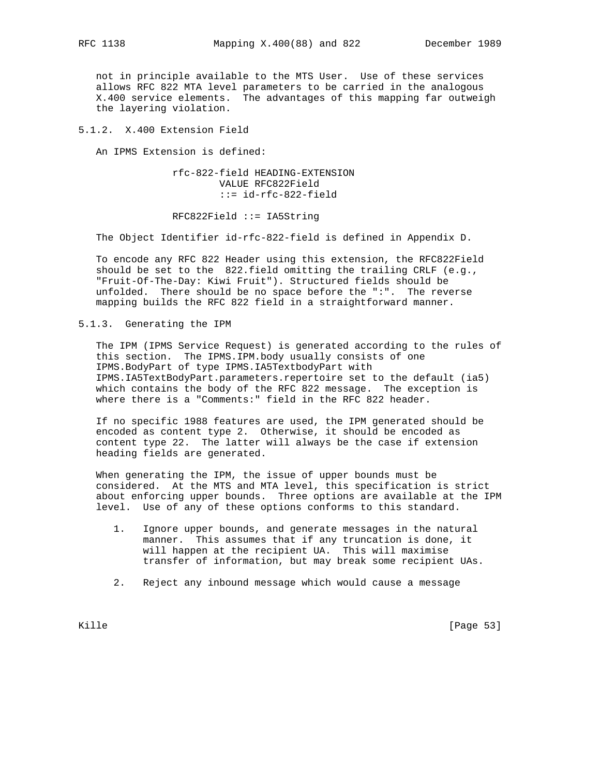not in principle available to the MTS User. Use of these services allows RFC 822 MTA level parameters to be carried in the analogous X.400 service elements. The advantages of this mapping far outweigh the layering violation.

5.1.2. X.400 Extension Field

An IPMS Extension is defined:

 rfc-822-field HEADING-EXTENSION VALUE RFC822Field ::= id-rfc-822-field

RFC822Field ::= IA5String

The Object Identifier id-rfc-822-field is defined in Appendix D.

 To encode any RFC 822 Header using this extension, the RFC822Field should be set to the 822.field omitting the trailing CRLF (e.g., "Fruit-Of-The-Day: Kiwi Fruit"). Structured fields should be unfolded. There should be no space before the ":". The reverse mapping builds the RFC 822 field in a straightforward manner.

5.1.3. Generating the IPM

 The IPM (IPMS Service Request) is generated according to the rules of this section. The IPMS.IPM.body usually consists of one IPMS.BodyPart of type IPMS.IA5TextbodyPart with IPMS.IA5TextBodyPart.parameters.repertoire set to the default (ia5) which contains the body of the RFC 822 message. The exception is where there is a "Comments:" field in the RFC 822 header.

 If no specific 1988 features are used, the IPM generated should be encoded as content type 2. Otherwise, it should be encoded as content type 22. The latter will always be the case if extension heading fields are generated.

 When generating the IPM, the issue of upper bounds must be considered. At the MTS and MTA level, this specification is strict about enforcing upper bounds. Three options are available at the IPM level. Use of any of these options conforms to this standard.

- 1. Ignore upper bounds, and generate messages in the natural manner. This assumes that if any truncation is done, it will happen at the recipient UA. This will maximise transfer of information, but may break some recipient UAs.
- 2. Reject any inbound message which would cause a message

Kille [Page 53]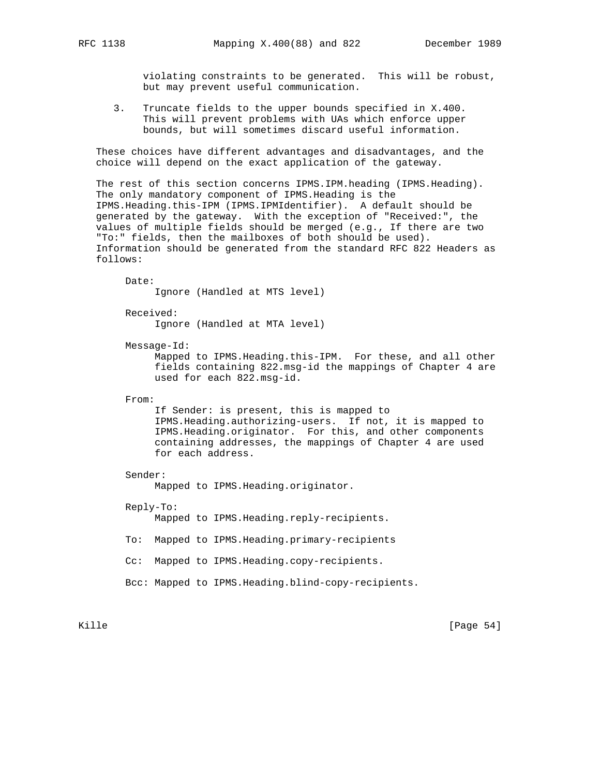violating constraints to be generated. This will be robust, but may prevent useful communication.

 3. Truncate fields to the upper bounds specified in X.400. This will prevent problems with UAs which enforce upper bounds, but will sometimes discard useful information.

 These choices have different advantages and disadvantages, and the choice will depend on the exact application of the gateway.

 The rest of this section concerns IPMS.IPM.heading (IPMS.Heading). The only mandatory component of IPMS.Heading is the IPMS.Heading.this-IPM (IPMS.IPMIdentifier). A default should be generated by the gateway. With the exception of "Received:", the values of multiple fields should be merged (e.g., If there are two "To:" fields, then the mailboxes of both should be used). Information should be generated from the standard RFC 822 Headers as follows:

 Date: Ignore (Handled at MTS level) Received: Ignore (Handled at MTA level) Message-Id: Mapped to IPMS.Heading.this-IPM. For these, and all other fields containing 822.msg-id the mappings of Chapter 4 are used for each 822.msg-id. From: If Sender: is present, this is mapped to IPMS.Heading.authorizing-users. If not, it is mapped to IPMS.Heading.originator. For this, and other components containing addresses, the mappings of Chapter 4 are used for each address. Sender: Mapped to IPMS.Heading.originator. Reply-To: Mapped to IPMS.Heading.reply-recipients. To: Mapped to IPMS.Heading.primary-recipients Cc: Mapped to IPMS.Heading.copy-recipients. Bcc: Mapped to IPMS.Heading.blind-copy-recipients.

Kille [Page 54]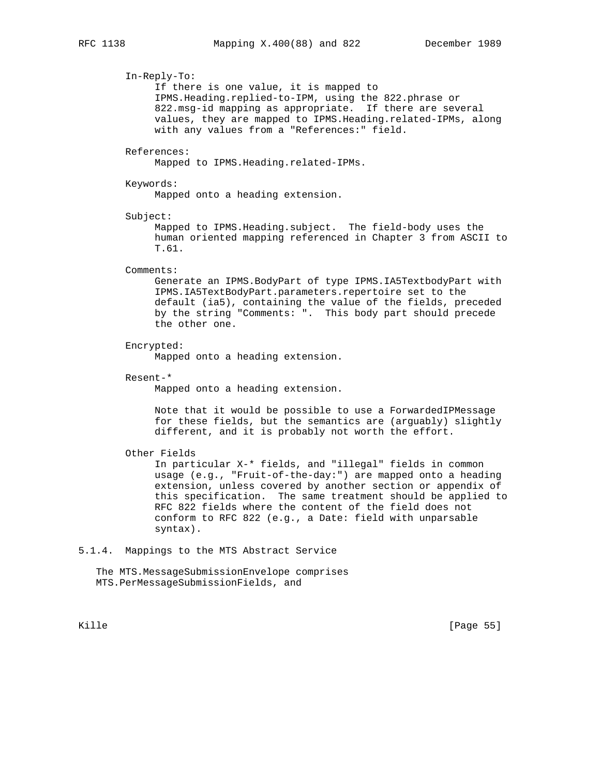In-Reply-To:

 If there is one value, it is mapped to IPMS.Heading.replied-to-IPM, using the 822.phrase or 822.msg-id mapping as appropriate. If there are several values, they are mapped to IPMS.Heading.related-IPMs, along with any values from a "References:" field.

## References:

Mapped to IPMS.Heading.related-IPMs.

#### Keywords:

Mapped onto a heading extension.

Subject:

 Mapped to IPMS.Heading.subject. The field-body uses the human oriented mapping referenced in Chapter 3 from ASCII to T.61.

#### Comments:

 Generate an IPMS.BodyPart of type IPMS.IA5TextbodyPart with IPMS.IA5TextBodyPart.parameters.repertoire set to the default (ia5), containing the value of the fields, preceded by the string "Comments: ". This body part should precede the other one.

## Encrypted:

Mapped onto a heading extension.

Resent-\*

Mapped onto a heading extension.

 Note that it would be possible to use a ForwardedIPMessage for these fields, but the semantics are (arguably) slightly different, and it is probably not worth the effort.

## Other Fields

 In particular X-\* fields, and "illegal" fields in common usage (e.g., "Fruit-of-the-day:") are mapped onto a heading extension, unless covered by another section or appendix of this specification. The same treatment should be applied to RFC 822 fields where the content of the field does not conform to RFC 822 (e.g., a Date: field with unparsable syntax).

## 5.1.4. Mappings to the MTS Abstract Service

 The MTS.MessageSubmissionEnvelope comprises MTS.PerMessageSubmissionFields, and

Kille [Page 55]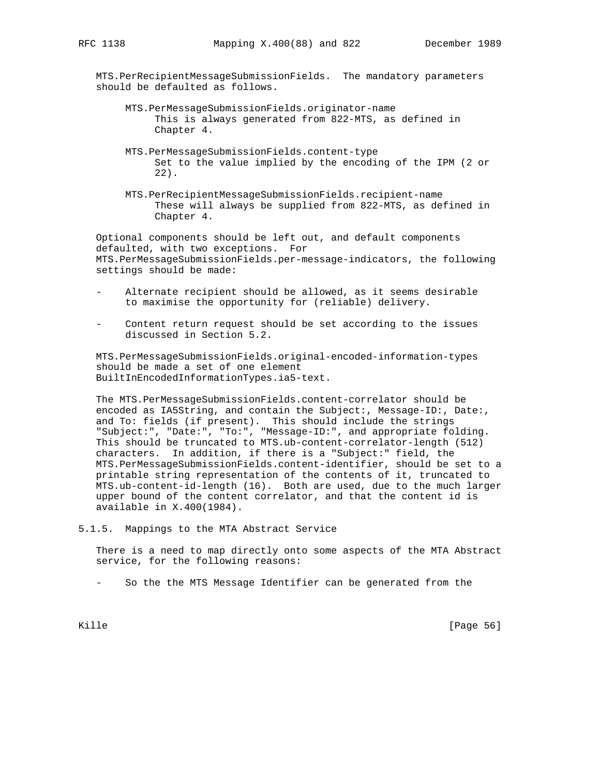MTS.PerRecipientMessageSubmissionFields. The mandatory parameters should be defaulted as follows.

- MTS.PerMessageSubmissionFields.originator-name This is always generated from 822-MTS, as defined in Chapter 4.
- MTS.PerMessageSubmissionFields.content-type Set to the value implied by the encoding of the IPM (2 or 22).
- MTS.PerRecipientMessageSubmissionFields.recipient-name These will always be supplied from 822-MTS, as defined in Chapter 4.

 Optional components should be left out, and default components defaulted, with two exceptions. For MTS.PerMessageSubmissionFields.per-message-indicators, the following settings should be made:

- Alternate recipient should be allowed, as it seems desirable to maximise the opportunity for (reliable) delivery.
- Content return request should be set according to the issues discussed in Section 5.2.

 MTS.PerMessageSubmissionFields.original-encoded-information-types should be made a set of one element BuiltInEncodedInformationTypes.ia5-text.

 The MTS.PerMessageSubmissionFields.content-correlator should be encoded as IA5String, and contain the Subject:, Message-ID:, Date:, and To: fields (if present). This should include the strings "Subject:", "Date:", "To:", "Message-ID:", and appropriate folding. This should be truncated to MTS.ub-content-correlator-length (512) characters. In addition, if there is a "Subject:" field, the MTS.PerMessageSubmissionFields.content-identifier, should be set to a printable string representation of the contents of it, truncated to MTS.ub-content-id-length (16). Both are used, due to the much larger upper bound of the content correlator, and that the content id is available in X.400(1984).

5.1.5. Mappings to the MTA Abstract Service

 There is a need to map directly onto some aspects of the MTA Abstract service, for the following reasons:

- So the the MTS Message Identifier can be generated from the

Kille [Page 56]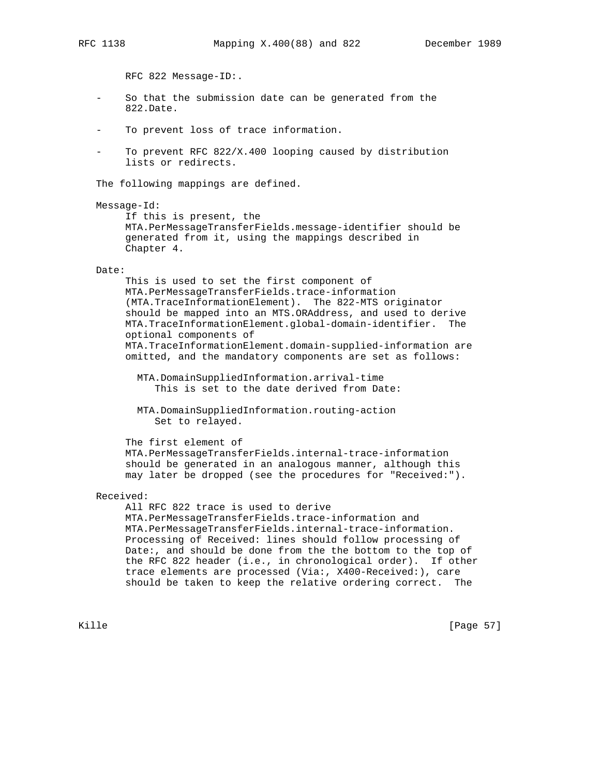RFC 822 Message-ID:.

- So that the submission date can be generated from the 822.Date.
- To prevent loss of trace information.
- To prevent RFC  $822/X.400$  looping caused by distribution lists or redirects.

The following mappings are defined.

```
 Message-Id:
```
 If this is present, the MTA.PerMessageTransferFields.message-identifier should be generated from it, using the mappings described in Chapter 4.

#### Date:

 This is used to set the first component of MTA.PerMessageTransferFields.trace-information (MTA.TraceInformationElement). The 822-MTS originator should be mapped into an MTS.ORAddress, and used to derive MTA.TraceInformationElement.global-domain-identifier. The optional components of MTA.TraceInformationElement.domain-supplied-information are omitted, and the mandatory components are set as follows:

 MTA.DomainSuppliedInformation.arrival-time This is set to the date derived from Date:

 MTA.DomainSuppliedInformation.routing-action Set to relayed.

The first element of

 MTA.PerMessageTransferFields.internal-trace-information should be generated in an analogous manner, although this may later be dropped (see the procedures for "Received:").

## Received:

 All RFC 822 trace is used to derive MTA.PerMessageTransferFields.trace-information and MTA.PerMessageTransferFields.internal-trace-information. Processing of Received: lines should follow processing of Date:, and should be done from the the bottom to the top of the RFC 822 header (i.e., in chronological order). If other trace elements are processed (Via:, X400-Received:), care should be taken to keep the relative ordering correct. The

Kille [Page 57]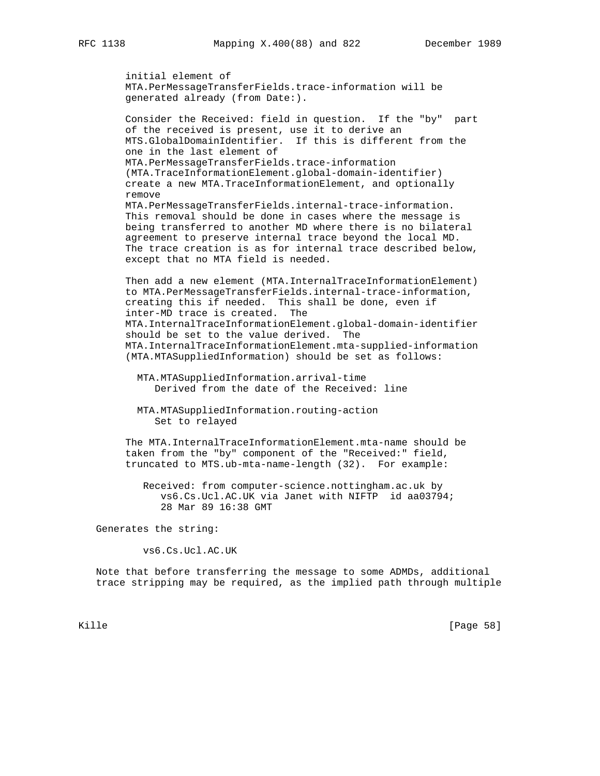initial element of MTA.PerMessageTransferFields.trace-information will be generated already (from Date:).

 Consider the Received: field in question. If the "by" part of the received is present, use it to derive an MTS.GlobalDomainIdentifier. If this is different from the one in the last element of MTA.PerMessageTransferFields.trace-information (MTA.TraceInformationElement.global-domain-identifier) create a new MTA.TraceInformationElement, and optionally remove MTA.PerMessageTransferFields.internal-trace-information. This removal should be done in cases where the message is being transferred to another MD where there is no bilateral agreement to preserve internal trace beyond the local MD. The trace creation is as for internal trace described below,

 Then add a new element (MTA.InternalTraceInformationElement) to MTA.PerMessageTransferFields.internal-trace-information, creating this if needed. This shall be done, even if inter-MD trace is created. The MTA.InternalTraceInformationElement.global-domain-identifier should be set to the value derived. The MTA.InternalTraceInformationElement.mta-supplied-information (MTA.MTASuppliedInformation) should be set as follows:

 MTA.MTASuppliedInformation.arrival-time Derived from the date of the Received: line

 MTA.MTASuppliedInformation.routing-action Set to relayed

except that no MTA field is needed.

 The MTA.InternalTraceInformationElement.mta-name should be taken from the "by" component of the "Received:" field, truncated to MTS.ub-mta-name-length (32). For example:

 Received: from computer-science.nottingham.ac.uk by vs6.Cs.Ucl.AC.UK via Janet with NIFTP id aa03794; 28 Mar 89 16:38 GMT

Generates the string:

vs6.Cs.Ucl.AC.UK

 Note that before transferring the message to some ADMDs, additional trace stripping may be required, as the implied path through multiple

Kille [Page 58]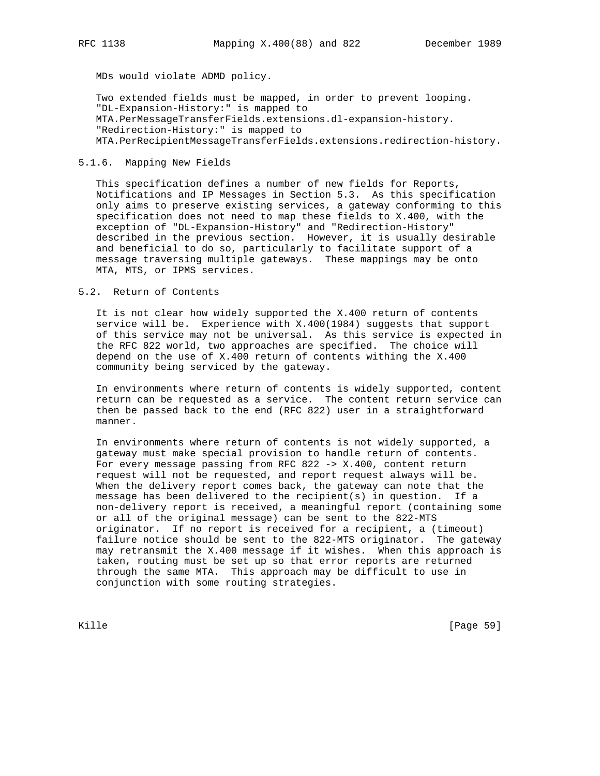MDs would violate ADMD policy.

 Two extended fields must be mapped, in order to prevent looping. "DL-Expansion-History:" is mapped to MTA.PerMessageTransferFields.extensions.dl-expansion-history. "Redirection-History:" is mapped to MTA.PerRecipientMessageTransferFields.extensions.redirection-history.

# 5.1.6. Mapping New Fields

 This specification defines a number of new fields for Reports, Notifications and IP Messages in Section 5.3. As this specification only aims to preserve existing services, a gateway conforming to this specification does not need to map these fields to X.400, with the exception of "DL-Expansion-History" and "Redirection-History" described in the previous section. However, it is usually desirable and beneficial to do so, particularly to facilitate support of a message traversing multiple gateways. These mappings may be onto MTA, MTS, or IPMS services.

# 5.2. Return of Contents

 It is not clear how widely supported the X.400 return of contents service will be. Experience with X.400(1984) suggests that support of this service may not be universal. As this service is expected in the RFC 822 world, two approaches are specified. The choice will depend on the use of X.400 return of contents withing the X.400 community being serviced by the gateway.

 In environments where return of contents is widely supported, content return can be requested as a service. The content return service can then be passed back to the end (RFC 822) user in a straightforward manner.

 In environments where return of contents is not widely supported, a gateway must make special provision to handle return of contents. For every message passing from RFC 822 -> X.400, content return request will not be requested, and report request always will be. When the delivery report comes back, the gateway can note that the message has been delivered to the recipient(s) in question. If a non-delivery report is received, a meaningful report (containing some or all of the original message) can be sent to the 822-MTS originator. If no report is received for a recipient, a (timeout) failure notice should be sent to the 822-MTS originator. The gateway may retransmit the X.400 message if it wishes. When this approach is taken, routing must be set up so that error reports are returned through the same MTA. This approach may be difficult to use in conjunction with some routing strategies.

Kille [Page 59]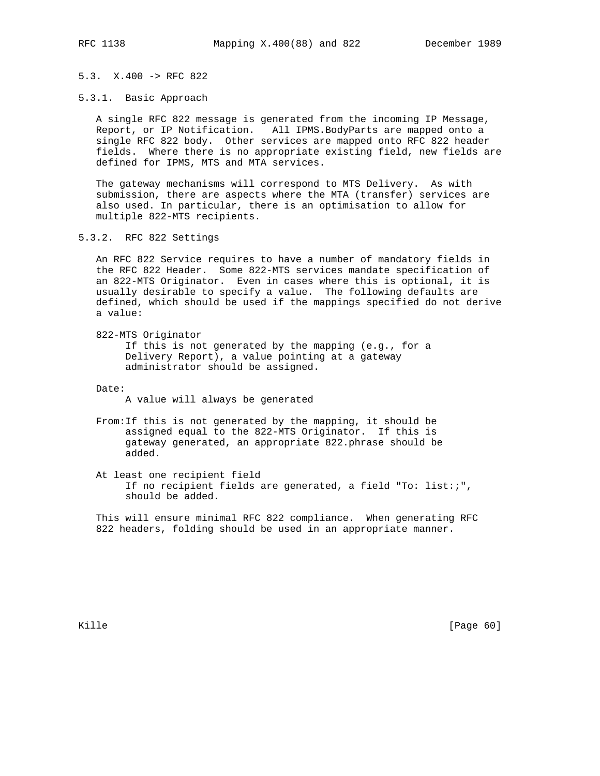# 5.3. X.400 -> RFC 822

5.3.1. Basic Approach

 A single RFC 822 message is generated from the incoming IP Message, Report, or IP Notification. All IPMS.BodyParts are mapped onto a single RFC 822 body. Other services are mapped onto RFC 822 header fields. Where there is no appropriate existing field, new fields are defined for IPMS, MTS and MTA services.

 The gateway mechanisms will correspond to MTS Delivery. As with submission, there are aspects where the MTA (transfer) services are also used. In particular, there is an optimisation to allow for multiple 822-MTS recipients.

5.3.2. RFC 822 Settings

 An RFC 822 Service requires to have a number of mandatory fields in the RFC 822 Header. Some 822-MTS services mandate specification of an 822-MTS Originator. Even in cases where this is optional, it is usually desirable to specify a value. The following defaults are defined, which should be used if the mappings specified do not derive a value:

822-MTS Originator

 If this is not generated by the mapping (e.g., for a Delivery Report), a value pointing at a gateway administrator should be assigned.

Date:

A value will always be generated

 From:If this is not generated by the mapping, it should be assigned equal to the 822-MTS Originator. If this is gateway generated, an appropriate 822.phrase should be added.

 At least one recipient field If no recipient fields are generated, a field "To: list:;", should be added.

 This will ensure minimal RFC 822 compliance. When generating RFC 822 headers, folding should be used in an appropriate manner.

Kille [Page 60]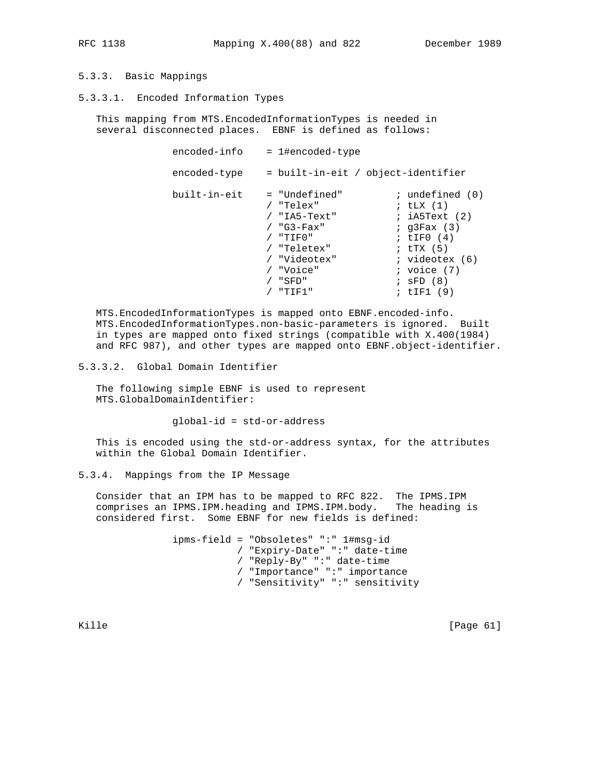# 5.3.3. Basic Mappings

5.3.3.1. Encoded Information Types

 This mapping from MTS.EncodedInformationTypes is needed in several disconnected places. EBNF is defined as follows:

| encoded-info | = 1#encoded-type                   |                          |
|--------------|------------------------------------|--------------------------|
| encoded-type | = built-in-eit / object-identifier |                          |
| built-in-eit | = "Undefined"                      | $:$ undefined $(0)$      |
|              | "Telex"                            | ; $t\text{LX}$ $(1)$     |
|              | / "IA5-Text"                       | ; iA5Text (2)            |
|              | $/$ "G3-Fax"                       | $;$ q $3$ Fax $(3)$      |
|              | "TIFO"                             | ; $LTF0(4)$              |
|              | / "Teletex"                        | ; $\text{tr} \times (5)$ |
|              | "Videotex"                         | $;$ videotex $(6)$       |
|              | "Voice"                            | ; voice $(7)$            |
|              | "SFD"                              | $;$ SFD $(8)$            |
|              | "TIF1"                             | ; $tIF1(9)$              |
|              |                                    |                          |

 MTS.EncodedInformationTypes is mapped onto EBNF.encoded-info. MTS.EncodedInformationTypes.non-basic-parameters is ignored. Built in types are mapped onto fixed strings (compatible with X.400(1984) and RFC 987), and other types are mapped onto EBNF.object-identifier.

5.3.3.2. Global Domain Identifier

 The following simple EBNF is used to represent MTS.GlobalDomainIdentifier:

global-id = std-or-address

 This is encoded using the std-or-address syntax, for the attributes within the Global Domain Identifier.

## 5.3.4. Mappings from the IP Message

 Consider that an IPM has to be mapped to RFC 822. The IPMS.IPM comprises an IPMS.IPM.heading and IPMS.IPM.body. The heading is considered first. Some EBNF for new fields is defined:

> ipms-field = "Obsoletes" ":" 1#msg-id / "Expiry-Date" ":" date-time / "Reply-By" ":" date-time / "Importance" ":" importance / "Sensitivity" ":" sensitivity

Kille [Page 61]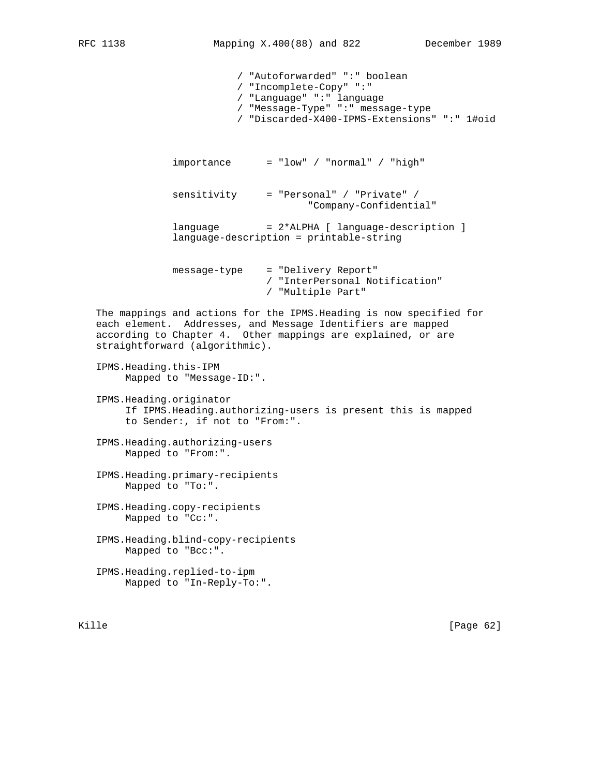/ "Autoforwarded" ":" boolean / "Incomplete-Copy" ":" / "Language" ":" language / "Message-Type" ":" message-type / "Discarded-X400-IPMS-Extensions" ":" 1#oid  $importance = "low" / "normal" / "high"$  sensitivity = "Personal" / "Private" / "Company-Confidential" language = 2\*ALPHA [ language-description ] language-description = printable-string message-type = "Delivery Report" / "InterPersonal Notification" / "Multiple Part" The mappings and actions for the IPMS.Heading is now specified for each element. Addresses, and Message Identifiers are mapped according to Chapter 4. Other mappings are explained, or are straightforward (algorithmic). IPMS.Heading.this-IPM Mapped to "Message-ID:". IPMS.Heading.originator If IPMS.Heading.authorizing-users is present this is mapped to Sender:, if not to "From:". IPMS.Heading.authorizing-users Mapped to "From:". IPMS.Heading.primary-recipients Mapped to "To:". IPMS.Heading.copy-recipients Mapped to "Cc:". IPMS.Heading.blind-copy-recipients

- Mapped to "Bcc:".
- IPMS.Heading.replied-to-ipm Mapped to "In-Reply-To:".

Kille [Page 62]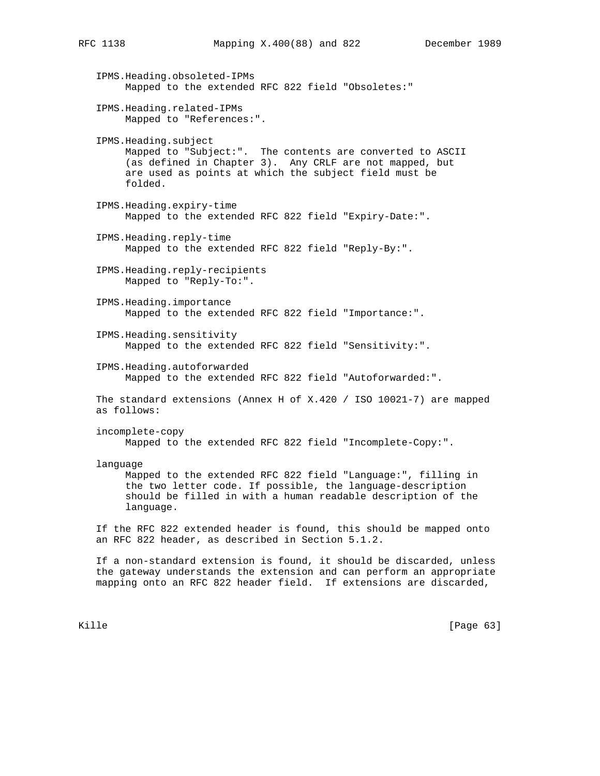IPMS.Heading.obsoleted-IPMs Mapped to the extended RFC 822 field "Obsoletes:" IPMS.Heading.related-IPMs Mapped to "References:". IPMS.Heading.subject Mapped to "Subject:". The contents are converted to ASCII (as defined in Chapter 3). Any CRLF are not mapped, but are used as points at which the subject field must be folded. IPMS.Heading.expiry-time Mapped to the extended RFC 822 field "Expiry-Date:". IPMS.Heading.reply-time Mapped to the extended RFC 822 field "Reply-By:". IPMS.Heading.reply-recipients Mapped to "Reply-To:". IPMS.Heading.importance Mapped to the extended RFC 822 field "Importance:". IPMS.Heading.sensitivity Mapped to the extended RFC 822 field "Sensitivity:". IPMS.Heading.autoforwarded Mapped to the extended RFC 822 field "Autoforwarded:". The standard extensions (Annex H of X.420 / ISO 10021-7) are mapped as follows: incomplete-copy Mapped to the extended RFC 822 field "Incomplete-Copy:". language Mapped to the extended RFC 822 field "Language:", filling in the two letter code. If possible, the language-description should be filled in with a human readable description of the language. If the RFC 822 extended header is found, this should be mapped onto an RFC 822 header, as described in Section 5.1.2. If a non-standard extension is found, it should be discarded, unless

 the gateway understands the extension and can perform an appropriate mapping onto an RFC 822 header field. If extensions are discarded,

Kille [Page 63]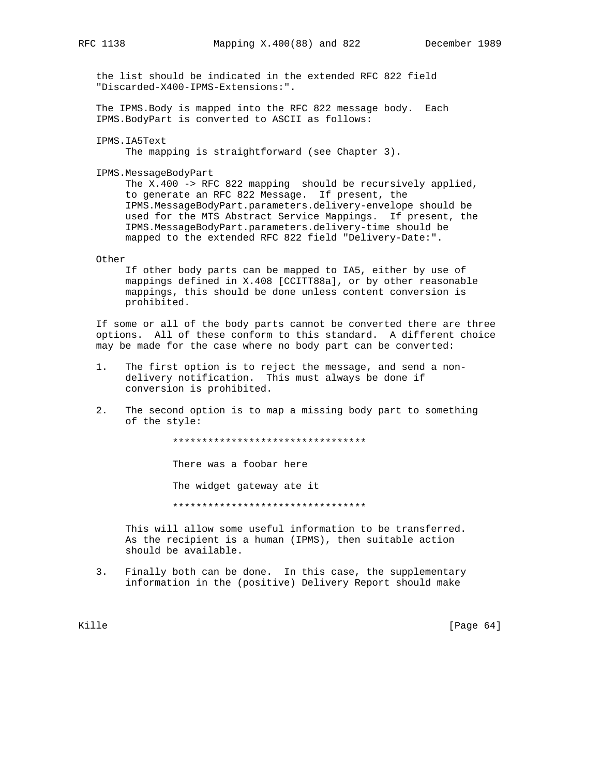the list should be indicated in the extended RFC 822 field "Discarded-X400-IPMS-Extensions:".

 The IPMS.Body is mapped into the RFC 822 message body. Each IPMS.BodyPart is converted to ASCII as follows:

IPMS.IA5Text

The mapping is straightforward (see Chapter 3).

IPMS.MessageBodyPart

The X.400 -> RFC 822 mapping should be recursively applied, to generate an RFC 822 Message. If present, the IPMS.MessageBodyPart.parameters.delivery-envelope should be used for the MTS Abstract Service Mappings. If present, the IPMS.MessageBodyPart.parameters.delivery-time should be mapped to the extended RFC 822 field "Delivery-Date:".

Other

 If other body parts can be mapped to IA5, either by use of mappings defined in X.408 [CCITT88a], or by other reasonable mappings, this should be done unless content conversion is prohibited.

 If some or all of the body parts cannot be converted there are three options. All of these conform to this standard. A different choice may be made for the case where no body part can be converted:

- 1. The first option is to reject the message, and send a non delivery notification. This must always be done if conversion is prohibited.
- 2. The second option is to map a missing body part to something of the style:

\*\*\*\*\*\*\*\*\*\*\*\*\*\*\*\*\*\*\*\*\*\*\*\*\*\*\*\*\*\*\*\*\*

There was a foobar here

The widget gateway ate it

\*\*\*\*\*\*\*\*\*\*\*\*\*\*\*\*\*\*\*\*\*\*\*\*\*\*\*\*\*\*\*\*\*

 This will allow some useful information to be transferred. As the recipient is a human (IPMS), then suitable action should be available.

 3. Finally both can be done. In this case, the supplementary information in the (positive) Delivery Report should make

Kille [Page 64]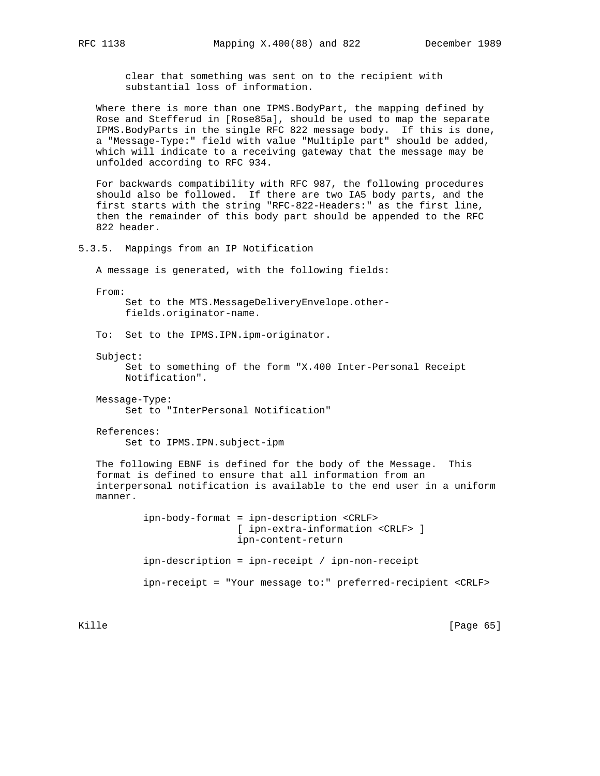clear that something was sent on to the recipient with substantial loss of information.

 Where there is more than one IPMS.BodyPart, the mapping defined by Rose and Stefferud in [Rose85a], should be used to map the separate IPMS.BodyParts in the single RFC 822 message body. If this is done, a "Message-Type:" field with value "Multiple part" should be added, which will indicate to a receiving gateway that the message may be unfolded according to RFC 934.

 For backwards compatibility with RFC 987, the following procedures should also be followed. If there are two IA5 body parts, and the first starts with the string "RFC-822-Headers:" as the first line, then the remainder of this body part should be appended to the RFC 822 header.

5.3.5. Mappings from an IP Notification

A message is generated, with the following fields:

From:

 Set to the MTS.MessageDeliveryEnvelope.other fields.originator-name.

To: Set to the IPMS.IPN.ipm-originator.

Subject:

 Set to something of the form "X.400 Inter-Personal Receipt Notification".

 Message-Type: Set to "InterPersonal Notification"

 References: Set to IPMS.IPN.subject-ipm

 The following EBNF is defined for the body of the Message. This format is defined to ensure that all information from an interpersonal notification is available to the end user in a uniform manner.

> ipn-body-format = ipn-description <CRLF> [ ipn-extra-information <CRLF> ] ipn-content-return ipn-description = ipn-receipt / ipn-non-receipt ipn-receipt = "Your message to:" preferred-recipient <CRLF>

Kille [Page 65]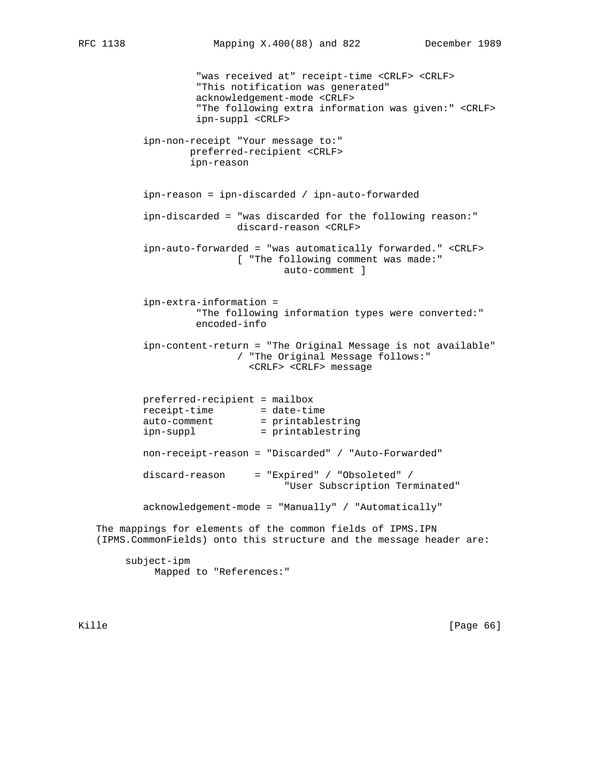"was received at" receipt-time <CRLF> <CRLF> "This notification was generated" acknowledgement-mode <CRLF> "The following extra information was given:" <CRLF> ipn-suppl <CRLF> ipn-non-receipt "Your message to:" preferred-recipient <CRLF> ipn-reason ipn-reason = ipn-discarded / ipn-auto-forwarded ipn-discarded = "was discarded for the following reason:" discard-reason <CRLF> ipn-auto-forwarded = "was automatically forwarded." <CRLF> [ "The following comment was made:" auto-comment ] ipn-extra-information = "The following information types were converted:" encoded-info ipn-content-return = "The Original Message is not available" / "The Original Message follows:" <CRLF> <CRLF> message preferred-recipient = mailbox receipt-time = date-time auto-comment = printablestring ipn-suppl = printablestring non-receipt-reason = "Discarded" / "Auto-Forwarded" discard-reason = "Expired" / "Obsoleted" / "User Subscription Terminated" acknowledgement-mode = "Manually" / "Automatically" The mappings for elements of the common fields of IPMS.IPN (IPMS.CommonFields) onto this structure and the message header are: subject-ipm Mapped to "References:"

Kille [Page 66]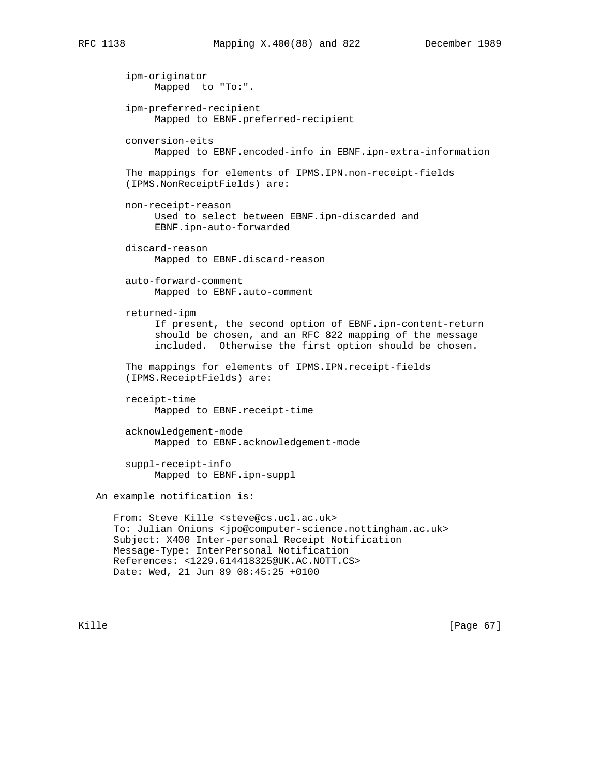ipm-originator Mapped to "To:". ipm-preferred-recipient Mapped to EBNF.preferred-recipient conversion-eits Mapped to EBNF.encoded-info in EBNF.ipn-extra-information The mappings for elements of IPMS.IPN.non-receipt-fields (IPMS.NonReceiptFields) are: non-receipt-reason Used to select between EBNF.ipn-discarded and EBNF.ipn-auto-forwarded discard-reason Mapped to EBNF.discard-reason auto-forward-comment Mapped to EBNF.auto-comment returned-ipm If present, the second option of EBNF.ipn-content-return should be chosen, and an RFC 822 mapping of the message included. Otherwise the first option should be chosen. The mappings for elements of IPMS.IPN.receipt-fields (IPMS.ReceiptFields) are: receipt-time Mapped to EBNF.receipt-time acknowledgement-mode Mapped to EBNF.acknowledgement-mode suppl-receipt-info Mapped to EBNF.ipn-suppl An example notification is: From: Steve Kille <steve@cs.ucl.ac.uk> To: Julian Onions <jpo@computer-science.nottingham.ac.uk> Subject: X400 Inter-personal Receipt Notification Message-Type: InterPersonal Notification References: <1229.614418325@UK.AC.NOTT.CS> Date: Wed, 21 Jun 89 08:45:25 +0100

Kille [Page 67]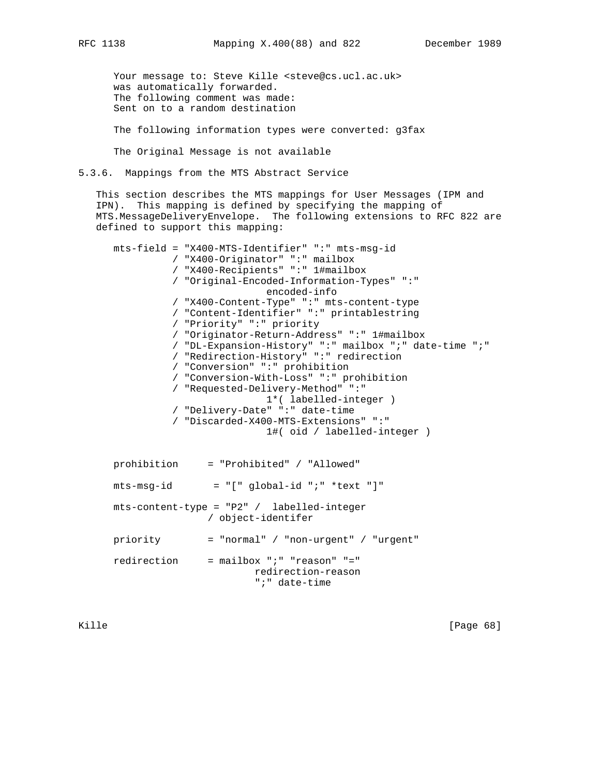Your message to: Steve Kille <steve@cs.ucl.ac.uk> was automatically forwarded. The following comment was made: Sent on to a random destination

The following information types were converted: g3fax

The Original Message is not available

5.3.6. Mappings from the MTS Abstract Service

 This section describes the MTS mappings for User Messages (IPM and IPN). This mapping is defined by specifying the mapping of MTS.MessageDeliveryEnvelope. The following extensions to RFC 822 are defined to support this mapping:

 mts-field = "X400-MTS-Identifier" ":" mts-msg-id / "X400-Originator" ":" mailbox / "X400-Recipients" ":" 1#mailbox / "Original-Encoded-Information-Types" ":" encoded-info / "X400-Content-Type" ":" mts-content-type / "Content-Identifier" ":" printablestring / "Priority" ":" priority / "Originator-Return-Address" ":" 1#mailbox / "DL-Expansion-History" ":" mailbox ";" date-time ";" / "Redirection-History" ":" redirection / "Conversion" ":" prohibition / "Conversion-With-Loss" ":" prohibition / "Requested-Delivery-Method" ":" 1\*( labelled-integer ) / "Delivery-Date" ":" date-time / "Discarded-X400-MTS-Extensions" ":" 1#( oid / labelled-integer ) prohibition = "Prohibited" / "Allowed"  $mts-msg-id = "[' global-id "i" *text "]"$  mts-content-type = "P2" / labelled-integer / object-identifer priority = "normal" / "non-urgent" / "urgent"

 redirection = mailbox ";" "reason" "=" redirection-reason ";" date-time

Kille [Page 68]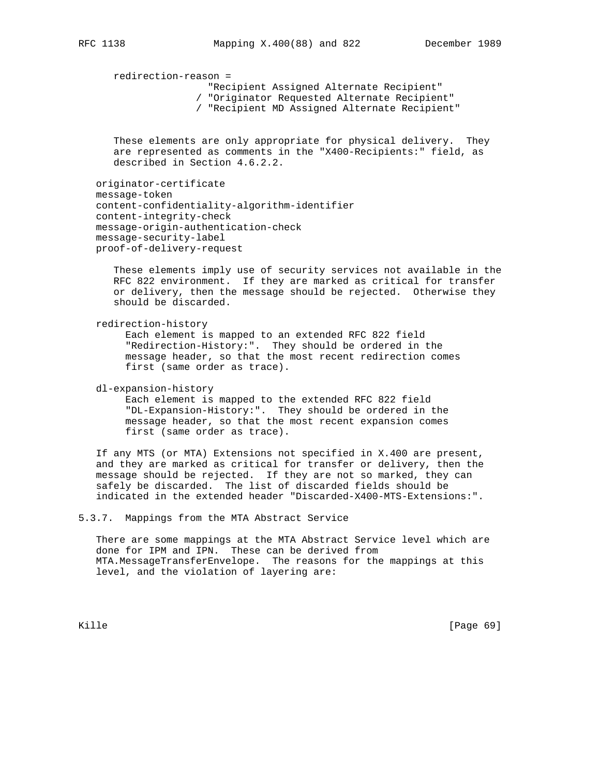redirection-reason =

"Recipient Assigned Alternate Recipient"

- / "Originator Requested Alternate Recipient"
- / "Recipient MD Assigned Alternate Recipient"

 These elements are only appropriate for physical delivery. They are represented as comments in the "X400-Recipients:" field, as described in Section 4.6.2.2.

 originator-certificate message-token content-confidentiality-algorithm-identifier content-integrity-check message-origin-authentication-check message-security-label proof-of-delivery-request

 These elements imply use of security services not available in the RFC 822 environment. If they are marked as critical for transfer or delivery, then the message should be rejected. Otherwise they should be discarded.

redirection-history

 Each element is mapped to an extended RFC 822 field "Redirection-History:". They should be ordered in the message header, so that the most recent redirection comes first (same order as trace).

dl-expansion-history

 Each element is mapped to the extended RFC 822 field "DL-Expansion-History:". They should be ordered in the message header, so that the most recent expansion comes first (same order as trace).

 If any MTS (or MTA) Extensions not specified in X.400 are present, and they are marked as critical for transfer or delivery, then the message should be rejected. If they are not so marked, they can safely be discarded. The list of discarded fields should be indicated in the extended header "Discarded-X400-MTS-Extensions:".

5.3.7. Mappings from the MTA Abstract Service

 There are some mappings at the MTA Abstract Service level which are done for IPM and IPN. These can be derived from MTA.MessageTransferEnvelope. The reasons for the mappings at this level, and the violation of layering are:

Kille [Page 69]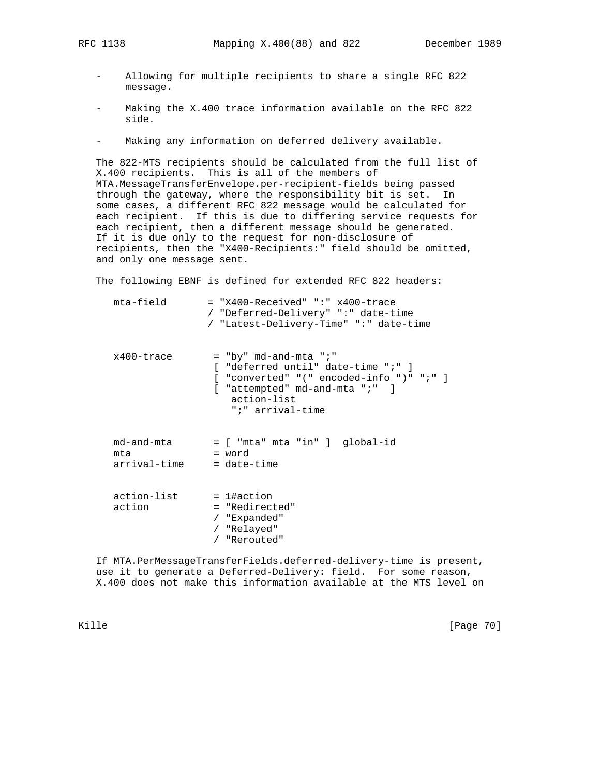- - Allowing for multiple recipients to share a single RFC 822 message.
	- Making the X.400 trace information available on the RFC 822 side.
	- Making any information on deferred delivery available.

 The 822-MTS recipients should be calculated from the full list of X.400 recipients. This is all of the members of MTA.MessageTransferEnvelope.per-recipient-fields being passed through the gateway, where the responsibility bit is set. In some cases, a different RFC 822 message would be calculated for each recipient. If this is due to differing service requests for each recipient, then a different message should be generated. If it is due only to the request for non-disclosure of recipients, then the "X400-Recipients:" field should be omitted, and only one message sent.

The following EBNF is defined for extended RFC 822 headers:

| mta-field                         | $=$ "X400-Received" ":" x400-trace<br>/ "Deferred-Delivery" ":" date-time<br>/ "Latest-Delivery-Time" ":" date-time                                                                    |
|-----------------------------------|----------------------------------------------------------------------------------------------------------------------------------------------------------------------------------------|
| x400-trace                        | $=$ "by" md-and-mta ";"<br>[ "deferred until" date-time ";" ]<br>$[$ "converted" "(" encoded-info ")" ";" ]<br>$[$ "attempted" md-and-mta " $i$ " ]<br>action-list<br>";" arrival-time |
| md-and-mta<br>mta<br>arrival-time | = [ "mta" mta "in" ] global-id<br>= word<br>$=$ date-time                                                                                                                              |
| action-list<br>action             | $= 1$ #action<br>= "Redirected"<br>/ "Expanded"<br>/ "Relayed"<br>/ "Rerouted"                                                                                                         |

 If MTA.PerMessageTransferFields.deferred-delivery-time is present, use it to generate a Deferred-Delivery: field. For some reason, X.400 does not make this information available at the MTS level on

Kille [Page 70]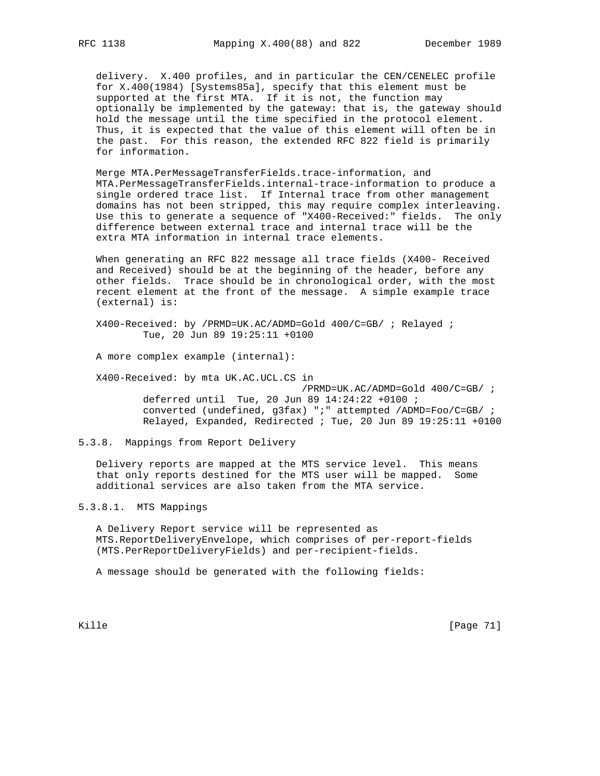delivery. X.400 profiles, and in particular the CEN/CENELEC profile for X.400(1984) [Systems85a], specify that this element must be supported at the first MTA. If it is not, the function may optionally be implemented by the gateway: that is, the gateway should hold the message until the time specified in the protocol element. Thus, it is expected that the value of this element will often be in the past. For this reason, the extended RFC 822 field is primarily for information.

 Merge MTA.PerMessageTransferFields.trace-information, and MTA.PerMessageTransferFields.internal-trace-information to produce a single ordered trace list. If Internal trace from other management domains has not been stripped, this may require complex interleaving. Use this to generate a sequence of "X400-Received:" fields. The only difference between external trace and internal trace will be the extra MTA information in internal trace elements.

When generating an RFC 822 message all trace fields (X400- Received and Received) should be at the beginning of the header, before any other fields. Trace should be in chronological order, with the most recent element at the front of the message. A simple example trace (external) is:

 X400-Received: by /PRMD=UK.AC/ADMD=Gold 400/C=GB/ ; Relayed ; Tue, 20 Jun 89 19:25:11 +0100

A more complex example (internal):

X400-Received: by mta UK.AC.UCL.CS in

 /PRMD=UK.AC/ADMD=Gold 400/C=GB/ ; deferred until Tue, 20 Jun 89 14:24:22 +0100 ; converted (undefined, g3fax) ";" attempted /ADMD=Foo/C=GB/ ; Relayed, Expanded, Redirected ; Tue, 20 Jun 89 19:25:11 +0100

# 5.3.8. Mappings from Report Delivery

 Delivery reports are mapped at the MTS service level. This means that only reports destined for the MTS user will be mapped. Some additional services are also taken from the MTA service.

5.3.8.1. MTS Mappings

 A Delivery Report service will be represented as MTS.ReportDeliveryEnvelope, which comprises of per-report-fields (MTS.PerReportDeliveryFields) and per-recipient-fields.

A message should be generated with the following fields:

Kille [Page 71]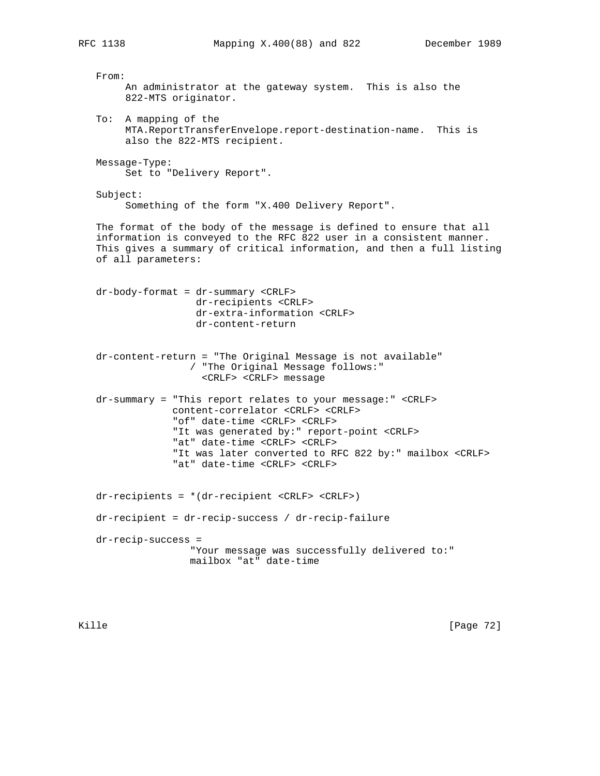From: An administrator at the gateway system. This is also the 822-MTS originator. To: A mapping of the MTA.ReportTransferEnvelope.report-destination-name. This is also the 822-MTS recipient. Message-Type: Set to "Delivery Report". Subject: Something of the form "X.400 Delivery Report". The format of the body of the message is defined to ensure that all information is conveyed to the RFC 822 user in a consistent manner. This gives a summary of critical information, and then a full listing of all parameters: dr-body-format = dr-summary <CRLF> dr-recipients <CRLF> dr-extra-information <CRLF> dr-content-return dr-content-return = "The Original Message is not available" / "The Original Message follows:" <CRLF> <CRLF> message dr-summary = "This report relates to your message:" <CRLF> content-correlator <CRLF> <CRLF> "of" date-time <CRLF> <CRLF> "It was generated by:" report-point <CRLF> "at" date-time <CRLF> <CRLF> "It was later converted to RFC 822 by:" mailbox <CRLF> "at" date-time <CRLF> <CRLF> dr-recipients = \*(dr-recipient <CRLF> <CRLF>) dr-recipient = dr-recip-success / dr-recip-failure dr-recip-success = "Your message was successfully delivered to:" mailbox "at" date-time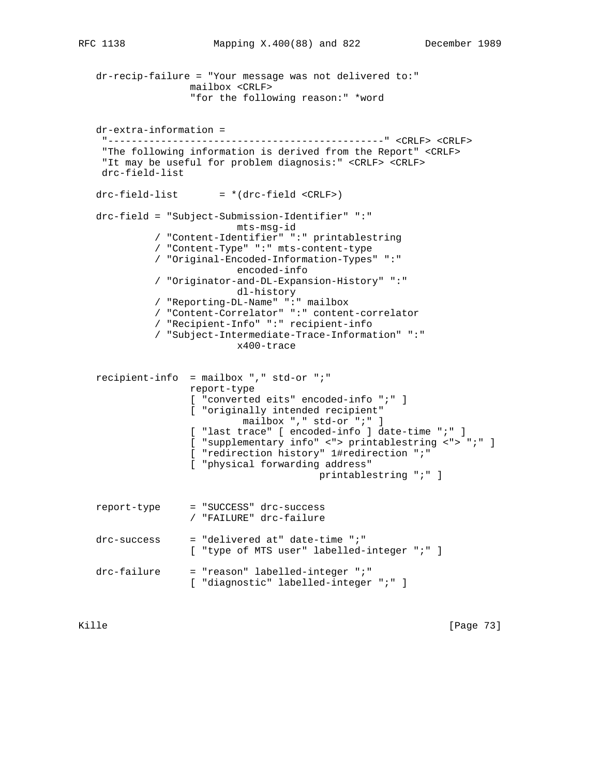```
 dr-recip-failure = "Your message was not delivered to:"
                 mailbox <CRLF>
                 "for the following reason:" *word
 dr-extra-information =
  "-----------------------------------------------" <CRLF> <CRLF>
  "The following information is derived from the Report" <CRLF>
  "It may be useful for problem diagnosis:" <CRLF> <CRLF>
  drc-field-list
drc-field-list = *(drc-field < CRLF) drc-field = "Subject-Submission-Identifier" ":"
                         mts-msg-id
           / "Content-Identifier" ":" printablestring
           / "Content-Type" ":" mts-content-type
           / "Original-Encoded-Information-Types" ":"
                         encoded-info
           / "Originator-and-DL-Expansion-History" ":"
                         dl-history
           / "Reporting-DL-Name" ":" mailbox
           / "Content-Correlator" ":" content-correlator
           / "Recipient-Info" ":" recipient-info
           / "Subject-Intermediate-Trace-Information" ":"
                         x400-trace
 recipient-info = mailbox "," std-or ";"
                 report-type
                 [ "converted eits" encoded-info ";" ]
                 [ "originally intended recipient"
                          mailbox "," std-or ";" ]
                 [ "last trace" [ encoded-info ] date-time ";" ]
                 [ "supplementary info" <"> printablestring <"> ";" ]
                 [ "redirection history" 1#redirection ";"
                 [ "physical forwarding address"
                                       printablestring ";" ]
 report-type = "SUCCESS" drc-success
                 / "FAILURE" drc-failure
drc-success = "delivered at" date-time ";"
                 [ "type of MTS user" labelled-integer ";" ]
 drc-failure = "reason" labelled-integer ";"
                 [ "diagnostic" labelled-integer ";" ]
```
Kille [Page 73]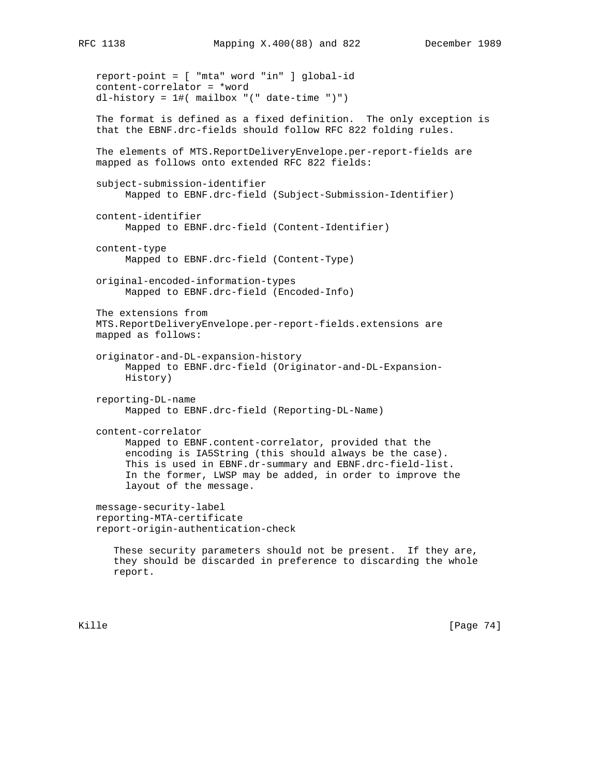report-point = [ "mta" word "in" ] global-id content-correlator = \*word dl-history = 1#( mailbox "(" date-time ")") The format is defined as a fixed definition. The only exception is that the EBNF.drc-fields should follow RFC 822 folding rules. The elements of MTS.ReportDeliveryEnvelope.per-report-fields are mapped as follows onto extended RFC 822 fields: subject-submission-identifier Mapped to EBNF.drc-field (Subject-Submission-Identifier) content-identifier Mapped to EBNF.drc-field (Content-Identifier) content-type Mapped to EBNF.drc-field (Content-Type) original-encoded-information-types Mapped to EBNF.drc-field (Encoded-Info) The extensions from MTS.ReportDeliveryEnvelope.per-report-fields.extensions are mapped as follows: originator-and-DL-expansion-history Mapped to EBNF.drc-field (Originator-and-DL-Expansion- History) reporting-DL-name Mapped to EBNF.drc-field (Reporting-DL-Name) content-correlator Mapped to EBNF.content-correlator, provided that the encoding is IA5String (this should always be the case). This is used in EBNF.dr-summary and EBNF.drc-field-list. In the former, LWSP may be added, in order to improve the layout of the message. message-security-label reporting-MTA-certificate report-origin-authentication-check These security parameters should not be present. If they are, they should be discarded in preference to discarding the whole

report.

Kille [Page 74]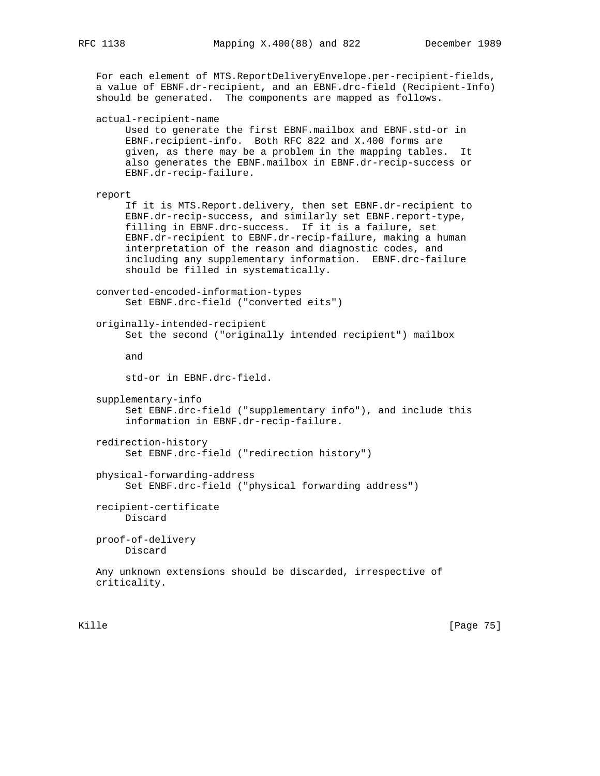For each element of MTS.ReportDeliveryEnvelope.per-recipient-fields, a value of EBNF.dr-recipient, and an EBNF.drc-field (Recipient-Info) should be generated. The components are mapped as follows. actual-recipient-name Used to generate the first EBNF.mailbox and EBNF.std-or in EBNF.recipient-info. Both RFC 822 and X.400 forms are given, as there may be a problem in the mapping tables. It also generates the EBNF.mailbox in EBNF.dr-recip-success or EBNF.dr-recip-failure. report If it is MTS.Report.delivery, then set EBNF.dr-recipient to EBNF.dr-recip-success, and similarly set EBNF.report-type, filling in EBNF.drc-success. If it is a failure, set EBNF.dr-recipient to EBNF.dr-recip-failure, making a human interpretation of the reason and diagnostic codes, and including any supplementary information. EBNF.drc-failure should be filled in systematically. converted-encoded-information-types Set EBNF.drc-field ("converted eits") originally-intended-recipient Set the second ("originally intended recipient") mailbox and std-or in EBNF.drc-field. supplementary-info Set EBNF.drc-field ("supplementary info"), and include this information in EBNF.dr-recip-failure. redirection-history Set EBNF.drc-field ("redirection history") physical-forwarding-address Set ENBF.drc-field ("physical forwarding address") recipient-certificate Discard proof-of-delivery Discard Any unknown extensions should be discarded, irrespective of criticality.

Kille [Page 75]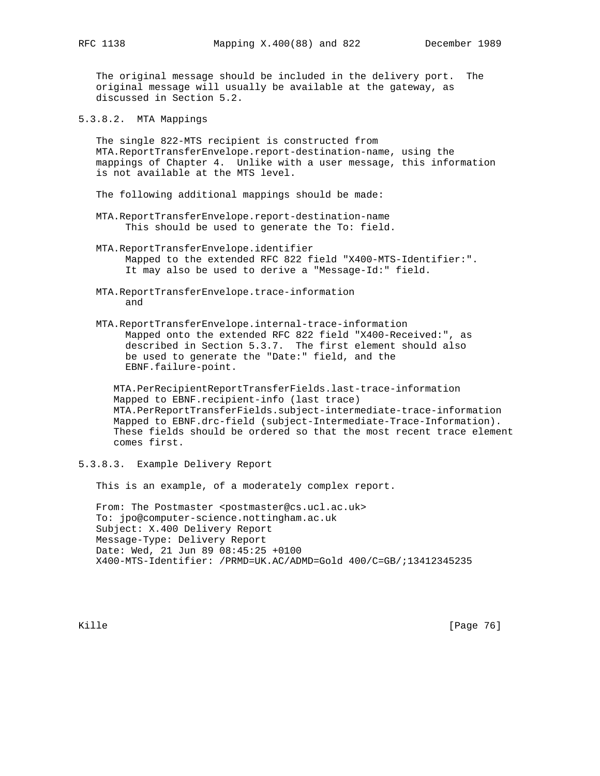The original message should be included in the delivery port. The original message will usually be available at the gateway, as discussed in Section 5.2.

5.3.8.2. MTA Mappings

 The single 822-MTS recipient is constructed from MTA.ReportTransferEnvelope.report-destination-name, using the mappings of Chapter 4. Unlike with a user message, this information is not available at the MTS level.

- The following additional mappings should be made:
- MTA.ReportTransferEnvelope.report-destination-name This should be used to generate the To: field.
- MTA.ReportTransferEnvelope.identifier Mapped to the extended RFC 822 field "X400-MTS-Identifier:". It may also be used to derive a "Message-Id:" field.
- MTA.ReportTransferEnvelope.trace-information and
- MTA.ReportTransferEnvelope.internal-trace-information Mapped onto the extended RFC 822 field "X400-Received:", as described in Section 5.3.7. The first element should also be used to generate the "Date:" field, and the EBNF.failure-point.

 MTA.PerRecipientReportTransferFields.last-trace-information Mapped to EBNF.recipient-info (last trace) MTA.PerReportTransferFields.subject-intermediate-trace-information Mapped to EBNF.drc-field (subject-Intermediate-Trace-Information). These fields should be ordered so that the most recent trace element comes first.

5.3.8.3. Example Delivery Report

This is an example, of a moderately complex report.

From: The Postmaster <postmaster@cs.ucl.ac.uk> To: jpo@computer-science.nottingham.ac.uk Subject: X.400 Delivery Report Message-Type: Delivery Report Date: Wed, 21 Jun 89 08:45:25 +0100 X400-MTS-Identifier: /PRMD=UK.AC/ADMD=Gold 400/C=GB/;13412345235

Kille [Page 76]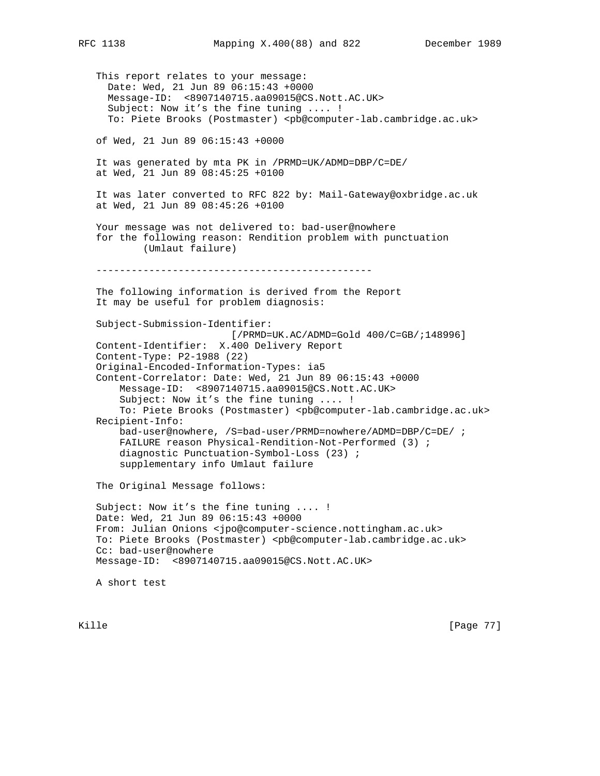This report relates to your message: Date: Wed, 21 Jun 89 06:15:43 +0000 Message-ID: <8907140715.aa09015@CS.Nott.AC.UK> Subject: Now it's the fine tuning .... ! To: Piete Brooks (Postmaster) <pb@computer-lab.cambridge.ac.uk> of Wed, 21 Jun 89 06:15:43 +0000 It was generated by mta PK in /PRMD=UK/ADMD=DBP/C=DE/ at Wed, 21 Jun 89 08:45:25 +0100 It was later converted to RFC 822 by: Mail-Gateway@oxbridge.ac.uk at Wed, 21 Jun 89 08:45:26 +0100 Your message was not delivered to: bad-user@nowhere for the following reason: Rendition problem with punctuation (Umlaut failure) ----------------------------------------------- The following information is derived from the Report It may be useful for problem diagnosis: Subject-Submission-Identifier: [/PRMD=UK.AC/ADMD=Gold 400/C=GB/;148996] Content-Identifier: X.400 Delivery Report Content-Type: P2-1988 (22) Original-Encoded-Information-Types: ia5 Content-Correlator: Date: Wed, 21 Jun 89 06:15:43 +0000 Message-ID: <8907140715.aa09015@CS.Nott.AC.UK> Subject: Now it's the fine tuning .... ! To: Piete Brooks (Postmaster) <pb@computer-lab.cambridge.ac.uk> Recipient-Info: bad-user@nowhere, /S=bad-user/PRMD=nowhere/ADMD=DBP/C=DE/ ; FAILURE reason Physical-Rendition-Not-Performed (3) ; diagnostic Punctuation-Symbol-Loss (23) ; supplementary info Umlaut failure The Original Message follows: Subject: Now it's the fine tuning .... ! Date: Wed, 21 Jun 89 06:15:43 +0000 From: Julian Onions <jpo@computer-science.nottingham.ac.uk> To: Piete Brooks (Postmaster) <pb@computer-lab.cambridge.ac.uk> Cc: bad-user@nowhere Message-ID: <8907140715.aa09015@CS.Nott.AC.UK> A short test

Kille [Page 77]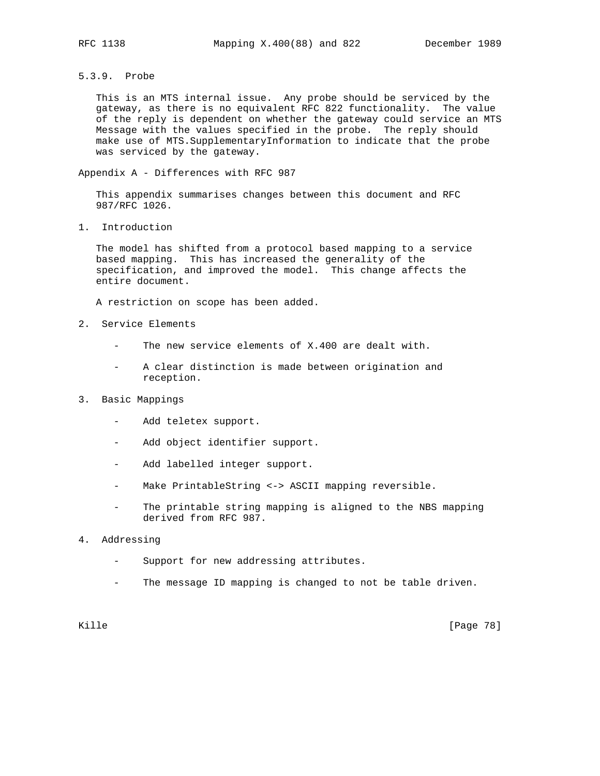5.3.9. Probe

 This is an MTS internal issue. Any probe should be serviced by the gateway, as there is no equivalent RFC 822 functionality. The value of the reply is dependent on whether the gateway could service an MTS Message with the values specified in the probe. The reply should make use of MTS.SupplementaryInformation to indicate that the probe was serviced by the gateway.

Appendix A - Differences with RFC 987

 This appendix summarises changes between this document and RFC 987/RFC 1026.

1. Introduction

 The model has shifted from a protocol based mapping to a service based mapping. This has increased the generality of the specification, and improved the model. This change affects the entire document.

A restriction on scope has been added.

- 2. Service Elements
	- The new service elements of X.400 are dealt with.
	- A clear distinction is made between origination and reception.
- 3. Basic Mappings
	- Add teletex support.
	- Add object identifier support.
	- Add labelled integer support.
	- Make PrintableString <-> ASCII mapping reversible.
	- The printable string mapping is aligned to the NBS mapping derived from RFC 987.
- 4. Addressing
	- Support for new addressing attributes.
	- The message ID mapping is changed to not be table driven.

Kille [Page 78]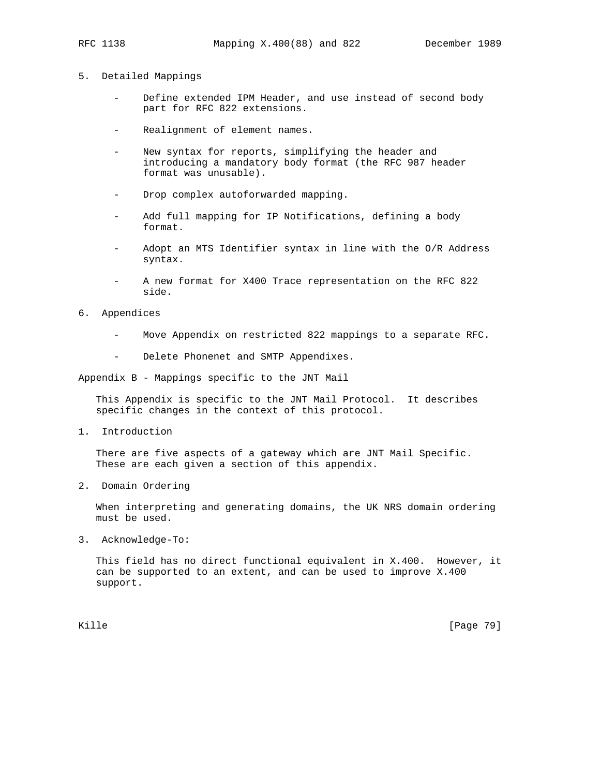- 
- 5. Detailed Mappings
	- Define extended IPM Header, and use instead of second body part for RFC 822 extensions.
	- Realignment of element names.
	- New syntax for reports, simplifying the header and introducing a mandatory body format (the RFC 987 header format was unusable).
	- Drop complex autoforwarded mapping.
	- Add full mapping for IP Notifications, defining a body format.
	- Adopt an MTS Identifier syntax in line with the O/R Address syntax.
	- A new format for X400 Trace representation on the RFC 822 side.
- 6. Appendices
	- Move Appendix on restricted 822 mappings to a separate RFC.
	- Delete Phonenet and SMTP Appendixes.

Appendix B - Mappings specific to the JNT Mail

 This Appendix is specific to the JNT Mail Protocol. It describes specific changes in the context of this protocol.

1. Introduction

 There are five aspects of a gateway which are JNT Mail Specific. These are each given a section of this appendix.

2. Domain Ordering

 When interpreting and generating domains, the UK NRS domain ordering must be used.

3. Acknowledge-To:

 This field has no direct functional equivalent in X.400. However, it can be supported to an extent, and can be used to improve X.400 support.

Kille [Page 79]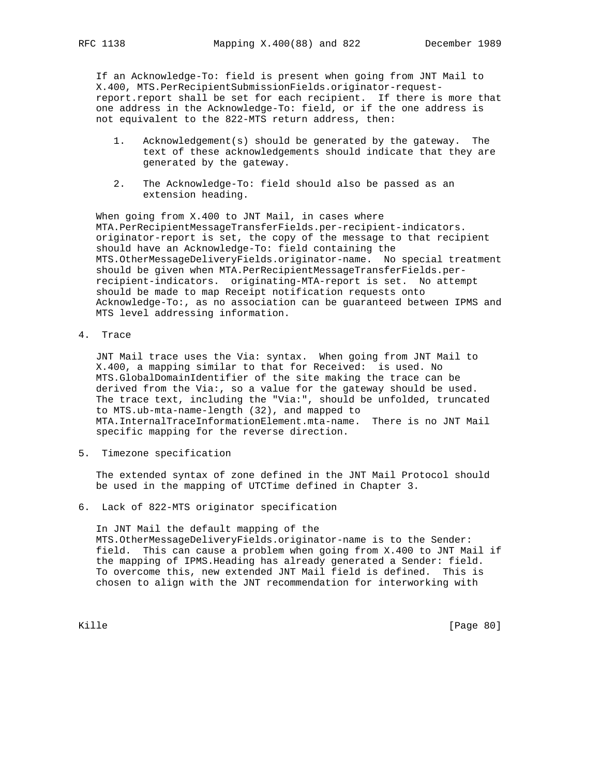If an Acknowledge-To: field is present when going from JNT Mail to X.400, MTS.PerRecipientSubmissionFields.originator-request report.report shall be set for each recipient. If there is more that one address in the Acknowledge-To: field, or if the one address is not equivalent to the 822-MTS return address, then:

- 1. Acknowledgement(s) should be generated by the gateway. The text of these acknowledgements should indicate that they are generated by the gateway.
- 2. The Acknowledge-To: field should also be passed as an extension heading.

When going from X.400 to JNT Mail, in cases where MTA.PerRecipientMessageTransferFields.per-recipient-indicators. originator-report is set, the copy of the message to that recipient should have an Acknowledge-To: field containing the MTS.OtherMessageDeliveryFields.originator-name. No special treatment should be given when MTA.PerRecipientMessageTransferFields.per recipient-indicators. originating-MTA-report is set. No attempt should be made to map Receipt notification requests onto Acknowledge-To:, as no association can be guaranteed between IPMS and MTS level addressing information.

4. Trace

 JNT Mail trace uses the Via: syntax. When going from JNT Mail to X.400, a mapping similar to that for Received: is used. No MTS.GlobalDomainIdentifier of the site making the trace can be derived from the Via:, so a value for the gateway should be used. The trace text, including the "Via:", should be unfolded, truncated to MTS.ub-mta-name-length (32), and mapped to MTA.InternalTraceInformationElement.mta-name. There is no JNT Mail specific mapping for the reverse direction.

5. Timezone specification

 The extended syntax of zone defined in the JNT Mail Protocol should be used in the mapping of UTCTime defined in Chapter 3.

6. Lack of 822-MTS originator specification

 In JNT Mail the default mapping of the MTS.OtherMessageDeliveryFields.originator-name is to the Sender: field. This can cause a problem when going from X.400 to JNT Mail if the mapping of IPMS.Heading has already generated a Sender: field. To overcome this, new extended JNT Mail field is defined. This is chosen to align with the JNT recommendation for interworking with

Kille [Page 80]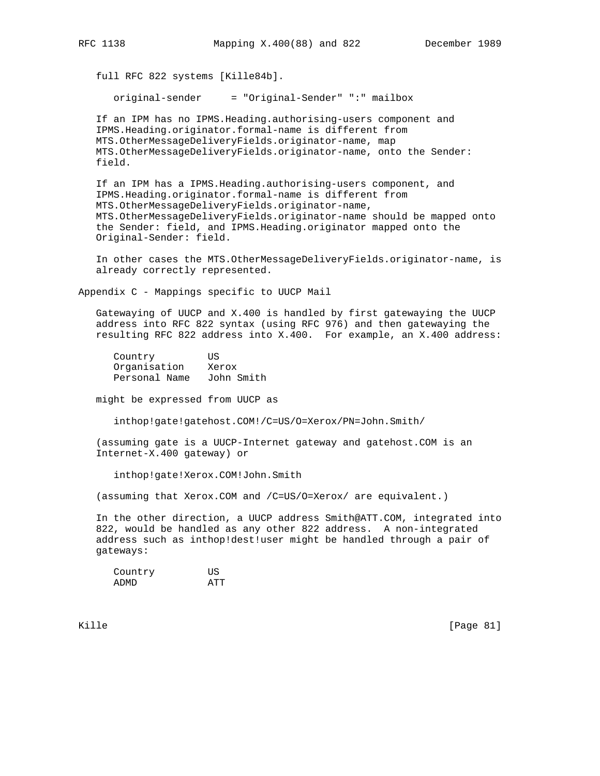full RFC 822 systems [Kille84b].

original-sender = "Original-Sender" ":" mailbox

 If an IPM has no IPMS.Heading.authorising-users component and IPMS.Heading.originator.formal-name is different from MTS.OtherMessageDeliveryFields.originator-name, map MTS.OtherMessageDeliveryFields.originator-name, onto the Sender: field.

 If an IPM has a IPMS.Heading.authorising-users component, and IPMS.Heading.originator.formal-name is different from MTS.OtherMessageDeliveryFields.originator-name, MTS.OtherMessageDeliveryFields.originator-name should be mapped onto the Sender: field, and IPMS.Heading.originator mapped onto the Original-Sender: field.

 In other cases the MTS.OtherMessageDeliveryFields.originator-name, is already correctly represented.

Appendix C - Mappings specific to UUCP Mail

 Gatewaying of UUCP and X.400 is handled by first gatewaying the UUCP address into RFC 822 syntax (using RFC 976) and then gatewaying the resulting RFC 822 address into X.400. For example, an X.400 address:

 Country US Organisation Xerox Personal Name John Smith

might be expressed from UUCP as

inthop!gate!gatehost.COM!/C=US/O=Xerox/PN=John.Smith/

 (assuming gate is a UUCP-Internet gateway and gatehost.COM is an Internet-X.400 gateway) or

inthop!gate!Xerox.COM!John.Smith

(assuming that Xerox.COM and /C=US/O=Xerox/ are equivalent.)

 In the other direction, a UUCP address Smith@ATT.COM, integrated into 822, would be handled as any other 822 address. A non-integrated address such as inthop!dest!user might be handled through a pair of gateways:

| Country | ΠS  |
|---------|-----|
| ADMD    | ΔͲͲ |

Kille [Page 81]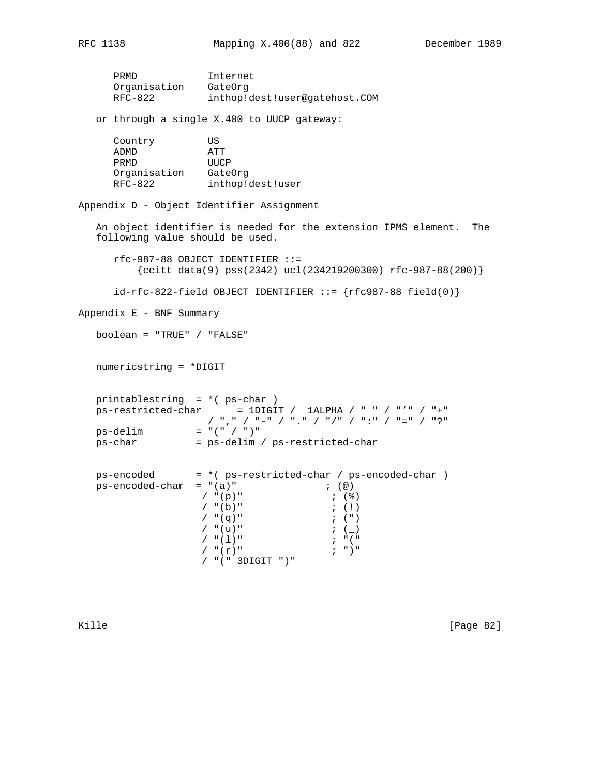PRMD Internet Organisation GateOrg RFC-822 inthop!dest!user@gatehost.COM or through a single X.400 to UUCP gateway: Country US ADMD ATT PRMD UUCP Organisation GateOrg RFC-822 inthop!dest!user Appendix D - Object Identifier Assignment An object identifier is needed for the extension IPMS element. The following value should be used. rfc-987-88 OBJECT IDENTIFIER ::= {ccitt data(9) pss(2342) ucl(234219200300) rfc-987-88(200)}  $id-rfc-822-field OBJECT IDENTIFIER ::=\{rfc987-88 field(0)\}\$ Appendix E - BNF Summary boolean = "TRUE" / "FALSE" numericstring = \*DIGIT printablestring = \*( ps-char )  $ps-restricted-char$  = 1DIGIT / 1ALPHA / " " / "'" / "+" / "," / "-" / "." / "/" / ":" / "=" / "?"  $ps$ -delim = "(" / ")" ps-char = ps-delim / ps-restricted-char ps-encoded = \*( ps-restricted-char / ps-encoded-char )  $ps-encoded-char = "(a)" ;$  ;  $@)$  $/$  "(p)" <br>  $/$  "(b)" <br>
; (!)  $/$  "(b)"  $/$  "(q)"  $;$  (")  $/$  "(u)"  $;$   $($  / "(l)" ; "("  $/$  "  $(r)$  " / "(" 3DIGIT ")"

Kille [Page 82]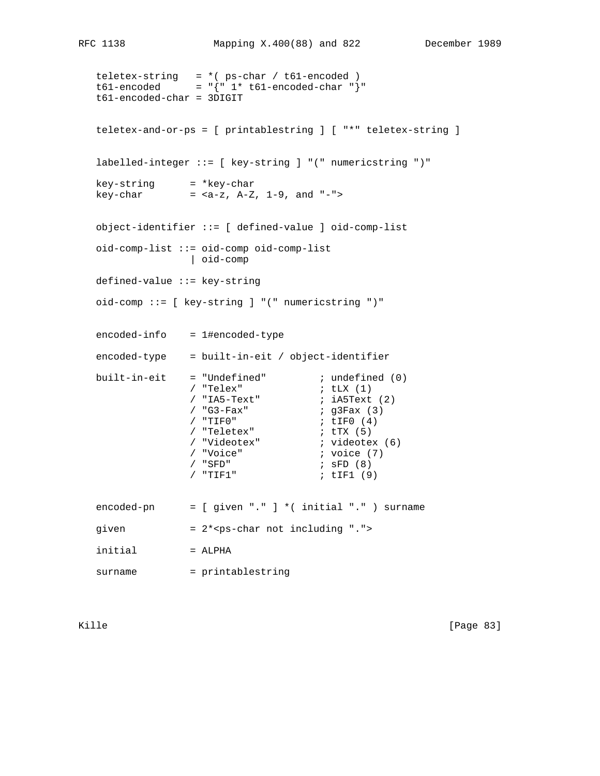teletex-string = \*( ps-char / t61-encoded ) t61-encoded = "{" 1\* t61-encoded-char "}" t61-encoded-char = 3DIGIT teletex-and-or-ps = [ printablestring ] [ "\*" teletex-string ] labelled-integer ::= [ key-string ] "(" numericstring ")" key-string = \*key-char key-char = <a-z, A-Z, 1-9, and "-"> object-identifier ::= [ defined-value ] oid-comp-list oid-comp-list ::= oid-comp oid-comp-list | oid-comp defined-value ::= key-string oid-comp ::= [ key-string ] "(" numericstring ")" encoded-info = 1#encoded-type  $encoded-type$  = built-in-eit / object-identifier built-in-eit = "Undefined"  $i$  undefined (0)<br> $i$  "Telex"  $i$  tLX (1) / "Telex"  $/$  "IA5-Text" ; iA5Text (2) / "G3-Fax" <br>
/ "TIF0" <br>
; tIF0 (4) / "TIF0" ; tIF0 (4) / "Teletex" ; tTX (5) / "Videotex" ; videotex (6) / "Voice" ; voice (7) / "SFD" ; sFD (8) / "TIF1" ; tIF1 (9) encoded-pn = [ given "." ] \*( initial "." ) surname given  $= 2***ps**-char not including "."$  $initial$  =  $ALPHA$ surname = printablestring

Kille [Page 83]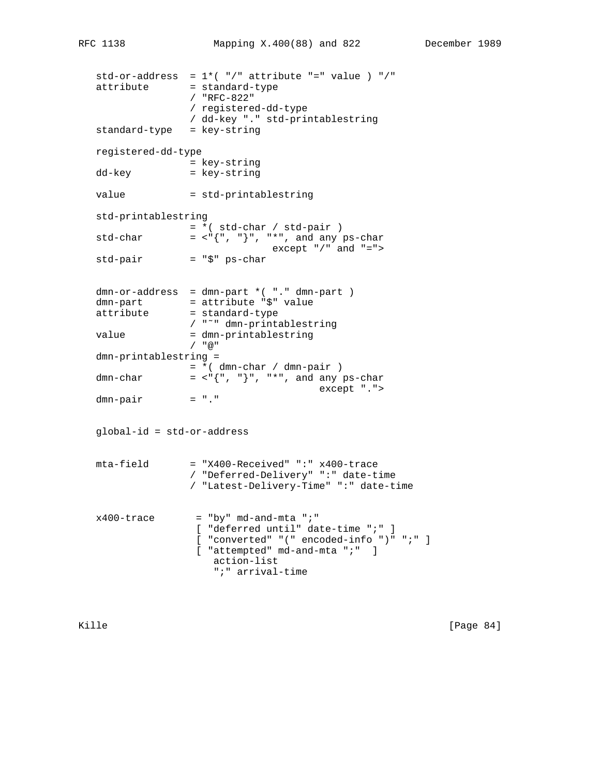```
std-or-address = 1*(-")" attribute "=" value ) "/"
attribute = standard-type
                / "RFC-822"
                / registered-dd-type
                / dd-key "." std-printablestring
 standard-type = key-string
 registered-dd-type
               = key-string
dd-key = key-string
value = std-printablestring
 std-printablestring
               = *( std-char / std-pair )
std-char = \langle"{", "}", "*", and any ps-char
               except "/*" and "='>>" = "\sin" ps-char
std-pair
dmn-or-address = dmn-part * ( "." dmn-part )
dmn-part = attribute "$" value
attribute = standard-type
               / "˜" dmn-printablestring
value = dmn-printablestring
                / "@"
 dmn-printablestring =
               = * ( dmn-char / dmn-pair )
dmn-char = <"{", "}", "*", and any ps-char
                                    except ".">
dmn-pair = "." global-id = std-or-address
 mta-field = "X400-Received" ":" x400-trace
                / "Deferred-Delivery" ":" date-time
                / "Latest-Delivery-Time" ":" date-time
x400-trace = "by" md-and-mta ";"
                 [ "deferred until" date-time ";" ]
                 [ "converted" "(" encoded-info ")" ";" ]
                [ "attempted" md-and-mta ";" ]
                   action-list
                    ";" arrival-time
```
Kille [Page 84]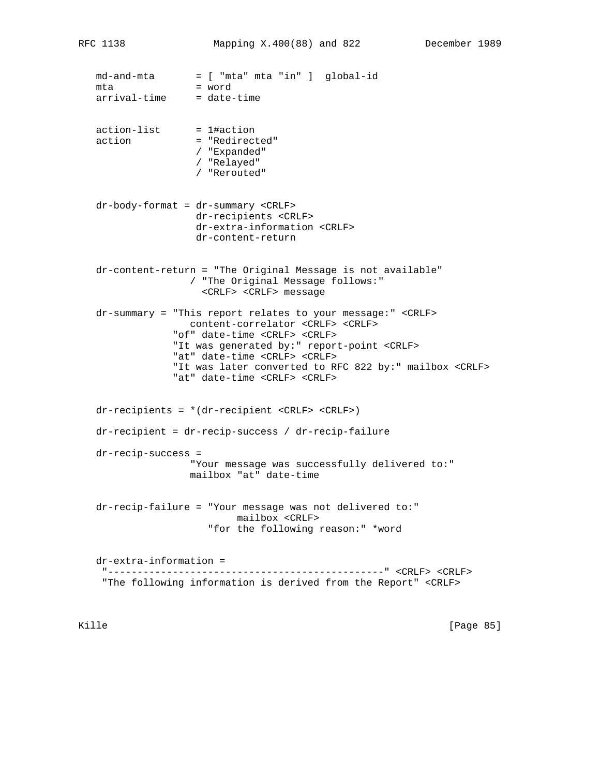md-and-mta = [ "mta" mta "in" ] global-id mta = word arrival-time = date-time action-list = 1#action action = "Redirected" / "Expanded" / "Relayed" / "Rerouted" dr-body-format = dr-summary <CRLF> dr-recipients <CRLF> dr-extra-information <CRLF> dr-content-return dr-content-return = "The Original Message is not available" / "The Original Message follows:" <CRLF> <CRLF> message dr-summary = "This report relates to your message:" <CRLF> content-correlator <CRLF> <CRLF> "of" date-time <CRLF> <CRLF> "It was generated by:" report-point <CRLF> "at" date-time <CRLF> <CRLF> "It was later converted to RFC 822 by:" mailbox <CRLF> "at" date-time <CRLF> <CRLF> dr-recipients = \*(dr-recipient <CRLF> <CRLF>) dr-recipient = dr-recip-success / dr-recip-failure dr-recip-success = "Your message was successfully delivered to:" mailbox "at" date-time dr-recip-failure = "Your message was not delivered to:" mailbox <CRLF> "for the following reason:" \*word dr-extra-information = "-----------------------------------------------" <CRLF> <CRLF> "The following information is derived from the Report" <CRLF>

Kille [Page 85]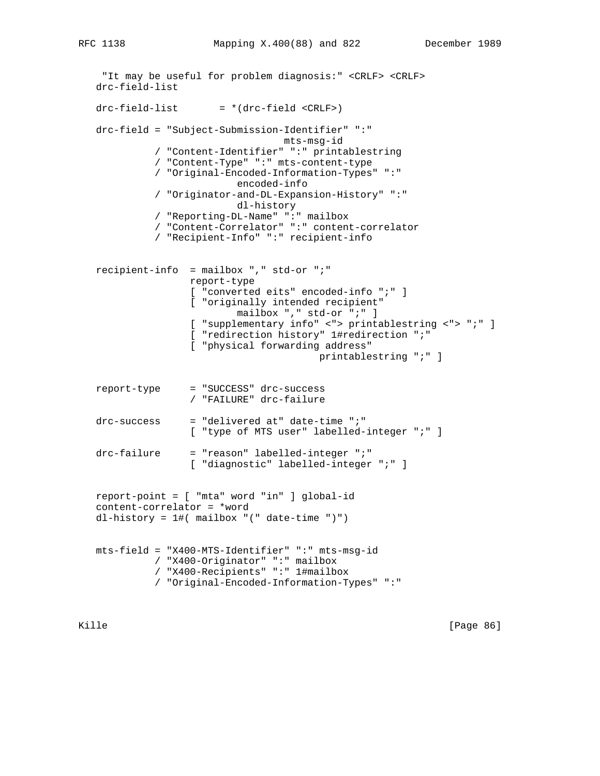```
 "It may be useful for problem diagnosis:" <CRLF> <CRLF>
 drc-field-list
drc-field-list = *(drc-field < CRLF) drc-field = "Subject-Submission-Identifier" ":"
                                mts-msg-id
           / "Content-Identifier" ":" printablestring
           / "Content-Type" ":" mts-content-type
           / "Original-Encoded-Information-Types" ":"
                         encoded-info
           / "Originator-and-DL-Expansion-History" ":"
                         dl-history
           / "Reporting-DL-Name" ":" mailbox
           / "Content-Correlator" ":" content-correlator
           / "Recipient-Info" ":" recipient-info
 recipient-info = mailbox "," std-or ";"
                 report-type
                 [ "converted eits" encoded-info ";" ]
                 [ "originally intended recipient"
                         mailbox "," std-or ";" ]
                 [ "supplementary info" <"> printablestring <"> ";" ]
                 [ "redirection history" 1#redirection ";"
                 [ "physical forwarding address"
                                       printablestring ";" ]
 report-type = "SUCCESS" drc-success
                 / "FAILURE" drc-failure
 drc-success = "delivered at" date-time ";"
                [ "type of MTS user" labelled-integer ";" ]
 drc-failure = "reason" labelled-integer ";"
                [ "diagnostic" labelled-integer ";" ]
 report-point = [ "mta" word "in" ] global-id
 content-correlator = *word
 dl-history = 1#( mailbox "(" date-time ")")
 mts-field = "X400-MTS-Identifier" ":" mts-msg-id
           / "X400-Originator" ":" mailbox
           / "X400-Recipients" ":" 1#mailbox
           / "Original-Encoded-Information-Types" ":"
```
Kille [Page 86]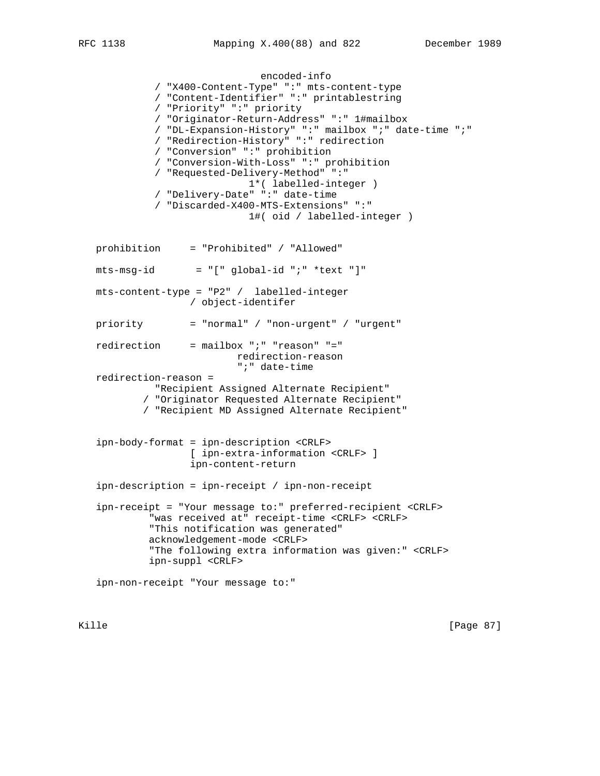encoded-info / "X400-Content-Type" ":" mts-content-type / "Content-Identifier" ":" printablestring / "Priority" ":" priority / "Originator-Return-Address" ":" 1#mailbox / "DL-Expansion-History" ":" mailbox ";" date-time ";" / "Redirection-History" ":" redirection / "Conversion" ":" prohibition / "Conversion-With-Loss" ":" prohibition / "Requested-Delivery-Method" ":" 1\*( labelled-integer ) / "Delivery-Date" ":" date-time / "Discarded-X400-MTS-Extensions" ":" 1#( oid / labelled-integer ) prohibition = "Prohibited" / "Allowed"  $mts-msg-id = "[' global-id "i" *text "]"$  mts-content-type = "P2" / labelled-integer / object-identifer priority = "normal" / "non-urgent" / "urgent" redirection = mailbox ";" "reason" "=" redirection-reason ";" date-time redirection-reason = "Recipient Assigned Alternate Recipient" / "Originator Requested Alternate Recipient" / "Recipient MD Assigned Alternate Recipient" ipn-body-format = ipn-description <CRLF> [ ipn-extra-information <CRLF> ] ipn-content-return ipn-description = ipn-receipt / ipn-non-receipt ipn-receipt = "Your message to:" preferred-recipient <CRLF> "was received at" receipt-time <CRLF> <CRLF> "This notification was generated" acknowledgement-mode <CRLF> "The following extra information was given:" <CRLF> ipn-suppl <CRLF> ipn-non-receipt "Your message to:"

Kille [Page 87]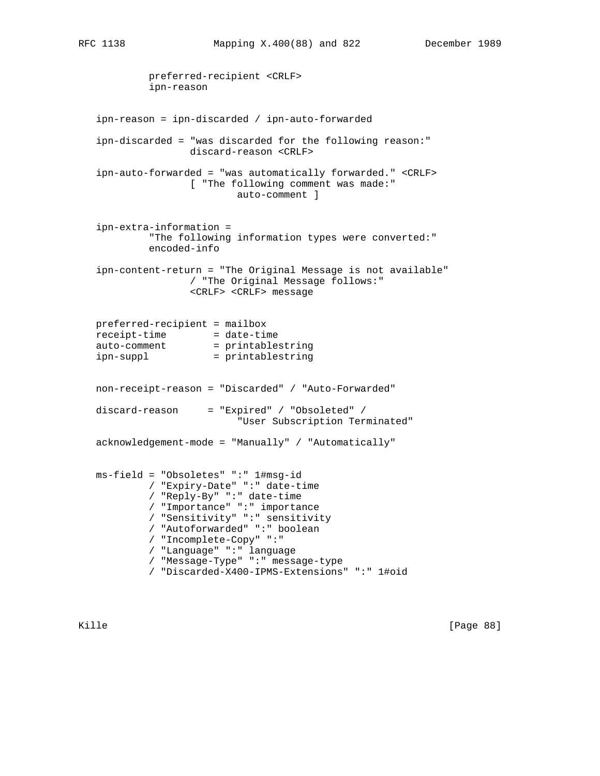```
 preferred-recipient <CRLF>
            ipn-reason
   ipn-reason = ipn-discarded / ipn-auto-forwarded
   ipn-discarded = "was discarded for the following reason:"
                   discard-reason <CRLF>
   ipn-auto-forwarded = "was automatically forwarded." <CRLF>
                   [ "The following comment was made:"
                           auto-comment ]
   ipn-extra-information =
            "The following information types were converted:"
            encoded-info
   ipn-content-return = "The Original Message is not available"
                   / "The Original Message follows:"
                   <CRLF> <CRLF> message
   preferred-recipient = mailbox
 receipt-time = date-time
auto-comment = printablestring
 ipn-suppl = printablestring
   non-receipt-reason = "Discarded" / "Auto-Forwarded"
   discard-reason = "Expired" / "Obsoleted" /
                           "User Subscription Terminated"
   acknowledgement-mode = "Manually" / "Automatically"
   ms-field = "Obsoletes" ":" 1#msg-id
            / "Expiry-Date" ":" date-time
            / "Reply-By" ":" date-time
            / "Importance" ":" importance
            / "Sensitivity" ":" sensitivity
            / "Autoforwarded" ":" boolean
            / "Incomplete-Copy" ":"
            / "Language" ":" language
            / "Message-Type" ":" message-type
            / "Discarded-X400-IPMS-Extensions" ":" 1#oid
```
Kille [Page 88]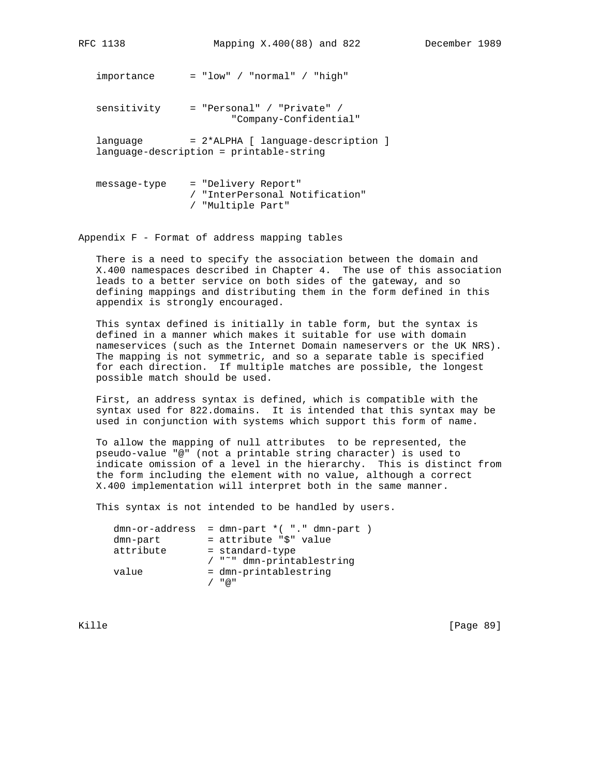importance = "low" / "normal" / "high"

 sensitivity = "Personal" / "Private" / "Company-Confidential"

language = 2\*ALPHA [ language-description ] language-description = printable-string

```
 message-type = "Delivery Report"
                 / "InterPersonal Notification"
                 / "Multiple Part"
```
Appendix F - Format of address mapping tables

 There is a need to specify the association between the domain and X.400 namespaces described in Chapter 4. The use of this association leads to a better service on both sides of the gateway, and so defining mappings and distributing them in the form defined in this appendix is strongly encouraged.

 This syntax defined is initially in table form, but the syntax is defined in a manner which makes it suitable for use with domain nameservices (such as the Internet Domain nameservers or the UK NRS). The mapping is not symmetric, and so a separate table is specified for each direction. If multiple matches are possible, the longest possible match should be used.

 First, an address syntax is defined, which is compatible with the syntax used for 822.domains. It is intended that this syntax may be used in conjunction with systems which support this form of name.

 To allow the mapping of null attributes to be represented, the pseudo-value "@" (not a printable string character) is used to indicate omission of a level in the hierarchy. This is distinct from the form including the element with no value, although a correct X.400 implementation will interpret both in the same manner.

This syntax is not intended to be handled by users.

|           | $dmn-or-address = dmn-part * ( " . " dm-part )$ |
|-----------|-------------------------------------------------|
| dmn-part  | = attribute "\$" value                          |
| attribute | = standard-type                                 |
|           | / "~" dmn-printablestring                       |
| value     | = dmn-printablestring                           |
|           | " @ "                                           |

Kille [Page 89]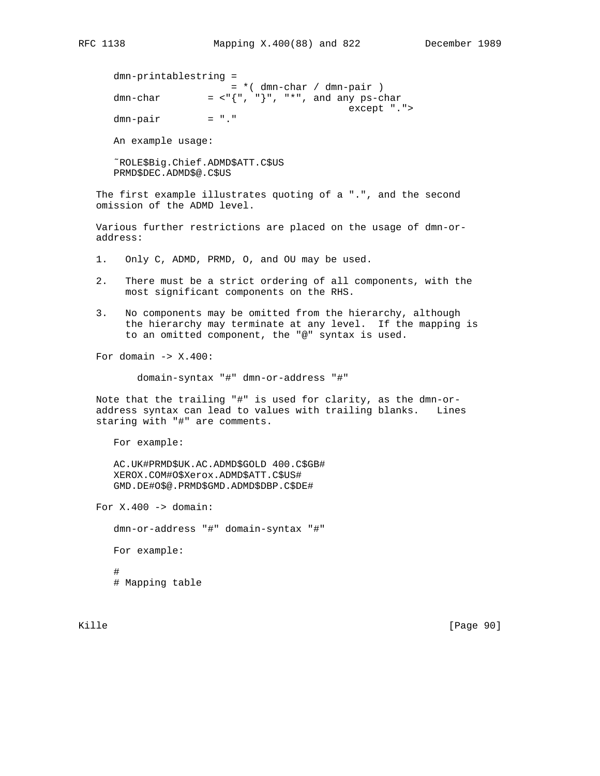```
 dmn-printablestring =
= * ( dmn-char / dmn-pair )
 dmn-char = <"{", "}", "*", and any ps-char
               except ".">
    dmn-pair
    An example usage:
```
 ˜ROLE\$Big.Chief.ADMD\$ATT.C\$US PRMD\$DEC.ADMD\$@.C\$US

 The first example illustrates quoting of a ".", and the second omission of the ADMD level.

 Various further restrictions are placed on the usage of dmn-or address:

1. Only C, ADMD, PRMD, O, and OU may be used.

- 2. There must be a strict ordering of all components, with the most significant components on the RHS.
- 3. No components may be omitted from the hierarchy, although the hierarchy may terminate at any level. If the mapping is to an omitted component, the "@" syntax is used.

For domain  $\text{-}$  x.400:

domain-syntax "#" dmn-or-address "#"

 Note that the trailing "#" is used for clarity, as the dmn-or address syntax can lead to values with trailing blanks. Lines staring with "#" are comments.

For example:

 AC.UK#PRMD\$UK.AC.ADMD\$GOLD 400.C\$GB# XEROX.COM#O\$Xerox.ADMD\$ATT.C\$US# GMD.DE#O\$@.PRMD\$GMD.ADMD\$DBP.C\$DE#

For  $X.400 \rightarrow domain$ :

 dmn-or-address "#" domain-syntax "#" For example:

 # # Mapping table

Kille [Page 90]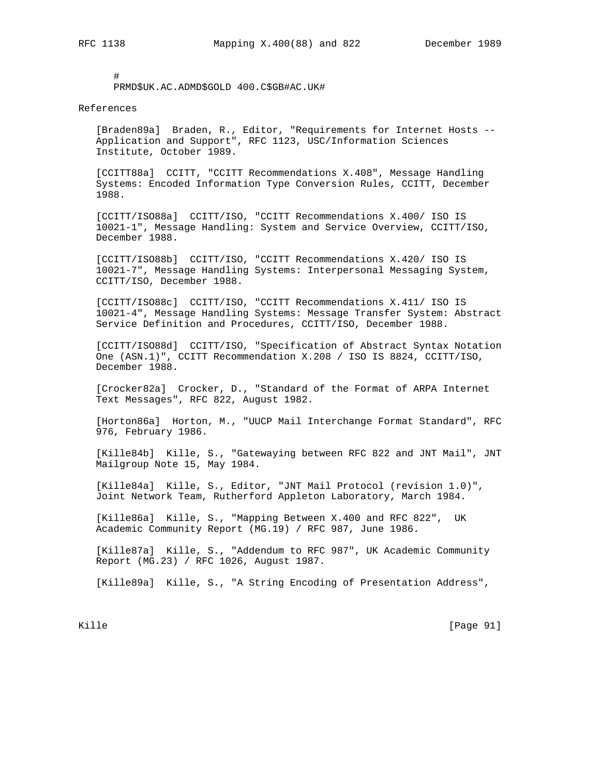# PRMD\$UK.AC.ADMD\$GOLD 400.C\$GB#AC.UK#

## References

 [Braden89a] Braden, R., Editor, "Requirements for Internet Hosts -- Application and Support", RFC 1123, USC/Information Sciences Institute, October 1989.

 [CCITT88a] CCITT, "CCITT Recommendations X.408", Message Handling Systems: Encoded Information Type Conversion Rules, CCITT, December 1988.

 [CCITT/ISO88a] CCITT/ISO, "CCITT Recommendations X.400/ ISO IS 10021-1", Message Handling: System and Service Overview, CCITT/ISO, December 1988.

 [CCITT/ISO88b] CCITT/ISO, "CCITT Recommendations X.420/ ISO IS 10021-7", Message Handling Systems: Interpersonal Messaging System, CCITT/ISO, December 1988.

 [CCITT/ISO88c] CCITT/ISO, "CCITT Recommendations X.411/ ISO IS 10021-4", Message Handling Systems: Message Transfer System: Abstract Service Definition and Procedures, CCITT/ISO, December 1988.

 [CCITT/ISO88d] CCITT/ISO, "Specification of Abstract Syntax Notation One (ASN.1)", CCITT Recommendation X.208 / ISO IS 8824, CCITT/ISO, December 1988.

 [Crocker82a] Crocker, D., "Standard of the Format of ARPA Internet Text Messages", RFC 822, August 1982.

 [Horton86a] Horton, M., "UUCP Mail Interchange Format Standard", RFC 976, February 1986.

 [Kille84b] Kille, S., "Gatewaying between RFC 822 and JNT Mail", JNT Mailgroup Note 15, May 1984.

 [Kille84a] Kille, S., Editor, "JNT Mail Protocol (revision 1.0)", Joint Network Team, Rutherford Appleton Laboratory, March 1984.

 [Kille86a] Kille, S., "Mapping Between X.400 and RFC 822", UK Academic Community Report (MG.19) / RFC 987, June 1986.

 [Kille87a] Kille, S., "Addendum to RFC 987", UK Academic Community Report (MG.23) / RFC 1026, August 1987.

[Kille89a] Kille, S., "A String Encoding of Presentation Address",

Kille [Page 91]